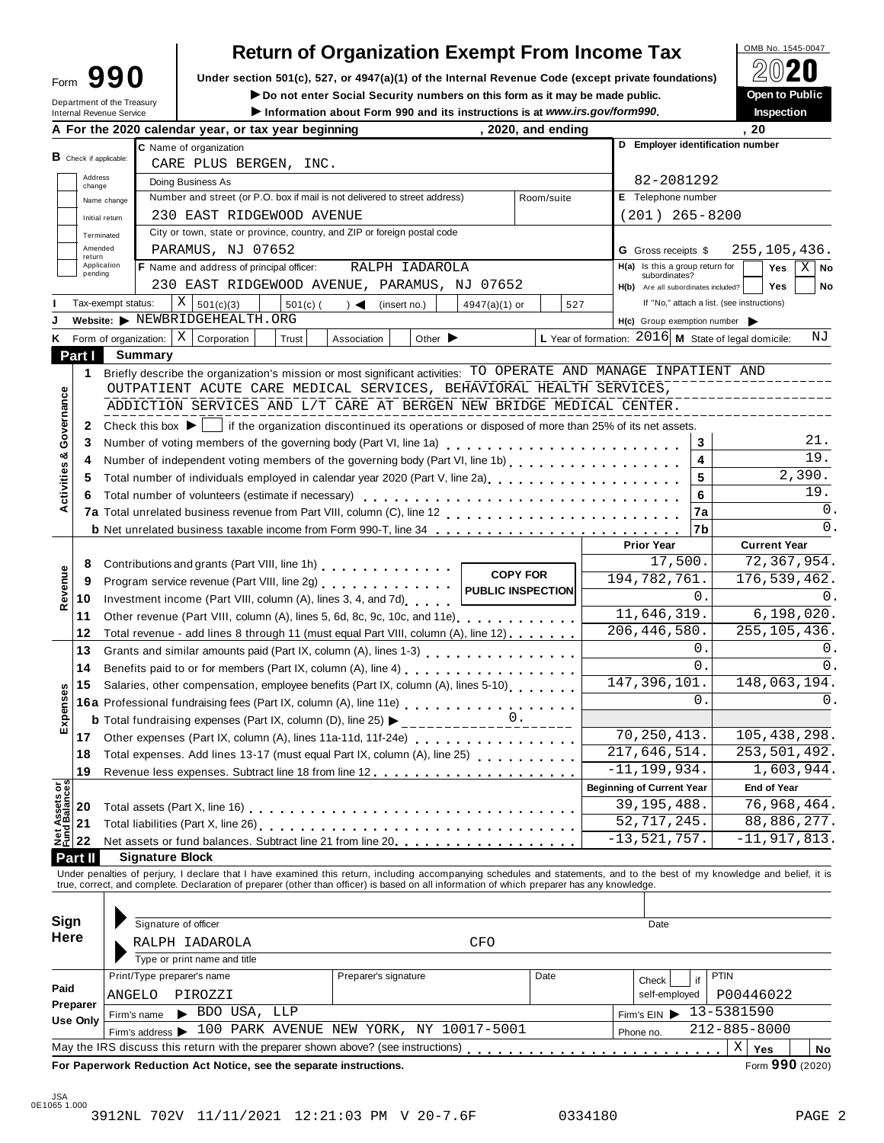# **Return of Organization Exempt From Income Tax**<br>section 501(c). 527. or 4947(a)(1) of the Internal Revenue Code (except private foundations)<br>20**20**

Form  $\mathbf{990}$  Under section 501(c), 527, or 4947(a)(1) of the Internal Revenue Code (except private foundations)  $\boxed{2020}$ 

| Department of the Treasury                                  | Form JJU                                                                                                                                                                                                                       | Under section 501(c), 527, or 4947(a)(1) of the internal Revenue Code (except private foundations)       | ▱◡▰◛                                                                                                                                                                                        |
|-------------------------------------------------------------|--------------------------------------------------------------------------------------------------------------------------------------------------------------------------------------------------------------------------------|----------------------------------------------------------------------------------------------------------|---------------------------------------------------------------------------------------------------------------------------------------------------------------------------------------------|
| Internal Revenue Service                                    | Do not enter Social Security numbers on this form as it may be made public.<br>Information about Form 990 and its instructions is at www.irs.gov/form990.                                                                      |                                                                                                          | Open to Public<br><b>Inspection</b>                                                                                                                                                         |
|                                                             | A For the 2020 calendar year, or tax year beginning<br>, 2020, and ending                                                                                                                                                      |                                                                                                          | . 20                                                                                                                                                                                        |
| <b>B</b> Check if applicable:                               | C Name of organization<br>CARE PLUS BERGEN, INC.                                                                                                                                                                               | D Employer identification number                                                                         |                                                                                                                                                                                             |
| Address                                                     | Doing Business As                                                                                                                                                                                                              | 82-2081292                                                                                               |                                                                                                                                                                                             |
| change<br>Name change                                       | Number and street (or P.O. box if mail is not delivered to street address)<br>Room/suite                                                                                                                                       | E Telephone number                                                                                       |                                                                                                                                                                                             |
| Initial return                                              | 230 EAST RIDGEWOOD AVENUE                                                                                                                                                                                                      | $(201)$ 265-8200                                                                                         |                                                                                                                                                                                             |
| Terminated                                                  | City or town, state or province, country, and ZIP or foreign postal code                                                                                                                                                       |                                                                                                          |                                                                                                                                                                                             |
| Amended                                                     | PARAMUS, NJ 07652                                                                                                                                                                                                              | <b>G</b> Gross receipts \$                                                                               | 255,105,436.                                                                                                                                                                                |
| return<br>Application                                       | F Name and address of principal officer:<br>RALPH IADAROLA                                                                                                                                                                     | $H(a)$ Is this a group return for                                                                        | Yes<br>$X \mid$ No                                                                                                                                                                          |
| pending                                                     | 230 EAST RIDGEWOOD AVENUE, PARAMUS, NJ 07652                                                                                                                                                                                   | subordinates?                                                                                            | <b>Yes</b><br>No                                                                                                                                                                            |
| Tax-exempt status:                                          | Χ<br>527                                                                                                                                                                                                                       | H(b) Are all subordinates included?                                                                      | If "No," attach a list. (see instructions)                                                                                                                                                  |
|                                                             | 501(c)(3)<br>$501(c)$ (<br>(insert no.)<br>$\rightarrow$<br>$4947(a)(1)$ or<br>Website: > NEWBRIDGEHEALTH.ORG                                                                                                                  |                                                                                                          |                                                                                                                                                                                             |
|                                                             | X                                                                                                                                                                                                                              | $H(c)$ Group exemption number $\triangleright$<br>L Year of formation: $2016$ M State of legal domicile: | ΝJ                                                                                                                                                                                          |
| Form of organization:<br>Κ                                  | Corporation<br>Other $\blacktriangleright$<br>Trust<br>Association                                                                                                                                                             |                                                                                                          |                                                                                                                                                                                             |
| Part I                                                      | <b>Summary</b>                                                                                                                                                                                                                 |                                                                                                          |                                                                                                                                                                                             |
| 1                                                           | Briefly describe the organization's mission or most significant activities: TO OPERATE AND MANAGE INPATIENT AND                                                                                                                |                                                                                                          |                                                                                                                                                                                             |
|                                                             | OUTPATIENT ACUTE CARE MEDICAL SERVICES, BEHAVIORAL HEALTH SERVICES,                                                                                                                                                            |                                                                                                          |                                                                                                                                                                                             |
| Governance                                                  | ADDICTION SERVICES AND L/T CARE AT BERGEN NEW BRIDGE MEDICAL CENTER.                                                                                                                                                           |                                                                                                          |                                                                                                                                                                                             |
| 2                                                           | Check this box $\blacktriangleright$   if the organization discontinued its operations or disposed of more than 25% of its net assets.                                                                                         |                                                                                                          |                                                                                                                                                                                             |
| 3                                                           | Number of voting members of the governing body (Part VI, line 1a)<br>                                                                                                                                                          | 3                                                                                                        | 21.                                                                                                                                                                                         |
| 4                                                           | Number of independent voting members of the governing body (Part VI, line 1b)                                                                                                                                                  | 4                                                                                                        | 19.                                                                                                                                                                                         |
| 5                                                           | Total number of individuals employed in calendar year 2020 (Part V, line 2a)<br>The 2a)                                                                                                                                        | 5                                                                                                        | 2,390.                                                                                                                                                                                      |
| Activities &<br>6                                           | Total number of volunteers (estimate if necessary)                                                                                                                                                                             | 6                                                                                                        | 19.                                                                                                                                                                                         |
|                                                             |                                                                                                                                                                                                                                | 7a                                                                                                       | 0.                                                                                                                                                                                          |
|                                                             |                                                                                                                                                                                                                                | 7b                                                                                                       | $\Omega$ .                                                                                                                                                                                  |
|                                                             |                                                                                                                                                                                                                                | <b>Prior Year</b>                                                                                        | <b>Current Year</b>                                                                                                                                                                         |
| 8                                                           | Contributions and grants (Part VIII, line 1h) [19] Contributions and grants (Part VIII, line 1h)                                                                                                                               | 17,500.                                                                                                  | 72,367,954.                                                                                                                                                                                 |
| Revenue<br>9                                                | <b>COPY FOR</b><br>Program service revenue (Part VIII, line 2g)                                                                                                                                                                | 194,782,761.                                                                                             |                                                                                                                                                                                             |
| 10                                                          | PUBLIC INSPECTION<br>Investment income (Part VIII, column (A), lines 3, 4, and 7d)                                                                                                                                             | 0.                                                                                                       |                                                                                                                                                                                             |
|                                                             |                                                                                                                                                                                                                                |                                                                                                          |                                                                                                                                                                                             |
|                                                             |                                                                                                                                                                                                                                |                                                                                                          |                                                                                                                                                                                             |
| 11                                                          | Other revenue (Part VIII, column (A), lines 5, 6d, 8c, 9c, 10c, and 11e)                                                                                                                                                       | 11,646,319.                                                                                              |                                                                                                                                                                                             |
| 12                                                          | Total revenue - add lines 8 through 11 (must equal Part VIII, column (A), line 12)                                                                                                                                             | 206, 446, 580.                                                                                           |                                                                                                                                                                                             |
| 13                                                          | Grants and similar amounts paid (Part IX, column (A), lines 1-3)<br><sub>1</sub> , $\cdots$ , $\cdots$ , $\cdots$ , $\cdots$ , $\cdots$                                                                                        | 0.                                                                                                       |                                                                                                                                                                                             |
| 14                                                          | Benefits paid to or for members (Part IX, column (A), line 4) [10] cases is a control of the set of the set of the set of the set of the set of the set of the set of the set of the set of the set of the set of the set of t | $\Omega$ .                                                                                               |                                                                                                                                                                                             |
| 15                                                          | Salaries, other compensation, employee benefits (Part IX, column (A), lines 5-10)                                                                                                                                              | 147, 396, 101.                                                                                           |                                                                                                                                                                                             |
|                                                             | 16a Professional fundraising fees (Part IX, column (A), line 11e)<br>16a Professional fundraising fees (Part IX, column (A), line 11e)                                                                                         | $\mathbf 0$ .                                                                                            |                                                                                                                                                                                             |
|                                                             | υ.<br><b>b</b> Total fundraising expenses (Part IX, column (D), line 25) >                                                                                                                                                     |                                                                                                          |                                                                                                                                                                                             |
| 17                                                          | Other expenses (Part IX, column (A), lines 11a-11d, 11f-24e)<br>                                                                                                                                                               | 70, 250, 413.                                                                                            |                                                                                                                                                                                             |
| 18                                                          | Total expenses. Add lines 13-17 (must equal Part IX, column (A), line 25)                                                                                                                                                      | 217,646,514.                                                                                             |                                                                                                                                                                                             |
| 19                                                          |                                                                                                                                                                                                                                | $-11, 199, 934.$                                                                                         |                                                                                                                                                                                             |
|                                                             |                                                                                                                                                                                                                                | <b>Beginning of Current Year</b>                                                                         | <b>End of Year</b>                                                                                                                                                                          |
|                                                             |                                                                                                                                                                                                                                | 39, 195, 488.                                                                                            |                                                                                                                                                                                             |
|                                                             |                                                                                                                                                                                                                                | 52,717,245.                                                                                              |                                                                                                                                                                                             |
| xpenses<br>шì                                               |                                                                                                                                                                                                                                | $-13, 521, 757.$                                                                                         | 176,539,462.<br>0.<br>6, 198, 020.<br>255, 105, 436.<br>0.<br>$0$ .<br>148,063,194.<br>0.<br>105, 438, 298.<br>253,501,492.<br>1,603,944.<br>76,968,464.<br>88,886,277.<br>$-11, 917, 813.$ |
| Put Assess of<br>Fund Balances<br>22<br>22<br>22<br>Part II | <b>Signature Block</b>                                                                                                                                                                                                         |                                                                                                          |                                                                                                                                                                                             |

| Sign                 | Signature of officer                                                              |                                         |      | Date          |                       |
|----------------------|-----------------------------------------------------------------------------------|-----------------------------------------|------|---------------|-----------------------|
| Here                 | RALPH IADAROLA                                                                    | <b>CFO</b>                              |      |               |                       |
|                      | Type or print name and title                                                      |                                         |      |               |                       |
|                      | Print/Type preparer's name                                                        | Preparer's signature                    | Date | . if<br>Check | <b>PTIN</b>           |
| Paid                 | ANGELO<br>PIROZZI                                                                 |                                         |      | self-employed | P00446022             |
| Preparer<br>Use Only | $\blacktriangleright$ BDO USA, LLP<br>Firm's name                                 |                                         |      | Firm's $EIN$  | 13-5381590            |
|                      | Firm's address $\blacktriangleright$                                              | 100 PARK AVENUE NEW YORK, NY 10017-5001 |      | Phone no.     | 212-885-8000          |
|                      | May the IRS discuss this return with the preparer shown above? (see instructions) |                                         |      |               | Χ<br><b>Yes</b><br>No |
|                      | For Paperwork Reduction Act Notice, see the separate instructions.                |                                         |      |               | Form 990 (2020)       |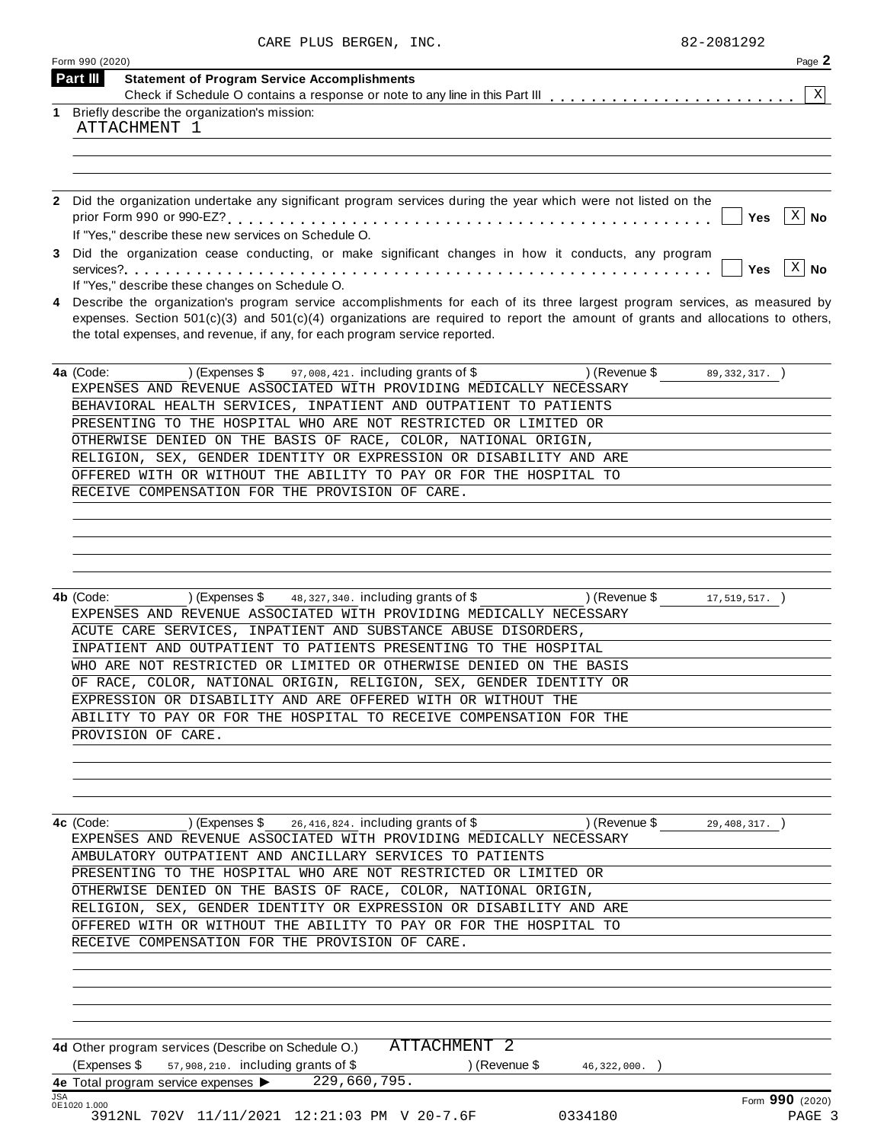|            | Form 990 (2020)                                                                                                                      | Page 2             |
|------------|--------------------------------------------------------------------------------------------------------------------------------------|--------------------|
|            | Part III<br><b>Statement of Program Service Accomplishments</b>                                                                      |                    |
| 1          | Briefly describe the organization's mission:                                                                                         | X                  |
|            | ATTACHMENT 1                                                                                                                         |                    |
|            |                                                                                                                                      |                    |
|            |                                                                                                                                      |                    |
|            |                                                                                                                                      |                    |
|            | 2 Did the organization undertake any significant program services during the year which were not listed on the                       |                    |
|            |                                                                                                                                      | - X  <br>Yes<br>No |
| 3          | If "Yes," describe these new services on Schedule O.                                                                                 |                    |
|            | Did the organization cease conducting, or make significant changes in how it conducts, any program                                   | $ X $ No<br>Yes    |
|            | If "Yes," describe these changes on Schedule O.                                                                                      |                    |
| 4          | Describe the organization's program service accomplishments for each of its three largest program services, as measured by           |                    |
|            | expenses. Section $501(c)(3)$ and $501(c)(4)$ organizations are required to report the amount of grants and allocations to others,   |                    |
|            | the total expenses, and revenue, if any, for each program service reported.                                                          |                    |
|            | 97,008,421. including grants of \$<br>) (Revenue \$<br>4a (Code:<br>) (Expenses \$                                                   | $89,332,317.$ )    |
|            | EXPENSES AND REVENUE ASSOCIATED WITH PROVIDING MEDICALLY NECESSARY                                                                   |                    |
|            | BEHAVIORAL HEALTH SERVICES, INPATIENT AND OUTPATIENT TO PATIENTS                                                                     |                    |
|            | PRESENTING TO THE HOSPITAL WHO ARE NOT RESTRICTED OR LIMITED OR                                                                      |                    |
|            | OTHERWISE DENIED ON THE BASIS OF RACE, COLOR, NATIONAL ORIGIN,                                                                       |                    |
|            | RELIGION, SEX, GENDER IDENTITY OR EXPRESSION OR DISABILITY AND ARE                                                                   |                    |
|            | OFFERED WITH OR WITHOUT THE ABILITY TO PAY OR FOR THE HOSPITAL TO                                                                    |                    |
|            | RECEIVE COMPENSATION FOR THE PROVISION OF CARE.                                                                                      |                    |
|            |                                                                                                                                      |                    |
|            |                                                                                                                                      |                    |
|            |                                                                                                                                      |                    |
|            |                                                                                                                                      |                    |
|            | 48, 327, 340. including grants of \$<br>4b (Code:<br>) (Expenses \$<br>) (Revenue \$                                                 | $17,519,517.$ )    |
|            | EXPENSES AND REVENUE ASSOCIATED WITH PROVIDING MEDICALLY NECESSARY                                                                   |                    |
|            | ACUTE CARE SERVICES, INPATIENT AND SUBSTANCE ABUSE DISORDERS,                                                                        |                    |
|            | INPATIENT AND OUTPATIENT TO PATIENTS PRESENTING TO THE HOSPITAL                                                                      |                    |
|            | WHO ARE NOT RESTRICTED OR LIMITED OR OTHERWISE DENIED ON THE BASIS                                                                   |                    |
|            | OF RACE, COLOR, NATIONAL ORIGIN, RELIGION, SEX, GENDER IDENTITY OR                                                                   |                    |
|            | EXPRESSION OR DISABILITY AND ARE OFFERED WITH OR WITHOUT THE                                                                         |                    |
|            | ABILITY TO PAY OR FOR THE HOSPITAL TO RECEIVE COMPENSATION FOR THE                                                                   |                    |
|            | PROVISION OF CARE.                                                                                                                   |                    |
|            |                                                                                                                                      |                    |
|            |                                                                                                                                      |                    |
|            |                                                                                                                                      |                    |
|            | (Expenses \$ $26,416,824$ . including grants of \$ ) (Revenue \$ $29,408,317$ .)<br>4c (Code:                                        |                    |
|            | EXPENSES AND REVENUE ASSOCIATED WITH PROVIDING MEDICALLY NECESSARY                                                                   |                    |
|            | AMBULATORY OUTPATIENT AND ANCILLARY SERVICES TO PATIENTS                                                                             |                    |
|            | PRESENTING TO THE HOSPITAL WHO ARE NOT RESTRICTED OR LIMITED OR                                                                      |                    |
|            | OTHERWISE DENIED ON THE BASIS OF RACE, COLOR, NATIONAL ORIGIN,<br>RELIGION, SEX, GENDER IDENTITY OR EXPRESSION OR DISABILITY AND ARE |                    |
|            | OFFERED WITH OR WITHOUT THE ABILITY TO PAY OR FOR THE HOSPITAL TO                                                                    |                    |
|            | RECEIVE COMPENSATION FOR THE PROVISION OF CARE.                                                                                      |                    |
|            |                                                                                                                                      |                    |
|            |                                                                                                                                      |                    |
|            |                                                                                                                                      |                    |
|            |                                                                                                                                      |                    |
|            | ATTACHMENT 2<br>4d Other program services (Describe on Schedule O.)                                                                  |                    |
|            | (Expenses \$57,908,210. including grants of \$<br>$($ Revenue \$ $46, 322, 000$ .                                                    |                    |
|            | 4e Total program service expenses > 229,660,795.                                                                                     |                    |
| <b>JSA</b> | 0E1020 1.000                                                                                                                         | Form 990 (2020)    |
|            | 3912NL 702V 11/11/2021 12:21:03 PM V 20-7.6F<br>0334180                                                                              | PAGE 3             |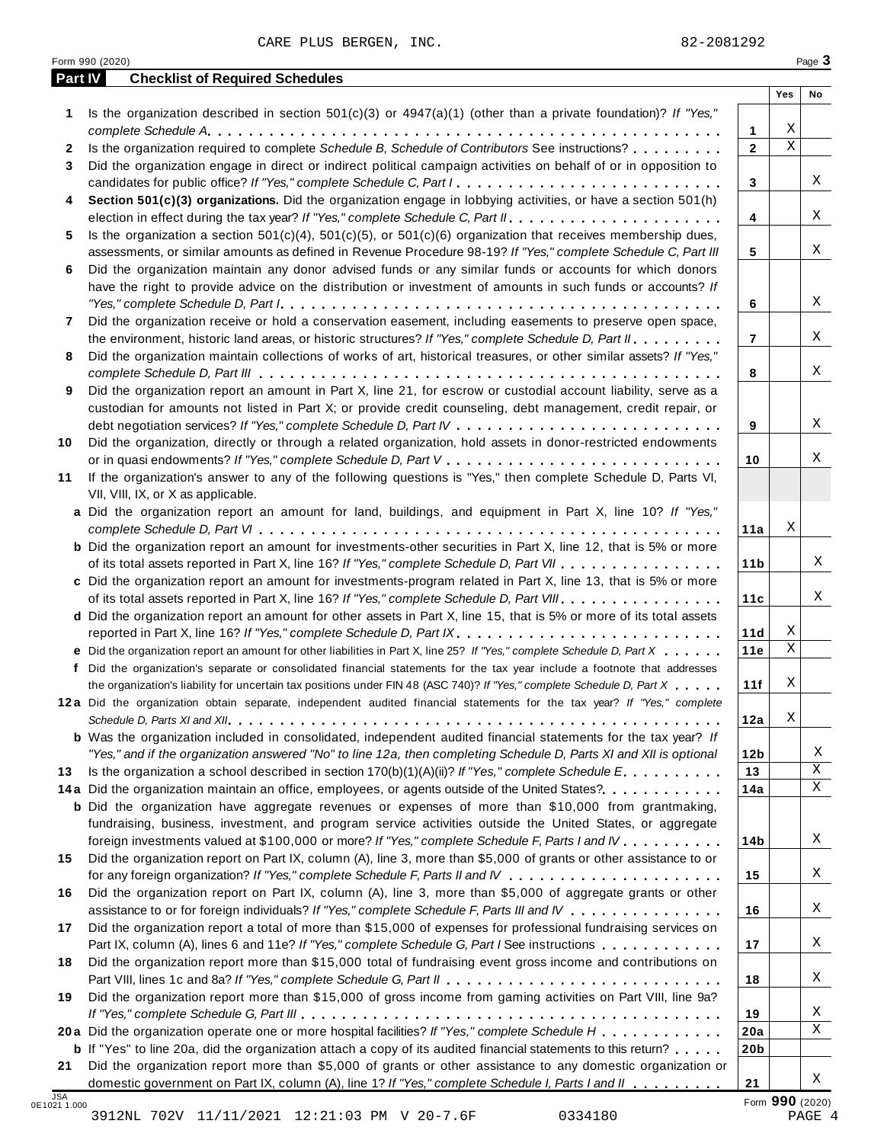| Part IV              | <b>Checklist of Required Schedules</b>                                                                                                                                                                                                                                                                                                                                                        |                 |             | Page 3      |
|----------------------|-----------------------------------------------------------------------------------------------------------------------------------------------------------------------------------------------------------------------------------------------------------------------------------------------------------------------------------------------------------------------------------------------|-----------------|-------------|-------------|
|                      |                                                                                                                                                                                                                                                                                                                                                                                               |                 | Yes         | No          |
| 1                    | Is the organization described in section $501(c)(3)$ or $4947(a)(1)$ (other than a private foundation)? If "Yes,"                                                                                                                                                                                                                                                                             |                 |             |             |
|                      |                                                                                                                                                                                                                                                                                                                                                                                               | 1               | Χ           |             |
| $\mathbf{2}$         | Is the organization required to complete Schedule B, Schedule of Contributors See instructions?                                                                                                                                                                                                                                                                                               | $\overline{2}$  | $\mathbf X$ |             |
| 3                    | Did the organization engage in direct or indirect political campaign activities on behalf of or in opposition to                                                                                                                                                                                                                                                                              |                 |             |             |
|                      | candidates for public office? If "Yes," complete Schedule C, Part I                                                                                                                                                                                                                                                                                                                           | 3               |             | X           |
| 4                    | Section 501(c)(3) organizations. Did the organization engage in lobbying activities, or have a section 501(h)                                                                                                                                                                                                                                                                                 |                 |             |             |
|                      |                                                                                                                                                                                                                                                                                                                                                                                               | 4               |             | X           |
| 5.                   | Is the organization a section $501(c)(4)$ , $501(c)(5)$ , or $501(c)(6)$ organization that receives membership dues,                                                                                                                                                                                                                                                                          |                 |             | Χ           |
|                      | assessments, or similar amounts as defined in Revenue Procedure 98-19? If "Yes," complete Schedule C, Part III                                                                                                                                                                                                                                                                                | 5               |             |             |
| 6                    | Did the organization maintain any donor advised funds or any similar funds or accounts for which donors                                                                                                                                                                                                                                                                                       |                 |             |             |
|                      | have the right to provide advice on the distribution or investment of amounts in such funds or accounts? If                                                                                                                                                                                                                                                                                   |                 |             |             |
|                      | "Yes," complete Schedule D, Part $l_1, \ldots, l_k, \ldots, l_k, \ldots, l_k, \ldots, l_k, \ldots, l_k, \ldots, l_k, \ldots, l_k, \ldots, l_k, \ldots, l_k, \ldots, l_k, \ldots, l_k, \ldots, l_k, \ldots, l_k, \ldots, l_k, \ldots, l_k, \ldots, l_k, \ldots, l_k, \ldots, l_k, \ldots, l_k, \ldots, l_k, \ldots, l_k, \ldots, l_k, \ldots, l_k, \ldots, l_k, \ldots, l_k, \ldots, l_k, \ld$ | 6               |             |             |
| 7                    | Did the organization receive or hold a conservation easement, including easements to preserve open space,                                                                                                                                                                                                                                                                                     |                 |             |             |
|                      | the environment, historic land areas, or historic structures? If "Yes," complete Schedule D, Part II.                                                                                                                                                                                                                                                                                         | 7               |             |             |
| 8                    | Did the organization maintain collections of works of art, historical treasures, or other similar assets? If "Yes,"                                                                                                                                                                                                                                                                           |                 |             |             |
|                      |                                                                                                                                                                                                                                                                                                                                                                                               | 8               |             |             |
| 9                    | Did the organization report an amount in Part X, line 21, for escrow or custodial account liability, serve as a                                                                                                                                                                                                                                                                               |                 |             |             |
|                      | custodian for amounts not listed in Part X; or provide credit counseling, debt management, credit repair, or                                                                                                                                                                                                                                                                                  |                 |             |             |
|                      |                                                                                                                                                                                                                                                                                                                                                                                               | 9               |             |             |
| 10                   | Did the organization, directly or through a related organization, hold assets in donor-restricted endowments                                                                                                                                                                                                                                                                                  |                 |             |             |
|                      |                                                                                                                                                                                                                                                                                                                                                                                               | 10              |             |             |
| 11                   | If the organization's answer to any of the following questions is "Yes," then complete Schedule D, Parts VI,                                                                                                                                                                                                                                                                                  |                 |             |             |
|                      | VII, VIII, IX, or X as applicable.                                                                                                                                                                                                                                                                                                                                                            |                 |             |             |
|                      | a Did the organization report an amount for land, buildings, and equipment in Part X, line 10? If "Yes,"                                                                                                                                                                                                                                                                                      |                 | Χ           |             |
|                      |                                                                                                                                                                                                                                                                                                                                                                                               | 11a             |             |             |
|                      | <b>b</b> Did the organization report an amount for investments-other securities in Part X, line 12, that is 5% or more                                                                                                                                                                                                                                                                        |                 |             |             |
|                      | of its total assets reported in Part X, line 16? If "Yes," complete Schedule D, Part VII                                                                                                                                                                                                                                                                                                      | 11 <sub>b</sub> |             |             |
|                      | c Did the organization report an amount for investments-program related in Part X, line 13, that is 5% or more<br>of its total assets reported in Part X, line 16? If "Yes," complete Schedule D, Part VIII                                                                                                                                                                                   | 11c             |             |             |
|                      | d Did the organization report an amount for other assets in Part X, line 15, that is 5% or more of its total assets                                                                                                                                                                                                                                                                           |                 |             |             |
|                      |                                                                                                                                                                                                                                                                                                                                                                                               | 11d             | Χ           |             |
|                      | e Did the organization report an amount for other liabilities in Part X, line 25? If "Yes," complete Schedule D, Part X                                                                                                                                                                                                                                                                       | 11e             | $\mathbf X$ |             |
|                      | f Did the organization's separate or consolidated financial statements for the tax year include a footnote that addresses                                                                                                                                                                                                                                                                     |                 |             |             |
|                      | the organization's liability for uncertain tax positions under FIN 48 (ASC 740)? If "Yes," complete Schedule D, Part X                                                                                                                                                                                                                                                                        | 11f             | Χ           |             |
|                      | 12a Did the organization obtain separate, independent audited financial statements for the tax year? If "Yes," complete                                                                                                                                                                                                                                                                       |                 |             |             |
|                      |                                                                                                                                                                                                                                                                                                                                                                                               | 12a             | Χ           |             |
|                      | <b>b</b> Was the organization included in consolidated, independent audited financial statements for the tax year? If                                                                                                                                                                                                                                                                         |                 |             |             |
|                      | "Yes," and if the organization answered "No" to line 12a, then completing Schedule D, Parts XI and XII is optional                                                                                                                                                                                                                                                                            | 12 <sub>b</sub> |             |             |
| 13                   | Is the organization a school described in section $170(b)(1)(A)(ii)?$ If "Yes," complete Schedule E.                                                                                                                                                                                                                                                                                          | 13              |             |             |
|                      | 14a Did the organization maintain an office, employees, or agents outside of the United States?.                                                                                                                                                                                                                                                                                              | 14a             |             |             |
|                      | <b>b</b> Did the organization have aggregate revenues or expenses of more than \$10,000 from grantmaking,                                                                                                                                                                                                                                                                                     |                 |             |             |
|                      | fundraising, business, investment, and program service activities outside the United States, or aggregate                                                                                                                                                                                                                                                                                     |                 |             |             |
|                      | foreign investments valued at \$100,000 or more? If "Yes," complete Schedule F, Parts I and IV                                                                                                                                                                                                                                                                                                | 14b             |             |             |
| 15                   | Did the organization report on Part IX, column (A), line 3, more than \$5,000 of grants or other assistance to or                                                                                                                                                                                                                                                                             |                 |             |             |
|                      |                                                                                                                                                                                                                                                                                                                                                                                               | 15              |             |             |
| 16                   | Did the organization report on Part IX, column (A), line 3, more than \$5,000 of aggregate grants or other                                                                                                                                                                                                                                                                                    |                 |             |             |
|                      | assistance to or for foreign individuals? If "Yes," complete Schedule F, Parts III and IV                                                                                                                                                                                                                                                                                                     | 16              |             |             |
|                      | Did the organization report a total of more than \$15,000 of expenses for professional fundraising services on                                                                                                                                                                                                                                                                                |                 |             |             |
|                      | Part IX, column (A), lines 6 and 11e? If "Yes," complete Schedule G, Part I See instructions                                                                                                                                                                                                                                                                                                  | 17              |             |             |
|                      |                                                                                                                                                                                                                                                                                                                                                                                               |                 |             |             |
|                      | Did the organization report more than \$15,000 total of fundraising event gross income and contributions on                                                                                                                                                                                                                                                                                   |                 |             |             |
|                      |                                                                                                                                                                                                                                                                                                                                                                                               | 18              |             |             |
|                      | Did the organization report more than \$15,000 of gross income from gaming activities on Part VIII, line 9a?                                                                                                                                                                                                                                                                                  |                 |             |             |
|                      |                                                                                                                                                                                                                                                                                                                                                                                               | 19              |             |             |
|                      | 20a Did the organization operate one or more hospital facilities? If "Yes," complete Schedule H                                                                                                                                                                                                                                                                                               | 20a             |             |             |
|                      | <b>b</b> If "Yes" to line 20a, did the organization attach a copy of its audited financial statements to this return?                                                                                                                                                                                                                                                                         | 20 <sub>b</sub> |             | Χ<br>Χ<br>X |
| 17<br>18<br>19<br>21 | Did the organization report more than \$5,000 of grants or other assistance to any domestic organization or                                                                                                                                                                                                                                                                                   |                 |             |             |

3912NL 702V 11/11/2021 12:21:03 PM V 20-7.6F 0334180 PAGE 4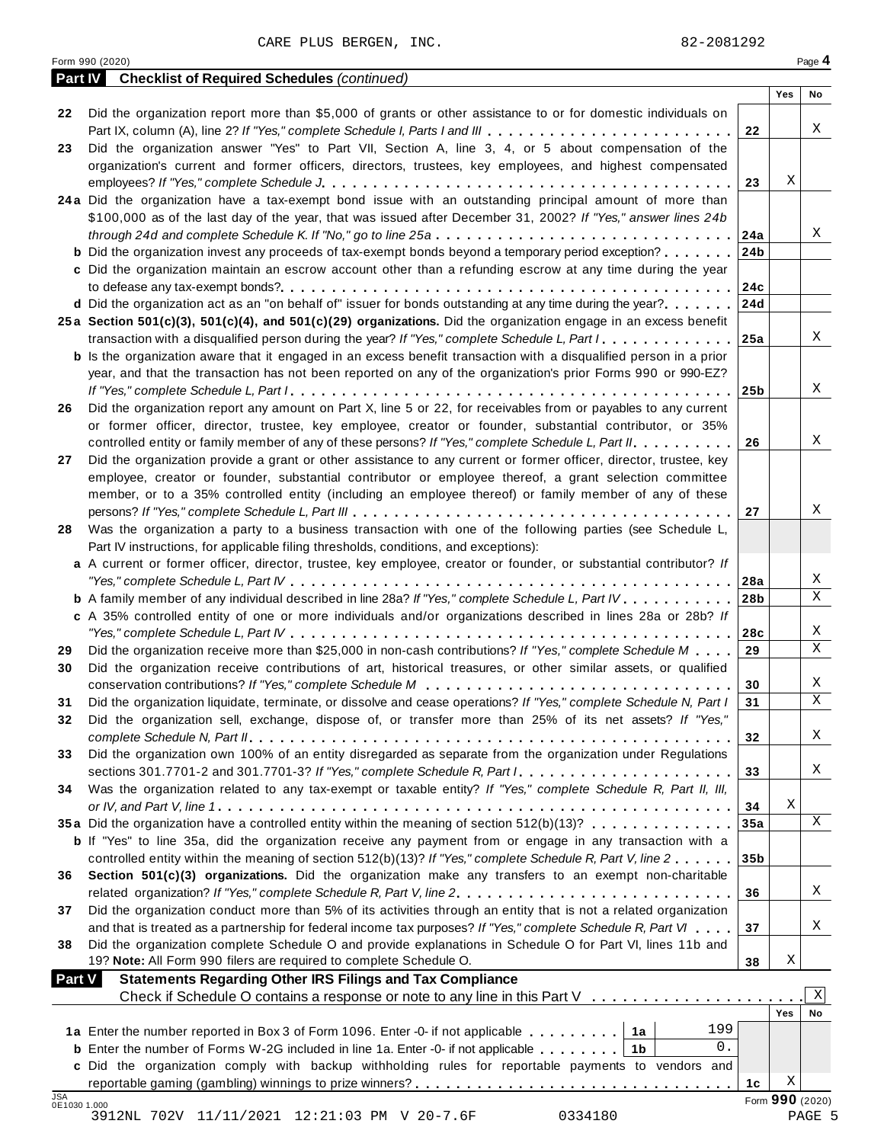|         | Form 990 (2020)                                                                                                               |                 |     | Page 4      |
|---------|-------------------------------------------------------------------------------------------------------------------------------|-----------------|-----|-------------|
| Part IV | <b>Checklist of Required Schedules (continued)</b>                                                                            |                 |     |             |
|         |                                                                                                                               |                 | Yes | No          |
| 22      | Did the organization report more than \$5,000 of grants or other assistance to or for domestic individuals on                 |                 |     |             |
|         | Part IX, column (A), line 2? If "Yes," complete Schedule I, Parts I and III                                                   | 22              |     | Χ           |
| 23      | Did the organization answer "Yes" to Part VII, Section A, line 3, 4, or 5 about compensation of the                           |                 |     |             |
|         | organization's current and former officers, directors, trustees, key employees, and highest compensated                       |                 |     |             |
|         |                                                                                                                               | 23              | Χ   |             |
|         | 24a Did the organization have a tax-exempt bond issue with an outstanding principal amount of more than                       |                 |     |             |
|         | \$100,000 as of the last day of the year, that was issued after December 31, 2002? If "Yes," answer lines 24b                 |                 |     |             |
|         | through 24d and complete Schedule K. If "No," go to line 25a $\ldots$ ,                                                       | 24a             |     | Χ           |
|         | <b>b</b> Did the organization invest any proceeds of tax-exempt bonds beyond a temporary period exception?                    | 24 <sub>b</sub> |     |             |
|         | c Did the organization maintain an escrow account other than a refunding escrow at any time during the year                   |                 |     |             |
|         |                                                                                                                               | 24c             |     |             |
|         | d Did the organization act as an "on behalf of" issuer for bonds outstanding at any time during the year?                     | 24d             |     |             |
|         | 25a Section 501(c)(3), 501(c)(4), and 501(c)(29) organizations. Did the organization engage in an excess benefit              |                 |     |             |
|         | transaction with a disqualified person during the year? If "Yes," complete Schedule L, Part I                                 | 25a             |     | Χ           |
|         | <b>b</b> Is the organization aware that it engaged in an excess benefit transaction with a disqualified person in a prior     |                 |     |             |
|         | year, and that the transaction has not been reported on any of the organization's prior Forms 990 or 990-EZ?                  |                 |     |             |
|         |                                                                                                                               | 25b             |     | Χ           |
| 26      | Did the organization report any amount on Part X, line 5 or 22, for receivables from or payables to any current               |                 |     |             |
|         | or former officer, director, trustee, key employee, creator or founder, substantial contributor, or 35%                       |                 |     |             |
|         | controlled entity or family member of any of these persons? If "Yes," complete Schedule L, Part II.                           | 26              |     | Χ           |
|         |                                                                                                                               |                 |     |             |
| 27      | Did the organization provide a grant or other assistance to any current or former officer, director, trustee, key             |                 |     |             |
|         | employee, creator or founder, substantial contributor or employee thereof, a grant selection committee                        |                 |     |             |
|         | member, or to a 35% controlled entity (including an employee thereof) or family member of any of these                        |                 |     | Χ           |
|         |                                                                                                                               | 27              |     |             |
| 28      | Was the organization a party to a business transaction with one of the following parties (see Schedule L,                     |                 |     |             |
|         | Part IV instructions, for applicable filing thresholds, conditions, and exceptions):                                          |                 |     |             |
|         | a A current or former officer, director, trustee, key employee, creator or founder, or substantial contributor? If            |                 |     |             |
|         |                                                                                                                               | 28a             |     | X           |
|         | <b>b</b> A family member of any individual described in line 28a? If "Yes," complete Schedule L, Part IV.                     | 28 <sub>b</sub> |     | X           |
|         | c A 35% controlled entity of one or more individuals and/or organizations described in lines 28a or 28b? If                   |                 |     |             |
|         |                                                                                                                               | 28c             |     | Χ           |
| 29      | Did the organization receive more than \$25,000 in non-cash contributions? If "Yes," complete Schedule M                      | 29              |     | Χ           |
| 30      | Did the organization receive contributions of art, historical treasures, or other similar assets, or qualified                |                 |     |             |
|         |                                                                                                                               | 30              |     | Χ           |
| 31      | Did the organization liquidate, terminate, or dissolve and cease operations? If "Yes," complete Schedule N, Part I            | 31              |     | $\mathbf X$ |
| 32      | Did the organization sell, exchange, dispose of, or transfer more than 25% of its net assets? If "Yes,"                       |                 |     |             |
|         |                                                                                                                               | 32              |     | Χ           |
| 33      | Did the organization own 100% of an entity disregarded as separate from the organization under Regulations                    |                 |     |             |
|         | sections 301.7701-2 and 301.7701-3? If "Yes," complete Schedule R, Part $l_1, \ldots, \ldots, \ldots, \ldots, \ldots, \ldots$ | 33              |     | X           |
| 34      | Was the organization related to any tax-exempt or taxable entity? If "Yes," complete Schedule R, Part II, III,                |                 |     |             |
|         |                                                                                                                               | 34              | Χ   |             |
|         | 35a Did the organization have a controlled entity within the meaning of section 512(b)(13)?                                   | 35a             |     | X           |
|         | <b>b</b> If "Yes" to line 35a, did the organization receive any payment from or engage in any transaction with a              |                 |     |             |
|         | controlled entity within the meaning of section 512(b)(13)? If "Yes," complete Schedule R, Part V, line 2                     | 35 <sub>b</sub> |     |             |
| 36      | Section 501(c)(3) organizations. Did the organization make any transfers to an exempt non-charitable                          |                 |     |             |
|         |                                                                                                                               | 36              |     | Χ           |
| 37      | Did the organization conduct more than 5% of its activities through an entity that is not a related organization              |                 |     |             |

| 0E1030 1.000  | 3912NL 702V 11/11/2021 12:21:03 PM V 20-7.6F<br>0334180                                                                   |                 |            | PAGE 5          |
|---------------|---------------------------------------------------------------------------------------------------------------------------|-----------------|------------|-----------------|
| <b>JSA</b>    |                                                                                                                           | 1c              |            | Form 990 (2020) |
|               | c Did the organization comply with backup withholding rules for reportable payments to vendors and                        |                 | Χ          |                 |
|               |                                                                                                                           |                 |            |                 |
|               | 1a<br>0.<br><b>b</b> Enter the number of Forms W-2G included in line 1a. Enter -0- if not applicable<br>1b                |                 |            |                 |
|               | 199<br>1a Enter the number reported in Box 3 of Form 1096. Enter -0- if not applicable                                    |                 |            |                 |
|               |                                                                                                                           |                 | <b>Yes</b> | No              |
|               | Check if Schedule O contains a response or note to any line in this Part V                                                |                 |            | Χ               |
| <b>Part V</b> | <b>Statements Regarding Other IRS Filings and Tax Compliance</b>                                                          |                 |            |                 |
|               | 19? Note: All Form 990 filers are required to complete Schedule O.                                                        | 38              | Χ          |                 |
| 38            | Did the organization complete Schedule O and provide explanations in Schedule O for Part VI, lines 11b and                |                 |            |                 |
|               | and that is treated as a partnership for federal income tax purposes? If "Yes," complete Schedule R, Part VI              | 37              |            | Χ               |
| 37            | Did the organization conduct more than 5% of its activities through an entity that is not a related organization          |                 |            |                 |
|               | related organization? If "Yes," complete Schedule R, Part V, line 2.                                                      | 36              |            | Χ               |
| 36            | Section 501(c)(3) organizations. Did the organization make any transfers to an exempt non-charitable                      |                 |            |                 |
|               | controlled entity within the meaning of section 512(b)(13)? If "Yes," complete Schedule R, Part V, line 2                 | 35 <sub>b</sub> |            |                 |
|               | <b>b</b> If "Yes" to line 35a, did the organization receive any payment from or engage in any transaction with a          |                 |            |                 |
|               | 35a Did the organization have a controlled entity within the meaning of section 512(b)(13)?                               | 35a             |            | Χ               |
|               |                                                                                                                           | 34              | Χ          |                 |
| 34            | Was the organization related to any tax-exempt or taxable entity? If "Yes," complete Schedule R, Part II, III,            |                 |            |                 |
|               |                                                                                                                           | 33              |            |                 |
| 33            | Did the organization own 100% of an entity disregarded as separate from the organization under Regulations                |                 |            | Χ               |
|               |                                                                                                                           |                 |            |                 |
|               |                                                                                                                           | 32              |            | Χ               |
| 32            | Did the organization sell, exchange, dispose of, or transfer more than 25% of its net assets? If "Yes,"                   |                 |            |                 |
| 31            | Did the organization liquidate, terminate, or dissolve and cease operations? If "Yes," complete Schedule N, Part I        | 31              |            | X               |
|               |                                                                                                                           | 30              |            | Χ               |
| 30            | Did the organization receive contributions of art, historical treasures, or other similar assets, or qualified            |                 |            |                 |
| 29            | Did the organization receive more than \$25,000 in non-cash contributions? If "Yes," complete Schedule M                  | 29              |            | X               |
|               |                                                                                                                           | 28c             |            | Χ               |
|               | c A 35% controlled entity of one or more individuals and/or organizations described in lines 28a or 28b? If               |                 |            |                 |
|               | <b>b</b> A family member of any individual described in line 28a? If "Yes," complete Schedule L, Part IV.                 | 28 <sub>b</sub> |            | X               |
|               |                                                                                                                           | 28a             |            | Χ               |
|               | a A current or former officer, director, trustee, key employee, creator or founder, or substantial contributor? If        |                 |            |                 |
|               | Part IV instructions, for applicable filing thresholds, conditions, and exceptions):                                      |                 |            |                 |
| 28            | Was the organization a party to a business transaction with one of the following parties (see Schedule L,                 |                 |            |                 |
|               |                                                                                                                           | 27              |            | Χ               |
|               | member, or to a 35% controlled entity (including an employee thereof) or family member of any of these                    |                 |            |                 |
|               | employee, creator or founder, substantial contributor or employee thereof, a grant selection committee                    |                 |            |                 |
| 27            | Did the organization provide a grant or other assistance to any current or former officer, director, trustee, key         |                 |            |                 |
|               | controlled entity or family member of any of these persons? If "Yes," complete Schedule L, Part II.                       | 26              |            | X               |
|               | or former officer, director, trustee, key employee, creator or founder, substantial contributor, or 35%                   |                 |            |                 |
| 26            |                                                                                                                           |                 |            |                 |
|               | Did the organization report any amount on Part X, line 5 or 22, for receivables from or payables to any current           |                 |            |                 |
|               |                                                                                                                           | 25b             |            | Χ               |
|               | year, and that the transaction has not been reported on any of the organization's prior Forms 990 or 990-EZ?              |                 |            |                 |
|               | <b>b</b> Is the organization aware that it engaged in an excess benefit transaction with a disqualified person in a prior |                 |            |                 |
|               | transaction with a disqualified person during the year? If "Yes," complete Schedule L, Part I                             | 25a             |            | Χ               |
|               | 25a Section 501(c)(3), 501(c)(4), and 501(c)(29) organizations. Did the organization engage in an excess benefit          |                 |            |                 |
|               | d Did the organization act as an "on behalf of" issuer for bonds outstanding at any time during the year?                 | 24d             |            |                 |
|               |                                                                                                                           | 24c             |            |                 |
|               | c Did the organization maintain an escrow account other than a refunding escrow at any time during the year               |                 |            |                 |
|               | <b>b</b> Did the organization invest any proceeds of tax-exempt bonds beyond a temporary period exception?                | 24 <sub>b</sub> |            |                 |
|               | through 24d and complete Schedule K. If "No," go to line 25a                                                              | 24a             |            | Χ               |
|               | \$100,000 as of the last day of the year, that was issued after December 31, 2002? If "Yes," answer lines 24b             |                 |            |                 |
|               | 24a Did the organization have a tax-exempt bond issue with an outstanding principal amount of more than                   |                 |            |                 |
|               |                                                                                                                           | 23              | Χ          |                 |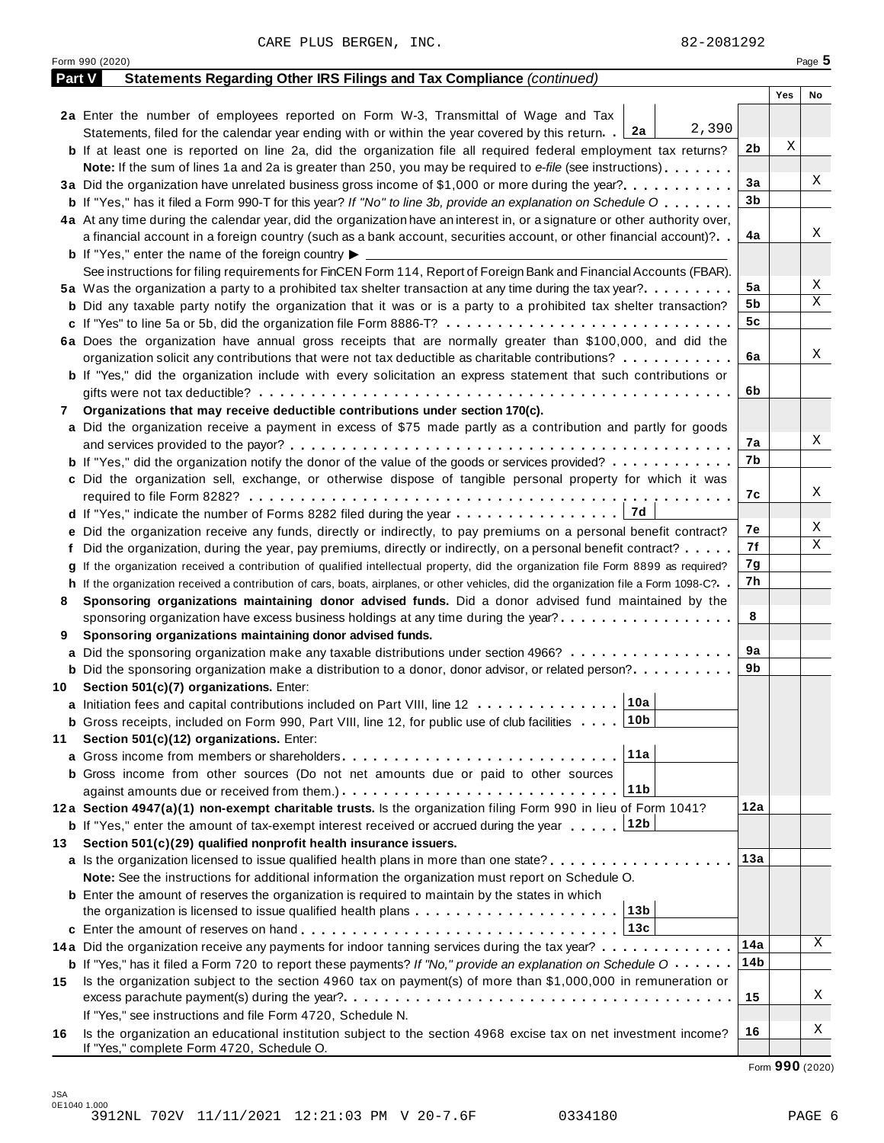Form <sup>990</sup> (2020) Page **5**

| <b>Part V</b> | Statements Regarding Other IRS Filings and Tax Compliance (continued)                                                                        |                |     |    |
|---------------|----------------------------------------------------------------------------------------------------------------------------------------------|----------------|-----|----|
|               |                                                                                                                                              |                | Yes | No |
|               | 2a Enter the number of employees reported on Form W-3, Transmittal of Wage and Tax                                                           |                |     |    |
|               | 2,390<br>2a<br>Statements, filed for the calendar year ending with or within the year covered by this return.                                |                |     |    |
|               | <b>b</b> If at least one is reported on line 2a, did the organization file all required federal employment tax returns?                      | 2 <sub>b</sub> | Χ   |    |
|               | Note: If the sum of lines 1a and 2a is greater than 250, you may be required to e-file (see instructions)                                    |                |     |    |
|               | 3a Did the organization have unrelated business gross income of \$1,000 or more during the year?                                             | 3a             |     | Χ  |
|               | <b>b</b> If "Yes," has it filed a Form 990-T for this year? If "No" to line 3b, provide an explanation on Schedule O                         | 3 <sub>b</sub> |     |    |
|               | 4a At any time during the calendar year, did the organization have an interest in, or a signature or other authority over,                   |                |     |    |
|               | a financial account in a foreign country (such as a bank account, securities account, or other financial account)?                           | 4a             |     | Χ  |
|               | <b>b</b> If "Yes," enter the name of the foreign country $\blacktriangleright$ $\equiv$                                                      |                |     |    |
|               | See instructions for filing requirements for FinCEN Form 114, Report of Foreign Bank and Financial Accounts (FBAR).                          |                |     |    |
|               | 5a Was the organization a party to a prohibited tax shelter transaction at any time during the tax year?                                     | 5a             |     | Χ  |
|               | <b>b</b> Did any taxable party notify the organization that it was or is a party to a prohibited tax shelter transaction?                    | 5b             |     | Χ  |
|               | c If "Yes" to line 5a or 5b, did the organization file Form 8886-T?                                                                          | 5 <sub>c</sub> |     |    |
|               | 6a Does the organization have annual gross receipts that are normally greater than \$100,000, and did the                                    |                |     |    |
|               | organization solicit any contributions that were not tax deductible as charitable contributions?                                             | 6a             |     | Χ  |
|               | <b>b</b> If "Yes," did the organization include with every solicitation an express statement that such contributions or                      |                |     |    |
|               |                                                                                                                                              | 6b             |     |    |
| 7             | Organizations that may receive deductible contributions under section 170(c).                                                                |                |     |    |
|               | a Did the organization receive a payment in excess of \$75 made partly as a contribution and partly for goods                                |                |     |    |
|               |                                                                                                                                              | 7a             |     | Χ  |
|               | <b>b</b> If "Yes," did the organization notify the donor of the value of the goods or services provided?                                     | 7b             |     |    |
|               | c Did the organization sell, exchange, or otherwise dispose of tangible personal property for which it was                                   |                |     |    |
|               |                                                                                                                                              | 7c             |     | X  |
|               |                                                                                                                                              |                |     |    |
|               | e Did the organization receive any funds, directly or indirectly, to pay premiums on a personal benefit contract?                            | 7e             |     | Χ  |
|               | f Did the organization, during the year, pay premiums, directly or indirectly, on a personal benefit contract?                               | 7f             |     | Χ  |
|               | g If the organization received a contribution of qualified intellectual property, did the organization file Form 8899 as required?           | 7g             |     |    |
|               | h If the organization received a contribution of cars, boats, airplanes, or other vehicles, did the organization file a Form 1098-C?. .      | 7h             |     |    |
| 8             | Sponsoring organizations maintaining donor advised funds. Did a donor advised fund maintained by the                                         |                |     |    |
|               | sponsoring organization have excess business holdings at any time during the year?                                                           | 8              |     |    |
| 9             | Sponsoring organizations maintaining donor advised funds.                                                                                    |                |     |    |
|               | a Did the sponsoring organization make any taxable distributions under section 4966?                                                         | 9a             |     |    |
|               | <b>b</b> Did the sponsoring organization make a distribution to a donor, donor advisor, or related person?                                   | 9b             |     |    |
| 10            | Section 501(c)(7) organizations. Enter:                                                                                                      |                |     |    |
|               | 10a<br>a Initiation fees and capital contributions included on Part VIII, line 12                                                            |                |     |    |
|               | <b>b</b> Gross receipts, included on Form 990, Part VIII, line 12, for public use of club facilities  10b                                    |                |     |    |
| 11            | Section 501(c)(12) organizations. Enter:                                                                                                     |                |     |    |
|               | 11a<br>a Gross income from members or shareholders                                                                                           |                |     |    |
|               | <b>b</b> Gross income from other sources (Do not net amounts due or paid to other sources                                                    |                |     |    |
|               | 11 <sub>b</sub>                                                                                                                              |                |     |    |
|               | 12a Section 4947(a)(1) non-exempt charitable trusts. Is the organization filing Form 990 in lieu of Form 1041?                               | 12a            |     |    |
|               | 12b<br><b>b</b> If "Yes," enter the amount of tax-exempt interest received or accrued during the year                                        |                |     |    |
| 13            | Section 501(c)(29) qualified nonprofit health insurance issuers.                                                                             |                |     |    |
|               | a Is the organization licensed to issue qualified health plans in more than one state?                                                       | 13a            |     |    |
|               | Note: See the instructions for additional information the organization must report on Schedule O.                                            |                |     |    |
|               | <b>b</b> Enter the amount of reserves the organization is required to maintain by the states in which                                        |                |     |    |
|               | 13 <sub>b</sub>                                                                                                                              |                |     |    |
|               | 13c                                                                                                                                          |                |     | X  |
|               | 14a Did the organization receive any payments for indoor tanning services during the tax year?                                               | 14a            |     |    |
|               | <b>b</b> If "Yes," has it filed a Form 720 to report these payments? If "No," provide an explanation on Schedule $0 \cdot \cdot \cdot \cdot$ | 14b            |     |    |
| 15            | Is the organization subject to the section 4960 tax on payment(s) of more than \$1,000,000 in remuneration or                                |                |     | X  |
|               |                                                                                                                                              | 15             |     |    |
|               | If "Yes," see instructions and file Form 4720, Schedule N.                                                                                   |                |     | Χ  |
| 16            | Is the organization an educational institution subject to the section 4968 excise tax on net investment income?                              | 16             |     |    |
|               | If "Yes," complete Form 4720, Schedule O.                                                                                                    |                |     |    |

Form **990** (2020)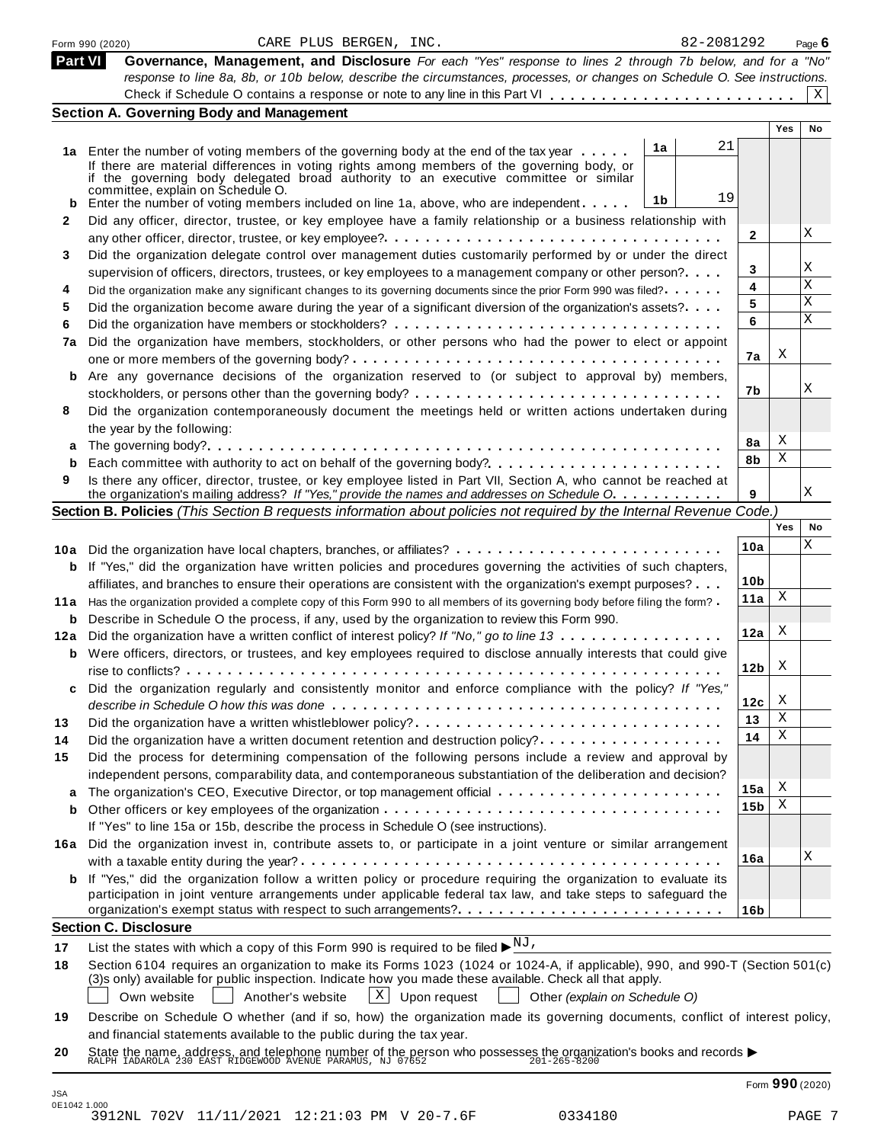|                | 82-2081292<br>CARE PLUS BERGEN, INC.<br>Form 990 (2020)                                                                                                                                                                                  |                 |     | Page 6          |
|----------------|------------------------------------------------------------------------------------------------------------------------------------------------------------------------------------------------------------------------------------------|-----------------|-----|-----------------|
| <b>Part VI</b> | Governance, Management, and Disclosure For each "Yes" response to lines 2 through 7b below, and for a "No"                                                                                                                               |                 |     |                 |
|                | response to line 8a, 8b, or 10b below, describe the circumstances, processes, or changes on Schedule O. See instructions.                                                                                                                |                 |     |                 |
|                |                                                                                                                                                                                                                                          |                 |     | X               |
|                | <b>Section A. Governing Body and Management</b>                                                                                                                                                                                          |                 |     |                 |
|                |                                                                                                                                                                                                                                          |                 | Yes | No              |
|                | 21<br>1a<br>1a Enter the number of voting members of the governing body at the end of the tax year                                                                                                                                       |                 |     |                 |
|                | If there are material differences in voting rights among members of the governing body, or                                                                                                                                               |                 |     |                 |
|                | if the governing body delegated broad authority to an executive committee or similar<br>committee, explain on Schedule O.                                                                                                                |                 |     |                 |
| b              | 19<br>1b<br>Enter the number of voting members included on line 1a, above, who are independent                                                                                                                                           |                 |     |                 |
| 2              | Did any officer, director, trustee, or key employee have a family relationship or a business relationship with                                                                                                                           |                 |     |                 |
|                |                                                                                                                                                                                                                                          | 2               |     | Χ               |
| 3              | Did the organization delegate control over management duties customarily performed by or under the direct                                                                                                                                |                 |     |                 |
|                | supervision of officers, directors, trustees, or key employees to a management company or other person?                                                                                                                                  | 3               |     | Χ               |
| 4              | Did the organization make any significant changes to its governing documents since the prior Form 990 was filed?.                                                                                                                        | 4               |     | Χ               |
| 5              | Did the organization become aware during the year of a significant diversion of the organization's assets?                                                                                                                               | 5               |     | Χ               |
| 6              |                                                                                                                                                                                                                                          | 6               |     | X               |
| 7a             | Did the organization have members, stockholders, or other persons who had the power to elect or appoint                                                                                                                                  |                 |     |                 |
|                |                                                                                                                                                                                                                                          | 7a              | X   |                 |
| b              | Are any governance decisions of the organization reserved to (or subject to approval by) members,                                                                                                                                        |                 |     |                 |
|                |                                                                                                                                                                                                                                          | 7b              |     | X               |
| 8              | Did the organization contemporaneously document the meetings held or written actions undertaken during                                                                                                                                   |                 |     |                 |
|                | the year by the following:                                                                                                                                                                                                               |                 |     |                 |
| a              |                                                                                                                                                                                                                                          | 8а              | X   |                 |
| b              |                                                                                                                                                                                                                                          | 8b              | Χ   |                 |
| 9              | Is there any officer, director, trustee, or key employee listed in Part VII, Section A, who cannot be reached at                                                                                                                         |                 |     |                 |
|                | the organization's mailing address? If "Yes," provide the names and addresses on Schedule O.                                                                                                                                             | 9               |     | X               |
|                | Section B. Policies (This Section B requests information about policies not required by the Internal Revenue Code.)                                                                                                                      |                 |     |                 |
|                |                                                                                                                                                                                                                                          |                 | Yes | No              |
|                | 10a Did the organization have local chapters, branches, or affiliates?                                                                                                                                                                   | 10a             |     | Χ               |
| b              | If "Yes," did the organization have written policies and procedures governing the activities of such chapters,                                                                                                                           |                 |     |                 |
|                | affiliates, and branches to ensure their operations are consistent with the organization's exempt purposes?                                                                                                                              | 10 <sub>b</sub> |     |                 |
|                | 11a Has the organization provided a complete copy of this Form 990 to all members of its governing body before filing the form?                                                                                                          | 11a             | Χ   |                 |
| b              | Describe in Schedule O the process, if any, used by the organization to review this Form 990.                                                                                                                                            |                 |     |                 |
|                | 12a Did the organization have a written conflict of interest policy? If "No," go to line 13                                                                                                                                              | 12a             | X   |                 |
| b              | Were officers, directors, or trustees, and key employees required to disclose annually interests that could give                                                                                                                         |                 |     |                 |
|                |                                                                                                                                                                                                                                          | 12 <sub>b</sub> | X   |                 |
|                | Did the organization regularly and consistently monitor and enforce compliance with the policy? If "Yes,"                                                                                                                                |                 |     |                 |
|                |                                                                                                                                                                                                                                          | 12c             | X   |                 |
| 13             | Did the organization have a written whistleblower policy?                                                                                                                                                                                | 13              | Χ   |                 |
| 14             | Did the organization have a written document retention and destruction policy?                                                                                                                                                           | 14              | Χ   |                 |
| 15             | Did the process for determining compensation of the following persons include a review and approval by                                                                                                                                   |                 |     |                 |
|                | independent persons, comparability data, and contemporaneous substantiation of the deliberation and decision?                                                                                                                            |                 |     |                 |
|                | The organization's CEO, Executive Director, or top management official                                                                                                                                                                   | 15a             | X   |                 |
| а<br>b         |                                                                                                                                                                                                                                          | 15 <sub>b</sub> | Χ   |                 |
|                | If "Yes" to line 15a or 15b, describe the process in Schedule O (see instructions).                                                                                                                                                      |                 |     |                 |
| 16a            | Did the organization invest in, contribute assets to, or participate in a joint venture or similar arrangement                                                                                                                           |                 |     |                 |
|                |                                                                                                                                                                                                                                          | 16a             |     | Χ               |
| b              | If "Yes," did the organization follow a written policy or procedure requiring the organization to evaluate its                                                                                                                           |                 |     |                 |
|                | participation in joint venture arrangements under applicable federal tax law, and take steps to safeguard the                                                                                                                            |                 |     |                 |
|                | organization's exempt status with respect to such arrangements?                                                                                                                                                                          | 16b             |     |                 |
|                | <b>Section C. Disclosure</b>                                                                                                                                                                                                             |                 |     |                 |
|                |                                                                                                                                                                                                                                          |                 |     |                 |
| 17             | List the states with which a copy of this Form 990 is required to be filed $\blacktriangleright^{\text{NJ}}$ .                                                                                                                           |                 |     |                 |
| 18             | Section 6104 requires an organization to make its Forms 1023 (1024 or 1024-A, if applicable), 990, and 990-T (Section 501(c)<br>(3)s only) available for public inspection. Indicate how you made these available. Check all that apply. |                 |     |                 |
|                | $X$ Upon request<br>Own website<br>Another's website<br>Other (explain on Schedule O)                                                                                                                                                    |                 |     |                 |
|                |                                                                                                                                                                                                                                          |                 |     |                 |
| 19             | Describe on Schedule O whether (and if so, how) the organization made its governing documents, conflict of interest policy,                                                                                                              |                 |     |                 |
|                | and financial statements available to the public during the tax year.                                                                                                                                                                    |                 |     |                 |
| 20             | State the name, address, and telephone number of the person who possesses the organization's books and records $\blacktriangleright$<br>RALPH IADAROLA 230 EAST RIDGEWOOD AVENUE PARAMUS, NJ 07652<br>201-265-8200                       |                 |     |                 |
|                |                                                                                                                                                                                                                                          |                 |     |                 |
| <b>JSA</b>     |                                                                                                                                                                                                                                          |                 |     | Form 990 (2020) |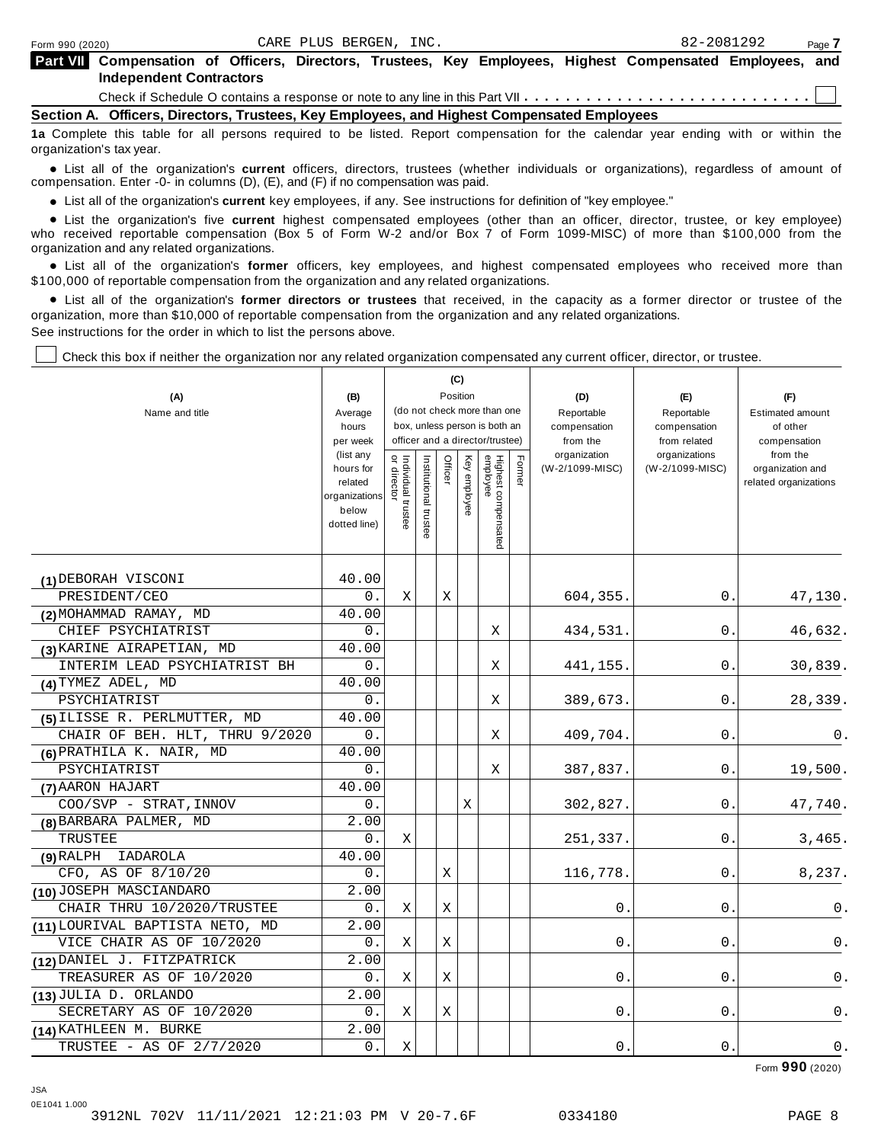| Part VII Compensation of Officers, Directors, Trustees, Key Employees, Highest Compensated Employees, and |  |  |  |  |  |
|-----------------------------------------------------------------------------------------------------------|--|--|--|--|--|
| <b>Independent Contractors</b>                                                                            |  |  |  |  |  |

Check if Schedule O contains a response or note to any line in this Part VII  $\dots \dots \dots \dots \dots \dots \dots \dots \dots \dots$ 

**Section A. Officers, Directors, Trustees, Key Employees, and Highest Compensated Employees**

**1a** Complete this table for all persons required to be listed. Report compensation for the calendar year ending with or within the organization's tax year.

anization's lax year.<br>● List all of the organization's **current** officers, directors, trustees (whether individuals or organizations), regardless of amount of<br>nnensation Enter -0- in columns (D) (E) and (E) if no compensa compensation. Enter -0- in columns (D), (E), and (F) if no compensation was paid.

• List all of the organization's current key employees, if any. See instructions for definition of "key employee."

■ List all of the organization's current key employees, if any. See instructions for definition of "key employee."<br>■ List the organization's five current highest compensated employees (other than an officer, director, tru who received reportable compensation (Box 5 of Form W-2 and/or Box 7 of Form 1099-MISC) of more than \$100,000 from the

organization and any related organizations.<br>• List all of the organization's **former** officers, key employees, and highest compensated employees who received more than<br>\$1.00.000 of reportable componention from the erganiza \$100,000 of reportable compensation from the organization and any related organizations.

% List all of the organization's **former directors or trustees** that received, in the capacity as a former director or trustee of the organization, more than \$10,000 of reportable compensation from the organization and any related organizations. See instructions for the order in which to list the persons above.

Check this box if neither the organization nor any related organization compensated any current officer, director, or trustee.

|                                 |                        |                                   |                       |         | (C)          |                                 |        |                          |                               |                          |
|---------------------------------|------------------------|-----------------------------------|-----------------------|---------|--------------|---------------------------------|--------|--------------------------|-------------------------------|--------------------------|
| (A)                             | (B)                    |                                   |                       |         | Position     |                                 |        | (D)                      | (E)                           | (F)                      |
| Name and title                  | Average                |                                   |                       |         |              | (do not check more than one     |        | Reportable               | Reportable                    | <b>Estimated amount</b>  |
|                                 | hours                  |                                   |                       |         |              | box, unless person is both an   |        | compensation             | compensation                  | of other                 |
|                                 | per week<br>(list any  |                                   |                       |         |              | officer and a director/trustee) |        | from the<br>organization | from related<br>organizations | compensation<br>from the |
|                                 | hours for              | Individual trustee<br>or director | Institutional trustee | Officer | Key employee |                                 | Former | (W-2/1099-MISC)          | (W-2/1099-MISC)               | organization and         |
|                                 | related                |                                   |                       |         |              |                                 |        |                          |                               | related organizations    |
|                                 | organizations<br>below |                                   |                       |         |              |                                 |        |                          |                               |                          |
|                                 | dotted line)           |                                   |                       |         |              |                                 |        |                          |                               |                          |
|                                 |                        |                                   |                       |         |              | Highest compensated<br>employee |        |                          |                               |                          |
|                                 |                        |                                   |                       |         |              |                                 |        |                          |                               |                          |
| (1) DEBORAH VISCONI             | 40.00                  |                                   |                       |         |              |                                 |        |                          |                               |                          |
| PRESIDENT/CEO                   | 0.                     | Χ                                 |                       | Χ       |              |                                 |        | 604,355.                 | 0.                            | 47,130.                  |
| (2) MOHAMMAD RAMAY, MD          | 40.00                  |                                   |                       |         |              |                                 |        |                          |                               |                          |
| CHIEF PSYCHIATRIST              | 0.                     |                                   |                       |         |              | Χ                               |        | 434,531.                 | 0.                            | 46,632.                  |
| (3) KARINE AIRAPETIAN, MD       | 40.00                  |                                   |                       |         |              |                                 |        |                          |                               |                          |
| INTERIM LEAD PSYCHIATRIST BH    | 0.                     |                                   |                       |         |              | X                               |        | 441,155                  | 0.                            | 30,839.                  |
| (4) TYMEZ ADEL, MD              | 40.00                  |                                   |                       |         |              |                                 |        |                          |                               |                          |
| PSYCHIATRIST                    | 0.                     |                                   |                       |         |              | Χ                               |        | 389,673.                 | 0.                            | 28,339.                  |
| (5) ILISSE R. PERLMUTTER, MD    | 40.00                  |                                   |                       |         |              |                                 |        |                          |                               |                          |
| CHAIR OF BEH. HLT, THRU 9/2020  | 0.                     |                                   |                       |         |              | Χ                               |        | 409,704.                 | 0                             | 0.                       |
| (6) PRATHILA K. NAIR, MD        | 40.00                  |                                   |                       |         |              |                                 |        |                          |                               |                          |
| PSYCHIATRIST                    | 0.                     |                                   |                       |         |              | Χ                               |        | 387,837.                 | 0.                            | 19,500.                  |
| (7) AARON HAJART                | 40.00                  |                                   |                       |         |              |                                 |        |                          |                               |                          |
| COO/SVP - STRAT, INNOV          | $0$ .                  |                                   |                       |         | X            |                                 |        | 302,827.                 | 0.                            | 47,740.                  |
| (8) BARBARA PALMER, MD          | 2.00                   |                                   |                       |         |              |                                 |        |                          |                               |                          |
| <b>TRUSTEE</b>                  | 0.                     | X                                 |                       |         |              |                                 |        | 251,337.                 | $\mathbf 0$ .                 | 3,465.                   |
| IADAROLA<br>$(9)$ RALPH         | 40.00                  |                                   |                       |         |              |                                 |        |                          |                               |                          |
| CFO, AS OF 8/10/20              | 0.                     |                                   |                       | Χ       |              |                                 |        | 116,778.                 | 0.                            | 8,237.                   |
| (10) JOSEPH MASCIANDARO         | 2.00                   |                                   |                       |         |              |                                 |        |                          |                               |                          |
| CHAIR THRU 10/2020/TRUSTEE      | 0.                     | X                                 |                       | Χ       |              |                                 |        | 0.                       | 0.                            | 0.                       |
| (11) LOURIVAL BAPTISTA NETO, MD | 2.00                   |                                   |                       |         |              |                                 |        |                          |                               |                          |
| VICE CHAIR AS OF 10/2020        | 0.                     | X                                 |                       | Χ       |              |                                 |        | $\mathbf 0$              | $\mathbf 0$ .                 | 0.                       |
| (12) DANIEL J. FITZPATRICK      | 2.00                   |                                   |                       |         |              |                                 |        |                          |                               |                          |
| TREASURER AS OF 10/2020         | 0.                     | X                                 |                       | Χ       |              |                                 |        | 0                        | 0                             | 0.                       |
| (13) JULIA D. ORLANDO           | 2.00                   |                                   |                       |         |              |                                 |        |                          |                               |                          |
| SECRETARY AS OF 10/2020         | 0.                     | X                                 |                       | Χ       |              |                                 |        | 0                        | 0                             | $0$ .                    |
| (14) KATHLEEN M. BURKE          | 2.00                   |                                   |                       |         |              |                                 |        |                          |                               |                          |
| TRUSTEE - AS OF 2/7/2020        | 0.                     | Χ                                 |                       |         |              |                                 |        | $0$ .                    | $0$ .                         | $0$ .                    |

Form **990** (2020)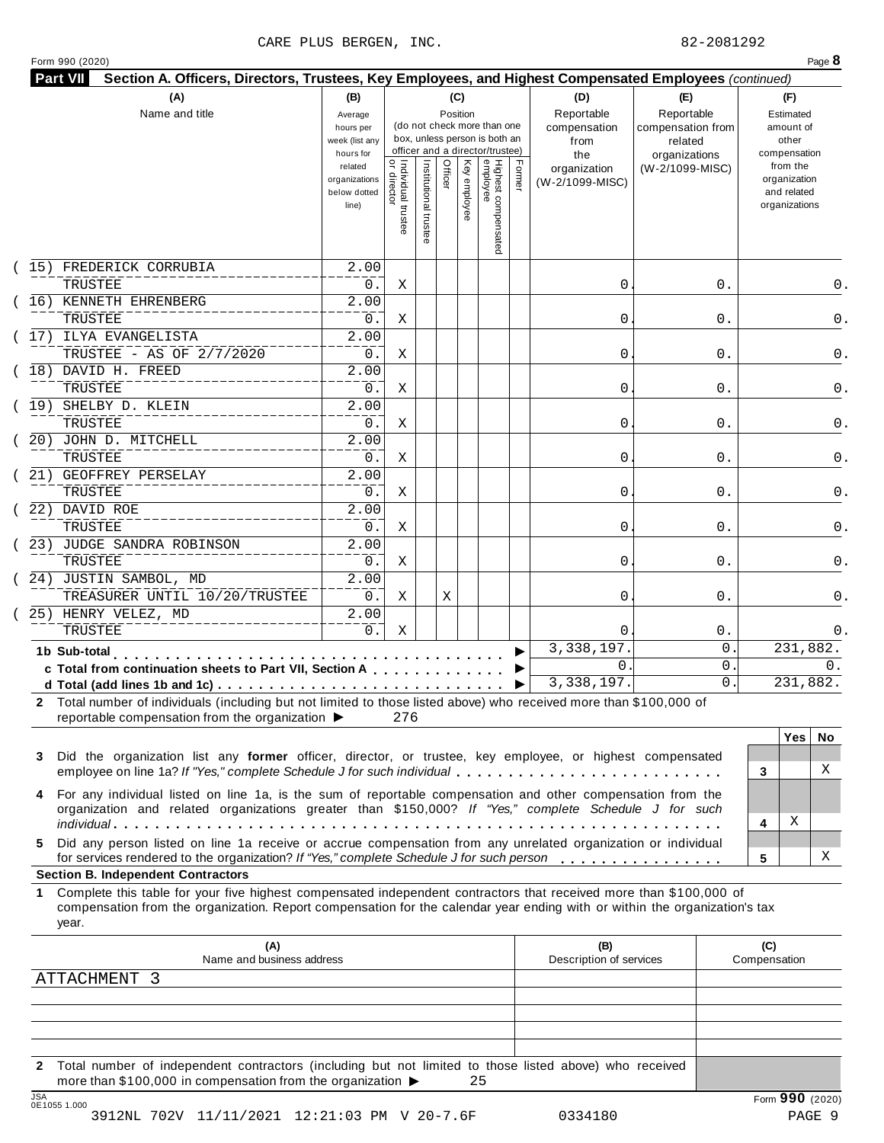## CARE PLUS BERGEN, INC. 82-2081292

| Form 990 (2020) |
|-----------------|
|-----------------|

| (A)<br>Name and title                                                                                                                                                                                                                                                                         | (B)<br>Average<br>hours per<br>week (list any<br>hours for |                                           |                       |         | (C)<br>Position | (do not check more than one<br>box, unless person is both an<br>officer and a director/trustee) |        | (D)<br>Reportable<br>compensation<br>from<br>the | (E)<br>Reportable<br>compensation from<br>related<br>organizations | (F)<br>Estimated<br>amount of<br>other<br>compensation   |
|-----------------------------------------------------------------------------------------------------------------------------------------------------------------------------------------------------------------------------------------------------------------------------------------------|------------------------------------------------------------|-------------------------------------------|-----------------------|---------|-----------------|-------------------------------------------------------------------------------------------------|--------|--------------------------------------------------|--------------------------------------------------------------------|----------------------------------------------------------|
|                                                                                                                                                                                                                                                                                               | related<br>organizations<br>below dotted<br>line)          | <br>  Individual trustee<br>  or director | Institutional trustee | Officer | Key employee    | Highest compensated<br>employee                                                                 | Former | organization<br>(W-2/1099-MISC)                  | (W-2/1099-MISC)                                                    | from the<br>organization<br>and related<br>organizations |
| 15) FREDERICK CORRUBIA                                                                                                                                                                                                                                                                        | $\overline{2.00}$                                          |                                           |                       |         |                 |                                                                                                 |        |                                                  |                                                                    |                                                          |
| TRUSTEE                                                                                                                                                                                                                                                                                       | 0.                                                         | Χ                                         |                       |         |                 |                                                                                                 |        | 0                                                | 0.                                                                 | 0.                                                       |
| 16) KENNETH EHRENBERG                                                                                                                                                                                                                                                                         | $\overline{2.00}$                                          |                                           |                       |         |                 |                                                                                                 |        |                                                  |                                                                    |                                                          |
| TRUSTEE<br>(17) ILYA EVANGELISTA                                                                                                                                                                                                                                                              | 0.<br>2.00                                                 | Χ                                         |                       |         |                 |                                                                                                 |        | 0                                                | 0.                                                                 | 0.                                                       |
| TRUSTEE - AS OF 2/7/2020                                                                                                                                                                                                                                                                      | 0.                                                         | Χ                                         |                       |         |                 |                                                                                                 |        | 0                                                | 0.                                                                 | 0.                                                       |
| (18) DAVID H. FREED                                                                                                                                                                                                                                                                           | $\overline{2.00}$                                          |                                           |                       |         |                 |                                                                                                 |        |                                                  |                                                                    |                                                          |
| TRUSTEE                                                                                                                                                                                                                                                                                       | 0.                                                         | Χ                                         |                       |         |                 |                                                                                                 |        | 0                                                | 0.                                                                 | 0.                                                       |
| SHELBY D. KLEIN<br>(19)                                                                                                                                                                                                                                                                       | $\overline{2.00}$                                          |                                           |                       |         |                 |                                                                                                 |        |                                                  |                                                                    |                                                          |
| TRUSTEE                                                                                                                                                                                                                                                                                       | 0.                                                         | Χ                                         |                       |         |                 |                                                                                                 |        | 0                                                | 0.                                                                 | 0.                                                       |
| 20) JOHN D. MITCHELL                                                                                                                                                                                                                                                                          | $\overline{2.00}$                                          |                                           |                       |         |                 |                                                                                                 |        |                                                  |                                                                    |                                                          |
| TRUSTEE                                                                                                                                                                                                                                                                                       | $0$ .                                                      | Χ                                         |                       |         |                 |                                                                                                 |        | 0                                                | 0.                                                                 | 0.                                                       |
| 21) GEOFFREY PERSELAY                                                                                                                                                                                                                                                                         | $\overline{2.00}$                                          |                                           |                       |         |                 |                                                                                                 |        |                                                  |                                                                    |                                                          |
| TRUSTEE                                                                                                                                                                                                                                                                                       | 0.                                                         | Χ                                         |                       |         |                 |                                                                                                 |        | 0                                                | 0.                                                                 | 0.                                                       |
| 22) DAVID ROE                                                                                                                                                                                                                                                                                 | $\overline{2.00}$                                          |                                           |                       |         |                 |                                                                                                 |        |                                                  |                                                                    |                                                          |
| TRUSTEE                                                                                                                                                                                                                                                                                       | $0$ .                                                      | Χ                                         |                       |         |                 |                                                                                                 |        | 0                                                | 0.                                                                 | 0.                                                       |
| (23) JUDGE SANDRA ROBINSON                                                                                                                                                                                                                                                                    | $\overline{2.00}$                                          |                                           |                       |         |                 |                                                                                                 |        |                                                  |                                                                    |                                                          |
| TRUSTEE                                                                                                                                                                                                                                                                                       | 0.                                                         | Χ                                         |                       |         |                 |                                                                                                 |        | 0                                                | 0.                                                                 | 0.                                                       |
| (24) JUSTIN SAMBOL, MD                                                                                                                                                                                                                                                                        | 2.00                                                       |                                           |                       |         |                 |                                                                                                 |        |                                                  |                                                                    |                                                          |
| TREASURER UNTIL 10/20/TRUSTEE                                                                                                                                                                                                                                                                 | 0.                                                         | Χ                                         |                       | Χ       |                 |                                                                                                 |        | 0                                                | 0.                                                                 | 0.                                                       |
| 25) HENRY VELEZ, MD                                                                                                                                                                                                                                                                           | 2.00                                                       |                                           |                       |         |                 |                                                                                                 |        |                                                  |                                                                    |                                                          |
| TRUSTEE                                                                                                                                                                                                                                                                                       | 0.                                                         | Χ                                         |                       |         |                 |                                                                                                 |        | $\Omega$                                         | $0$ .                                                              | 0.                                                       |
| 1b Sub-total<br>.                                                                                                                                                                                                                                                                             |                                                            |                                           |                       |         |                 |                                                                                                 |        | 3, 338, 197.                                     | 0                                                                  | 231,882.                                                 |
| c Total from continuation sheets to Part VII, Section A                                                                                                                                                                                                                                       |                                                            |                                           |                       |         |                 |                                                                                                 |        | $\mathbf{0}$ .<br>3,338,197.                     | 0<br>0.                                                            | 0.<br>231,882.                                           |
| 2 Total number of individuals (including but not limited to those listed above) who received more than \$100,000 of<br>reportable compensation from the organization ▶<br>Did the organization list any former officer, director, or trustee, key employee, or highest compensated<br>3       |                                                            | 276                                       |                       |         |                 |                                                                                                 |        |                                                  |                                                                    | <b>Yes</b><br>No.                                        |
| employee on line 1a? If "Yes," complete Schedule J for such individual                                                                                                                                                                                                                        |                                                            |                                           |                       |         |                 |                                                                                                 |        |                                                  |                                                                    | X<br>3                                                   |
| For any individual listed on line 1a, is the sum of reportable compensation and other compensation from the<br>4<br>organization and related organizations greater than \$150,000? If "Yes," complete Schedule J for such                                                                     |                                                            |                                           |                       |         |                 |                                                                                                 |        |                                                  |                                                                    | Χ<br>4                                                   |
| Did any person listed on line 1a receive or accrue compensation from any unrelated organization or individual<br>5.                                                                                                                                                                           |                                                            |                                           |                       |         |                 |                                                                                                 |        |                                                  |                                                                    |                                                          |
| for services rendered to the organization? If "Yes," complete Schedule J for such person                                                                                                                                                                                                      |                                                            |                                           |                       |         |                 |                                                                                                 |        |                                                  |                                                                    | х<br>5                                                   |
| <b>Section B. Independent Contractors</b><br>Complete this table for your five highest compensated independent contractors that received more than \$100,000 of<br>compensation from the organization. Report compensation for the calendar year ending with or within the organization's tax |                                                            |                                           |                       |         |                 |                                                                                                 |        |                                                  |                                                                    |                                                          |
| year.                                                                                                                                                                                                                                                                                         |                                                            |                                           |                       |         |                 |                                                                                                 |        |                                                  |                                                                    |                                                          |
|                                                                                                                                                                                                                                                                                               |                                                            |                                           |                       |         |                 |                                                                                                 |        | (B)<br>Description of services                   |                                                                    | (C)<br>Compensation                                      |
| (A)<br>Name and business address                                                                                                                                                                                                                                                              |                                                            |                                           |                       |         |                 |                                                                                                 |        |                                                  |                                                                    |                                                          |
| <b>ATTACHMENT</b><br>- 3                                                                                                                                                                                                                                                                      |                                                            |                                           |                       |         |                 |                                                                                                 |        |                                                  |                                                                    |                                                          |
|                                                                                                                                                                                                                                                                                               |                                                            |                                           |                       |         |                 |                                                                                                 |        |                                                  |                                                                    |                                                          |
|                                                                                                                                                                                                                                                                                               |                                                            |                                           |                       |         |                 |                                                                                                 |        |                                                  |                                                                    |                                                          |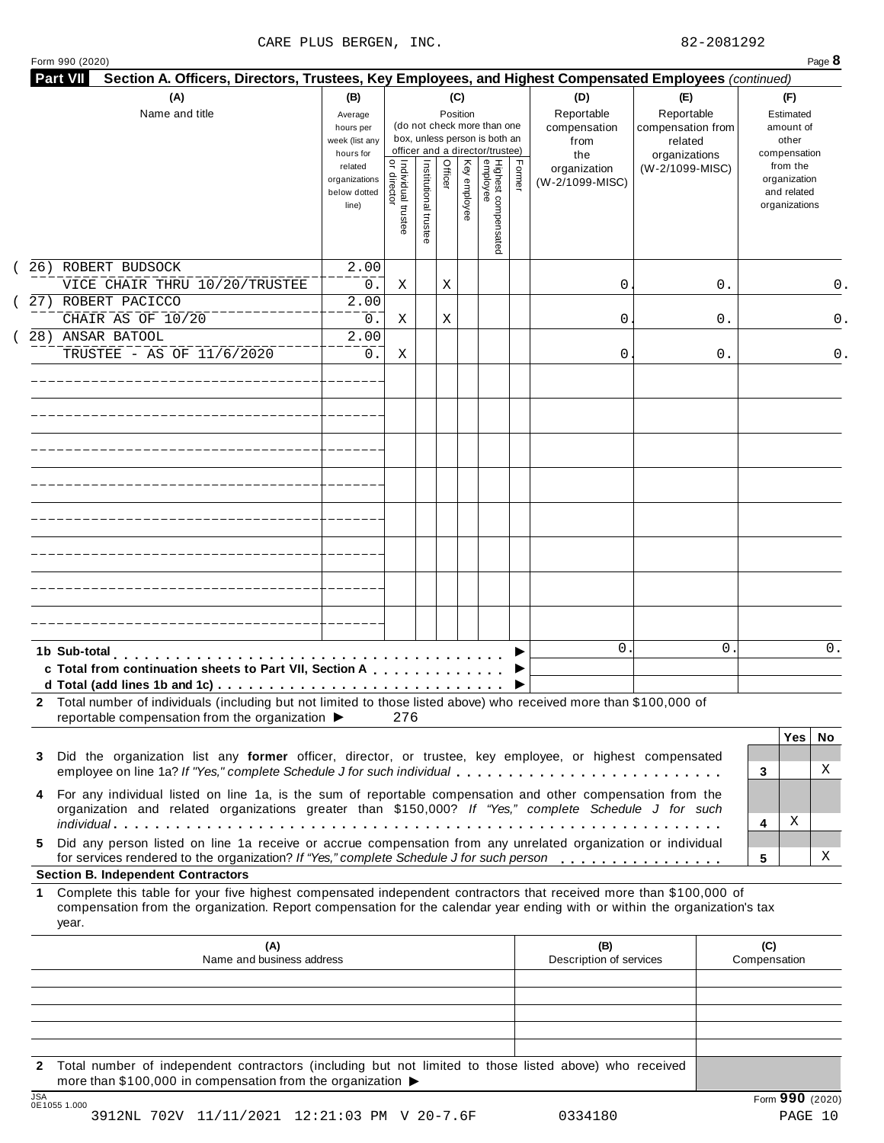### CARE PLUS BERGEN, INC. 82-2081292

|  | Form 990 (2020) |
|--|-----------------|

| (A)<br>Name and title                                                                                                                                                                                                                                          | (B)<br>Average<br>hours per<br>week (list any<br>hours for | (C)<br>Position<br>(do not check more than one<br>box, unless person is both an<br>officer and a director/trustee) |                                     |                       |         |              |                                 | (D)<br>Reportable<br>compensation<br>from<br>the | (E)<br>Reportable<br>compensation from<br>related<br>organizations | (F)<br>Estimated<br>amount of<br>other<br>compensation |                                                          |
|----------------------------------------------------------------------------------------------------------------------------------------------------------------------------------------------------------------------------------------------------------------|------------------------------------------------------------|--------------------------------------------------------------------------------------------------------------------|-------------------------------------|-----------------------|---------|--------------|---------------------------------|--------------------------------------------------|--------------------------------------------------------------------|--------------------------------------------------------|----------------------------------------------------------|
|                                                                                                                                                                                                                                                                |                                                            | related<br>organizations<br>below dotted<br>line)                                                                  | Individual trustee<br>  or director | Institutional trustee | Officer | Key employee | Highest compensated<br>employee | Former                                           | organization<br>(W-2/1099-MISC)                                    | (W-2/1099-MISC)                                        | from the<br>organization<br>and related<br>organizations |
| 26) ROBERT BUDSOCK<br>VICE CHAIR THRU 10/20/TRUSTEE                                                                                                                                                                                                            |                                                            | 2.00<br>$0$ .                                                                                                      | Χ                                   |                       | Χ       |              |                                 |                                                  | 0                                                                  | 0.                                                     | 0.                                                       |
| 27) ROBERT PACICCO<br>CHAIR AS OF 10/20                                                                                                                                                                                                                        |                                                            | 2.00<br>0.                                                                                                         | Χ                                   |                       | Χ       |              |                                 |                                                  | 0                                                                  | 0.                                                     | 0.                                                       |
| 28) ANSAR BATOOL<br>TRUSTEE - AS OF 11/6/2020                                                                                                                                                                                                                  |                                                            | 2.00<br>0.                                                                                                         | Χ                                   |                       |         |              |                                 |                                                  | 0                                                                  | 0.                                                     | 0.                                                       |
|                                                                                                                                                                                                                                                                |                                                            |                                                                                                                    |                                     |                       |         |              |                                 |                                                  |                                                                    |                                                        |                                                          |
|                                                                                                                                                                                                                                                                |                                                            |                                                                                                                    |                                     |                       |         |              |                                 |                                                  |                                                                    |                                                        |                                                          |
|                                                                                                                                                                                                                                                                |                                                            |                                                                                                                    |                                     |                       |         |              |                                 |                                                  |                                                                    |                                                        |                                                          |
|                                                                                                                                                                                                                                                                |                                                            |                                                                                                                    |                                     |                       |         |              |                                 |                                                  |                                                                    |                                                        |                                                          |
|                                                                                                                                                                                                                                                                |                                                            |                                                                                                                    |                                     |                       |         |              |                                 |                                                  |                                                                    |                                                        |                                                          |
| 1b Sub-total<br>c Total from continuation sheets to Part VII, Section A                                                                                                                                                                                        |                                                            |                                                                                                                    |                                     |                       |         |              |                                 |                                                  | $\mathbf{0}$                                                       | 0                                                      | 0.                                                       |
| 2 Total number of individuals (including but not limited to those listed above) who received more than \$100,000 of<br>reportable compensation from the organization ▶                                                                                         |                                                            |                                                                                                                    | 276                                 |                       |         |              |                                 |                                                  |                                                                    |                                                        |                                                          |
| Did the organization list any former officer, director, or trustee, key employee, or highest compensated<br>3<br>employee on line 1a? If "Yes," complete Schedule J for such individual                                                                        |                                                            |                                                                                                                    |                                     |                       |         |              |                                 |                                                  |                                                                    |                                                        | <b>Yes</b><br>No.<br>X<br>3                              |
| For any individual listed on line 1a, is the sum of reportable compensation and other compensation from the<br>4<br>organization and related organizations greater than \$150,000? If "Yes," complete Schedule J for such                                      |                                                            |                                                                                                                    |                                     |                       |         |              |                                 |                                                  |                                                                    |                                                        | Χ<br>4                                                   |
| Did any person listed on line 1a receive or accrue compensation from any unrelated organization or individual<br>5.<br>for services rendered to the organization? If "Yes," complete Schedule J for such person<br><b>Section B. Independent Contractors</b>   |                                                            |                                                                                                                    |                                     |                       |         |              |                                 |                                                  |                                                                    |                                                        | х<br>5                                                   |
| Complete this table for your five highest compensated independent contractors that received more than \$100,000 of<br>1<br>compensation from the organization. Report compensation for the calendar year ending with or within the organization's tax<br>year. |                                                            |                                                                                                                    |                                     |                       |         |              |                                 |                                                  |                                                                    |                                                        |                                                          |
|                                                                                                                                                                                                                                                                | (A)<br>Name and business address                           |                                                                                                                    |                                     |                       |         |              |                                 |                                                  | (B)<br>Description of services                                     |                                                        | (C)<br>Compensation                                      |
|                                                                                                                                                                                                                                                                |                                                            |                                                                                                                    |                                     |                       |         |              |                                 |                                                  |                                                                    |                                                        |                                                          |
|                                                                                                                                                                                                                                                                |                                                            |                                                                                                                    |                                     |                       |         |              |                                 |                                                  |                                                                    |                                                        |                                                          |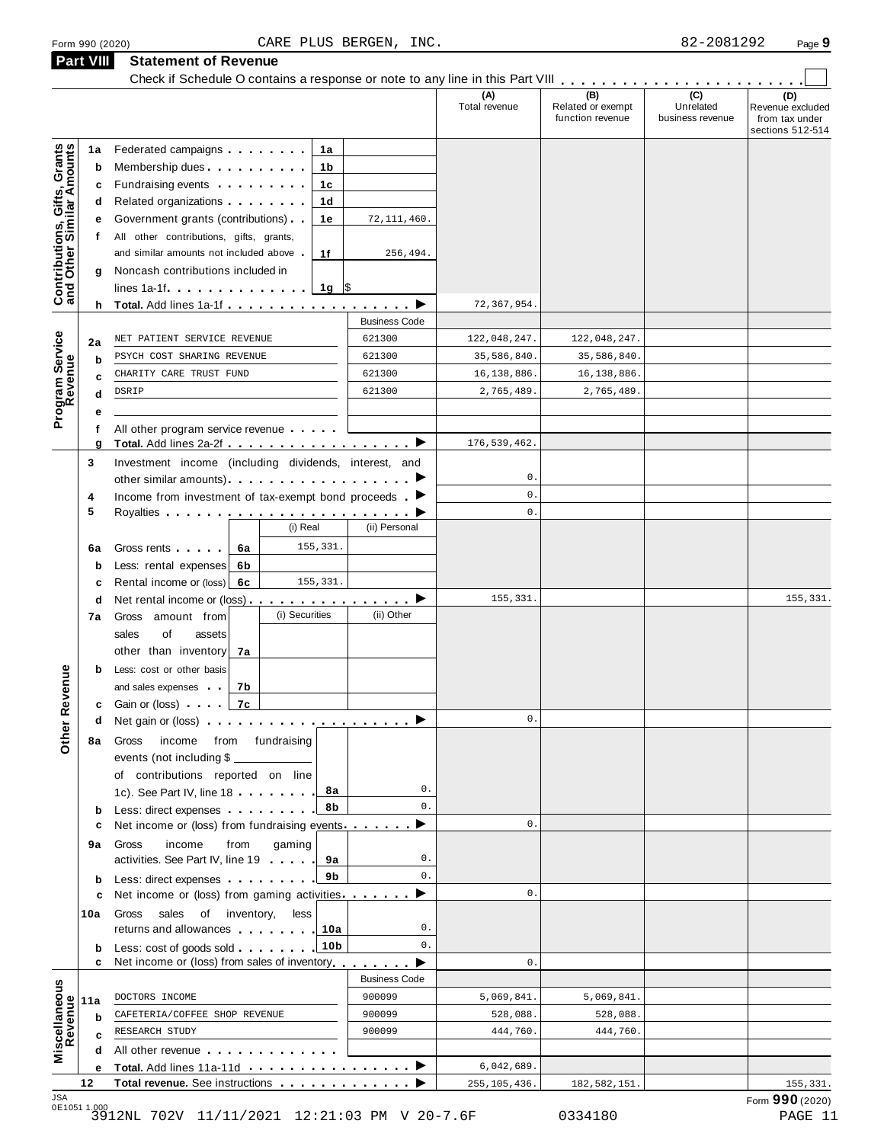**Part VIII Statement of Revenue**

|                                                           | <b>Part VIII</b> | Statement of Revenue<br>Check if Schedule O contains a response or note to any line in this Part VIII                                                                                                                                     |                           |                      |                                              |                                      |                                                               |
|-----------------------------------------------------------|------------------|-------------------------------------------------------------------------------------------------------------------------------------------------------------------------------------------------------------------------------------------|---------------------------|----------------------|----------------------------------------------|--------------------------------------|---------------------------------------------------------------|
|                                                           |                  |                                                                                                                                                                                                                                           |                           | (A)<br>Total revenue | (B)<br>Related or exempt<br>function revenue | (C)<br>Unrelated<br>business revenue | (D)<br>Revenue excluded<br>from tax under<br>sections 512-514 |
| Contributions, Gifts, Grants<br>and Other Similar Amounts | 1a               | Federated campaigns<br>1а                                                                                                                                                                                                                 |                           |                      |                                              |                                      |                                                               |
|                                                           | b                | Membership dues <b>All Accords</b> Membership dues<br>1b                                                                                                                                                                                  |                           |                      |                                              |                                      |                                                               |
|                                                           | c                | Fundraising events <b>Exercises</b><br>1c                                                                                                                                                                                                 |                           |                      |                                              |                                      |                                                               |
|                                                           | d                | Related organizations <b>contains</b> and the set of the set of the set of the set of the set of the set of the set of the set of the set of the set of the set of the set of the set of the set of the set of the set of the set o<br>1d |                           |                      |                                              |                                      |                                                               |
|                                                           | е                | Government grants (contributions)<br>1е                                                                                                                                                                                                   | 72, 111, 460.             |                      |                                              |                                      |                                                               |
|                                                           | t.               | All other contributions, gifts, grants,                                                                                                                                                                                                   |                           |                      |                                              |                                      |                                                               |
|                                                           |                  | and similar amounts not included above<br>1f                                                                                                                                                                                              | 256,494.                  |                      |                                              |                                      |                                                               |
|                                                           | g                | Noncash contributions included in<br>$1g$ \$                                                                                                                                                                                              |                           |                      |                                              |                                      |                                                               |
|                                                           |                  |                                                                                                                                                                                                                                           |                           | 72, 367, 954.        |                                              |                                      |                                                               |
|                                                           |                  |                                                                                                                                                                                                                                           | <b>Business Code</b>      |                      |                                              |                                      |                                                               |
|                                                           | 2a               | NET PATIENT SERVICE REVENUE                                                                                                                                                                                                               | 621300                    | 122,048,247.         | 122,048,247.                                 |                                      |                                                               |
| Program Service<br>Revenue                                | b                | PSYCH COST SHARING REVENUE                                                                                                                                                                                                                | 621300                    | 35,586,840.          | 35,586,840.                                  |                                      |                                                               |
|                                                           | c                | CHARITY CARE TRUST FUND                                                                                                                                                                                                                   | 621300                    | 16, 138, 886.        | 16, 138, 886.                                |                                      |                                                               |
|                                                           | d                | DSRIP                                                                                                                                                                                                                                     | 621300                    | 2,765,489.           | 2,765,489.                                   |                                      |                                                               |
|                                                           |                  |                                                                                                                                                                                                                                           |                           |                      |                                              |                                      |                                                               |
|                                                           | f                | All other program service revenue                                                                                                                                                                                                         |                           |                      |                                              |                                      |                                                               |
|                                                           | g                | Total. Add lines 2a-2f ▶                                                                                                                                                                                                                  |                           | 176, 539, 462.       |                                              |                                      |                                                               |
|                                                           | 3                | Investment income (including dividends, interest, and                                                                                                                                                                                     |                           |                      |                                              |                                      |                                                               |
|                                                           |                  |                                                                                                                                                                                                                                           |                           | 0.                   |                                              |                                      |                                                               |
|                                                           | 4                | Income from investment of tax-exempt bond proceeds $\blacktriangleright$                                                                                                                                                                  |                           | $\mathbf 0$ .        |                                              |                                      |                                                               |
|                                                           | 5                |                                                                                                                                                                                                                                           |                           | 0.                   |                                              |                                      |                                                               |
|                                                           |                  | (i) Real                                                                                                                                                                                                                                  | (ii) Personal             |                      |                                              |                                      |                                                               |
|                                                           | 6a               | 155,331.<br>Gross rents [19]<br>6a                                                                                                                                                                                                        |                           |                      |                                              |                                      |                                                               |
|                                                           | b                | Less: rental expenses<br>6b                                                                                                                                                                                                               |                           |                      |                                              |                                      |                                                               |
|                                                           | c                | 155,331.<br>Rental income or (loss) 6c                                                                                                                                                                                                    |                           |                      |                                              |                                      |                                                               |
|                                                           | d                | Net rental income or (loss) $\ldots$ , $\ldots$ , $\ldots$ , $\blacktriangleright$<br>(i) Securities                                                                                                                                      | (ii) Other                | 155,331.             |                                              |                                      | 155,331.                                                      |
|                                                           | 7а               | Gross amount from                                                                                                                                                                                                                         |                           |                      |                                              |                                      |                                                               |
|                                                           |                  | of<br>sales<br>assets<br>other than inventory                                                                                                                                                                                             |                           |                      |                                              |                                      |                                                               |
|                                                           | b                | 7а<br>Less: cost or other basis                                                                                                                                                                                                           |                           |                      |                                              |                                      |                                                               |
| evenue                                                    |                  | and sales expenses<br>7b                                                                                                                                                                                                                  |                           |                      |                                              |                                      |                                                               |
|                                                           |                  | 7c<br><b>c</b> Gain or (loss)                                                                                                                                                                                                             |                           |                      |                                              |                                      |                                                               |
|                                                           | d                | Net gain or (loss) $\cdots$ $\cdots$ $\cdots$ $\cdots$ $\cdots$ $\cdots$                                                                                                                                                                  |                           | $\mathsf{0}$ .       |                                              |                                      |                                                               |
| Other <sub>R</sub>                                        | 8а               | income from fundraising<br>Gross                                                                                                                                                                                                          |                           |                      |                                              |                                      |                                                               |
|                                                           |                  | events (not including \$                                                                                                                                                                                                                  |                           |                      |                                              |                                      |                                                               |
|                                                           |                  | of contributions reported on line                                                                                                                                                                                                         |                           |                      |                                              |                                      |                                                               |
|                                                           |                  | 8а<br>1c). See Part IV, line 18                                                                                                                                                                                                           | 0.                        |                      |                                              |                                      |                                                               |
|                                                           | b                | 8b<br>Less: direct expenses                                                                                                                                                                                                               | $0$ .                     |                      |                                              |                                      |                                                               |
|                                                           | с                | Net income or (loss) from fundraising events                                                                                                                                                                                              | ▶                         | $\mathsf{0}$ .       |                                              |                                      |                                                               |
|                                                           | 9а               | income<br>from<br>gaming<br>Gross                                                                                                                                                                                                         |                           |                      |                                              |                                      |                                                               |
|                                                           |                  | activities. See Part IV, line 19<br>9а                                                                                                                                                                                                    | 0.                        |                      |                                              |                                      |                                                               |
|                                                           | b                | 9b<br>Less: direct expenses                                                                                                                                                                                                               | $0$ .                     |                      |                                              |                                      |                                                               |
|                                                           | c                | Net income or (loss) from gaming activities                                                                                                                                                                                               | ▶                         | 0.                   |                                              |                                      |                                                               |
|                                                           | 10a              | sales of inventory,<br>less<br>Gross                                                                                                                                                                                                      |                           |                      |                                              |                                      |                                                               |
|                                                           |                  | returns and allowances <b>and allowances</b><br>10a                                                                                                                                                                                       | 0.                        |                      |                                              |                                      |                                                               |
|                                                           | b                | 10 <sub>b</sub><br>Less: cost of goods sold<br>Net income or (loss) from sales of inventory                                                                                                                                               | 0.                        |                      |                                              |                                      |                                                               |
|                                                           | c                |                                                                                                                                                                                                                                           | ▶<br><b>Business Code</b> | $\mathsf{0}$ .       |                                              |                                      |                                                               |
|                                                           |                  | DOCTORS INCOME                                                                                                                                                                                                                            | 900099                    | 5,069,841.           | 5,069,841.                                   |                                      |                                                               |
|                                                           | 11a              |                                                                                                                                                                                                                                           | 900099                    | 528,088.             | 528,088.                                     |                                      |                                                               |
|                                                           |                  |                                                                                                                                                                                                                                           |                           |                      |                                              |                                      |                                                               |
|                                                           | b                | CAFETERIA/COFFEE SHOP REVENUE                                                                                                                                                                                                             |                           |                      |                                              |                                      |                                                               |
|                                                           | c                | RESEARCH STUDY                                                                                                                                                                                                                            | 900099                    | 444,760.             | 444,760.                                     |                                      |                                                               |
| Miscellaneous<br>Revenue                                  | d<br>е           | All other revenue entering the series of the series of the series of the series of the series of the series of<br>Total. Add lines 11a-11d ▶                                                                                              |                           | 6,042,689.           |                                              |                                      |                                                               |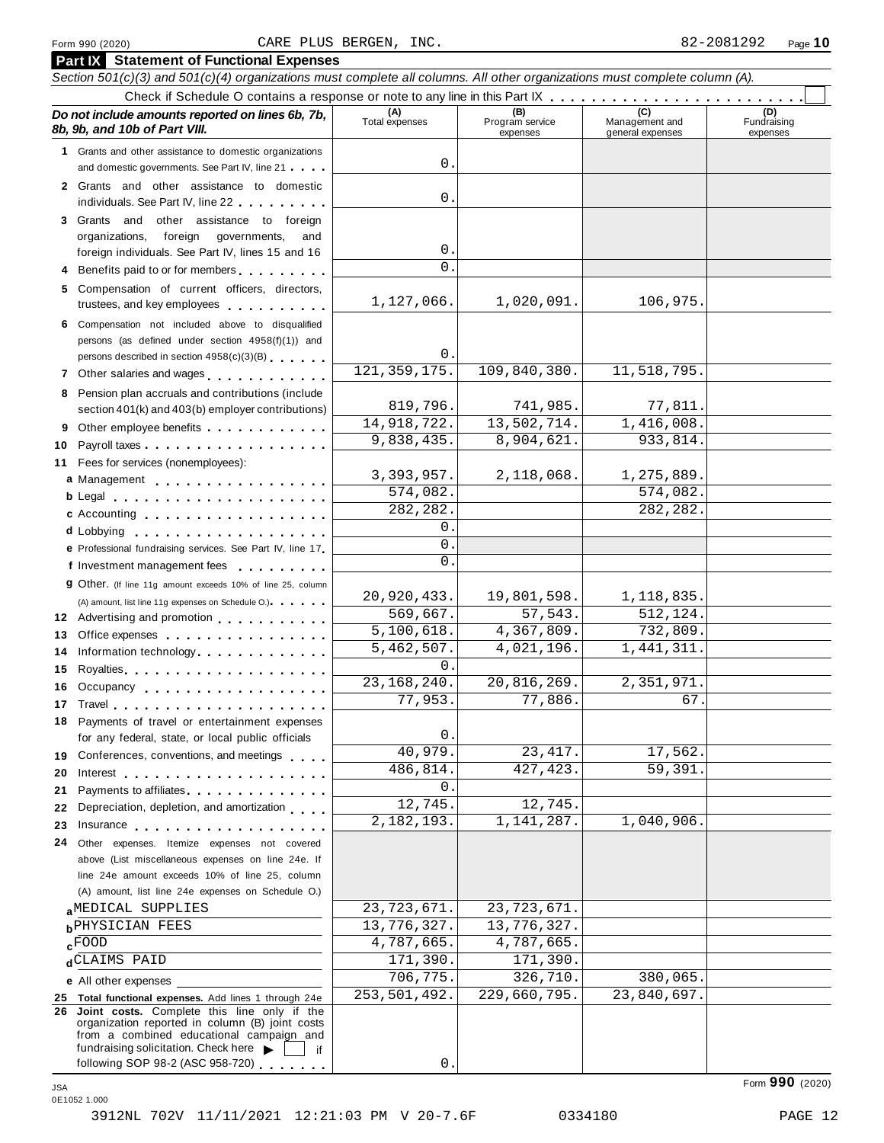|          | <b>Part IX</b> Statement of Functional Expenses                                                                                                                                                                                   |                       |                                    |                                    |                                |  |  |  |  |  |  |  |
|----------|-----------------------------------------------------------------------------------------------------------------------------------------------------------------------------------------------------------------------------------|-----------------------|------------------------------------|------------------------------------|--------------------------------|--|--|--|--|--|--|--|
|          | Section 501(c)(3) and 501(c)(4) organizations must complete all columns. All other organizations must complete column (A).                                                                                                        |                       |                                    |                                    |                                |  |  |  |  |  |  |  |
|          |                                                                                                                                                                                                                                   |                       |                                    |                                    |                                |  |  |  |  |  |  |  |
|          | Do not include amounts reported on lines 6b, 7b,<br>8b, 9b, and 10b of Part VIII.                                                                                                                                                 | (A)<br>Total expenses | (B)<br>Program service<br>expenses | Management and<br>general expenses | (D)<br>Fundraising<br>expenses |  |  |  |  |  |  |  |
|          | 1 Grants and other assistance to domestic organizations                                                                                                                                                                           | 0.                    |                                    |                                    |                                |  |  |  |  |  |  |  |
|          | and domestic governments. See Part IV, line 21                                                                                                                                                                                    |                       |                                    |                                    |                                |  |  |  |  |  |  |  |
|          | 2 Grants and other assistance to domestic<br>individuals. See Part IV, line 22                                                                                                                                                    | 0.                    |                                    |                                    |                                |  |  |  |  |  |  |  |
|          | 3 Grants and other assistance to foreign                                                                                                                                                                                          |                       |                                    |                                    |                                |  |  |  |  |  |  |  |
|          | foreign governments,<br>organizations,<br>and                                                                                                                                                                                     |                       |                                    |                                    |                                |  |  |  |  |  |  |  |
|          | foreign individuals. See Part IV, lines 15 and 16                                                                                                                                                                                 | 0.                    |                                    |                                    |                                |  |  |  |  |  |  |  |
|          | 4 Benefits paid to or for members                                                                                                                                                                                                 | $\mathbf{0}$ .        |                                    |                                    |                                |  |  |  |  |  |  |  |
|          | 5 Compensation of current officers, directors,<br>trustees, and key employees                                                                                                                                                     | 1,127,066.            | 1,020,091.                         | 106,975.                           |                                |  |  |  |  |  |  |  |
|          | 6 Compensation not included above to disqualified                                                                                                                                                                                 |                       |                                    |                                    |                                |  |  |  |  |  |  |  |
|          | persons (as defined under section 4958(f)(1)) and                                                                                                                                                                                 |                       |                                    |                                    |                                |  |  |  |  |  |  |  |
|          | persons described in section 4958(c)(3)(B)                                                                                                                                                                                        | 0.<br>121, 359, 175.  | 109,840,380.                       | 11,518,795.                        |                                |  |  |  |  |  |  |  |
|          | 7 Other salaries and wages <b>contained contained contained contained contained contained </b>                                                                                                                                    |                       |                                    |                                    |                                |  |  |  |  |  |  |  |
|          | 8 Pension plan accruals and contributions (include<br>section 401(k) and 403(b) employer contributions)                                                                                                                           | 819,796.              | 741,985.                           | 77,811.                            |                                |  |  |  |  |  |  |  |
|          | 9 Other employee benefits                                                                                                                                                                                                         | 14,918,722.           | 13,502,714.                        | 1,416,008.                         |                                |  |  |  |  |  |  |  |
| 10       | Payroll taxes                                                                                                                                                                                                                     | 9,838,435.            | 8,904,621.                         | 933,814.                           |                                |  |  |  |  |  |  |  |
| 11       | Fees for services (nonemployees):                                                                                                                                                                                                 |                       |                                    |                                    |                                |  |  |  |  |  |  |  |
|          | a Management                                                                                                                                                                                                                      | 3, 393, 957.          | 2,118,068.                         | 1,275,889.                         |                                |  |  |  |  |  |  |  |
|          |                                                                                                                                                                                                                                   | 574,082.              |                                    | 574,082.                           |                                |  |  |  |  |  |  |  |
|          | c Accounting experience and a series are a series of the series of the series of the series of the series of the series of the series of the series of the series of the series of the series of the series of the series of t    | 282, 282.             |                                    | 282, 282.                          |                                |  |  |  |  |  |  |  |
|          | d Lobbying                                                                                                                                                                                                                        | 0.                    |                                    |                                    |                                |  |  |  |  |  |  |  |
|          | e Professional fundraising services. See Part IV, line 17                                                                                                                                                                         | $\mathbf{0}$ .        |                                    |                                    |                                |  |  |  |  |  |  |  |
|          | f Investment management fees                                                                                                                                                                                                      | $\overline{0}$ .      |                                    |                                    |                                |  |  |  |  |  |  |  |
|          | <b>g</b> Other. (If line 11g amount exceeds 10% of line 25, column                                                                                                                                                                | 20,920,433.           |                                    |                                    |                                |  |  |  |  |  |  |  |
|          | (A) amount, list line 11g expenses on Schedule O.) expenses                                                                                                                                                                       | 569,667.              | 19,801,598.<br>57,543.             | 1,118,835.<br>512,124.             |                                |  |  |  |  |  |  |  |
|          | 12 Advertising and promotion                                                                                                                                                                                                      | 5,100,618.            | 4,367,809.                         | 732,809.                           |                                |  |  |  |  |  |  |  |
| 13<br>14 | Office expenses<br>Information technology.                                                                                                                                                                                        | 5,462,507.            | 4,021,196.                         | 1, 441, 311.                       |                                |  |  |  |  |  |  |  |
| 15       |                                                                                                                                                                                                                                   | $\Omega$ .            |                                    |                                    |                                |  |  |  |  |  |  |  |
|          | 16 Occupancy                                                                                                                                                                                                                      | 23, 168, 240.         | 20,816,269.                        | 2,351,971.                         |                                |  |  |  |  |  |  |  |
|          | 17 Travel <b>17 Travel</b>                                                                                                                                                                                                        | 77,953.               | 77,886.                            | 67.                                |                                |  |  |  |  |  |  |  |
|          | 18 Payments of travel or entertainment expenses                                                                                                                                                                                   |                       |                                    |                                    |                                |  |  |  |  |  |  |  |
|          | for any federal, state, or local public officials                                                                                                                                                                                 | 0.                    |                                    |                                    |                                |  |  |  |  |  |  |  |
|          | 19 Conferences, conventions, and meetings                                                                                                                                                                                         | 40,979.               | 23, 417.                           | 17,562.                            |                                |  |  |  |  |  |  |  |
| 20       | Interest $\ldots$ , $\ldots$ , $\ldots$ , $\ldots$ , $\ldots$ , $\ldots$                                                                                                                                                          | 486,814.              | 427, 423.                          | 59,391                             |                                |  |  |  |  |  |  |  |
| 21       | Payments to affiliates <b>Exercises Payments</b> to a method of the set of the set of the set of the set of the set of the set of the set of the set of the set of the set of the set of the set of the set of the set of the set | 0.                    |                                    |                                    |                                |  |  |  |  |  |  |  |
| 22       | Depreciation, depletion, and amortization                                                                                                                                                                                         | 12,745.<br>2,182,193. | 12,745.<br>1,141,287.              | 1,040,906.                         |                                |  |  |  |  |  |  |  |
| 23       | Insurance in the settlement of the settlement of the settlement of the settlement of the settlement of the set                                                                                                                    |                       |                                    |                                    |                                |  |  |  |  |  |  |  |
| 24       | Other expenses. Itemize expenses not covered<br>above (List miscellaneous expenses on line 24e. If                                                                                                                                |                       |                                    |                                    |                                |  |  |  |  |  |  |  |
|          | line 24e amount exceeds 10% of line 25, column                                                                                                                                                                                    |                       |                                    |                                    |                                |  |  |  |  |  |  |  |
|          | (A) amount, list line 24e expenses on Schedule O.)                                                                                                                                                                                |                       |                                    |                                    |                                |  |  |  |  |  |  |  |
|          | aMEDICAL SUPPLIES                                                                                                                                                                                                                 | 23, 723, 671.         | 23, 723, 671.                      |                                    |                                |  |  |  |  |  |  |  |
|          | <b>b</b> PHYSICIAN FEES                                                                                                                                                                                                           | 13,776,327.           | 13,776,327.                        |                                    |                                |  |  |  |  |  |  |  |
|          | $c$ FOOD                                                                                                                                                                                                                          | 4,787,665.            | 4,787,665.                         |                                    |                                |  |  |  |  |  |  |  |
|          | dCLAIMS PAID                                                                                                                                                                                                                      | 171,390.              | 171,390.                           |                                    |                                |  |  |  |  |  |  |  |
|          | e All other expenses                                                                                                                                                                                                              | 706,775.              | 326,710.                           | 380,065.                           |                                |  |  |  |  |  |  |  |
|          | 25 Total functional expenses. Add lines 1 through 24e                                                                                                                                                                             | 253,501,492.          | 229,660,795.                       | 23,840,697.                        |                                |  |  |  |  |  |  |  |
|          | 26 Joint costs. Complete this line only if the<br>organization reported in column (B) joint costs<br>from a combined educational campaign and                                                                                     |                       |                                    |                                    |                                |  |  |  |  |  |  |  |
|          | fundraising solicitation. Check here $\blacktriangleright$<br>if<br>following SOP 98-2 (ASC 958-720)                                                                                                                              | 0.                    |                                    |                                    |                                |  |  |  |  |  |  |  |
|          |                                                                                                                                                                                                                                   |                       |                                    |                                    |                                |  |  |  |  |  |  |  |

Form **990** (2020) JSA 0E1052 1.000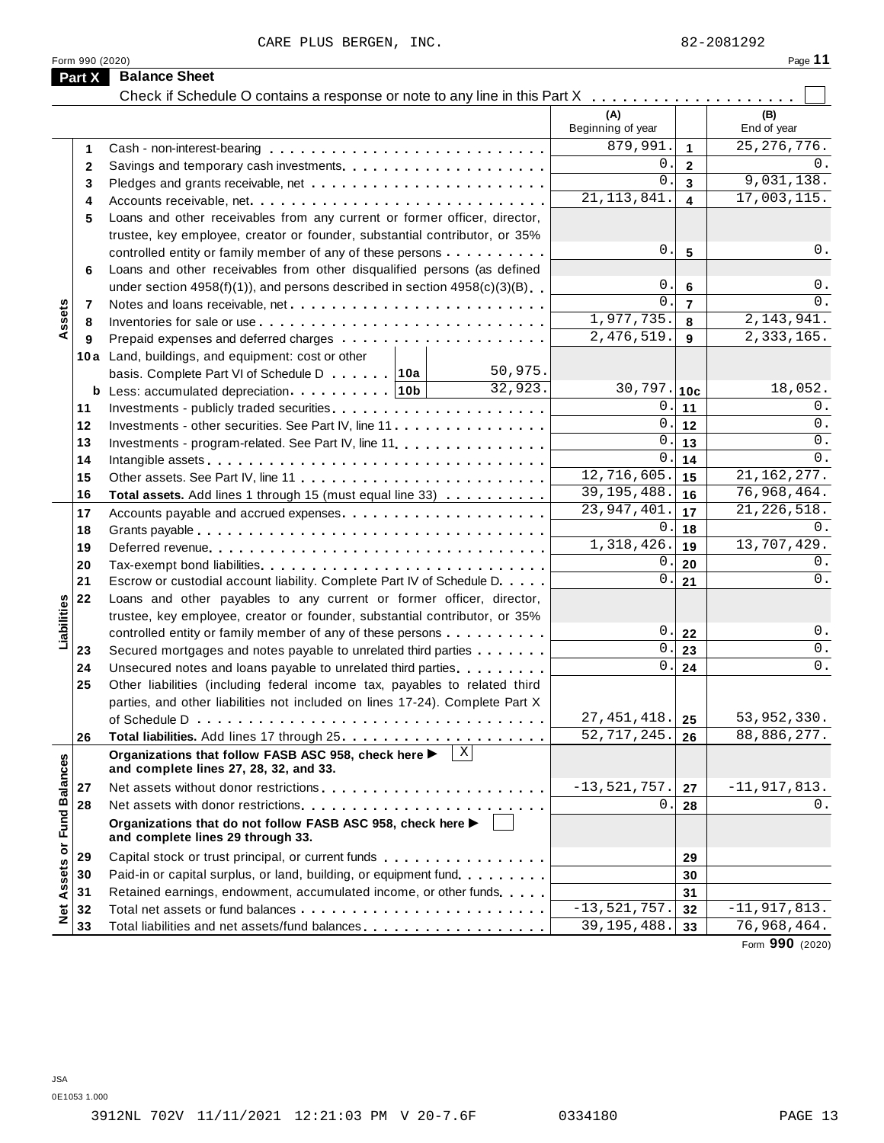CARE PLUS BERGEN, INC. 82-2081292

|               |                                                                                                                                                                              |                                                                                                                                                                                                                                                                                                                                                                    |                                                                                                                                                                                                                                                                                                                                                                                                                                                                                                                                                                                                                                                                                                                                                                                                                                                                                                                                                                                                                                                                                                                                                                                                                                                                                                                                                                         | Page 11                                                                                                                                                                                                                                                                                                                                                                                                                                                                                   |
|---------------|------------------------------------------------------------------------------------------------------------------------------------------------------------------------------|--------------------------------------------------------------------------------------------------------------------------------------------------------------------------------------------------------------------------------------------------------------------------------------------------------------------------------------------------------------------|-------------------------------------------------------------------------------------------------------------------------------------------------------------------------------------------------------------------------------------------------------------------------------------------------------------------------------------------------------------------------------------------------------------------------------------------------------------------------------------------------------------------------------------------------------------------------------------------------------------------------------------------------------------------------------------------------------------------------------------------------------------------------------------------------------------------------------------------------------------------------------------------------------------------------------------------------------------------------------------------------------------------------------------------------------------------------------------------------------------------------------------------------------------------------------------------------------------------------------------------------------------------------------------------------------------------------------------------------------------------------|-------------------------------------------------------------------------------------------------------------------------------------------------------------------------------------------------------------------------------------------------------------------------------------------------------------------------------------------------------------------------------------------------------------------------------------------------------------------------------------------|
| <b>Part X</b> | <b>Balance Sheet</b>                                                                                                                                                         |                                                                                                                                                                                                                                                                                                                                                                    |                                                                                                                                                                                                                                                                                                                                                                                                                                                                                                                                                                                                                                                                                                                                                                                                                                                                                                                                                                                                                                                                                                                                                                                                                                                                                                                                                                         |                                                                                                                                                                                                                                                                                                                                                                                                                                                                                           |
|               |                                                                                                                                                                              | (A)<br>Beginning of year                                                                                                                                                                                                                                                                                                                                           |                                                                                                                                                                                                                                                                                                                                                                                                                                                                                                                                                                                                                                                                                                                                                                                                                                                                                                                                                                                                                                                                                                                                                                                                                                                                                                                                                                         | (B)<br>End of year                                                                                                                                                                                                                                                                                                                                                                                                                                                                        |
|               |                                                                                                                                                                              | 879,991.                                                                                                                                                                                                                                                                                                                                                           | $\overline{1}$                                                                                                                                                                                                                                                                                                                                                                                                                                                                                                                                                                                                                                                                                                                                                                                                                                                                                                                                                                                                                                                                                                                                                                                                                                                                                                                                                          | 25, 276, 776.                                                                                                                                                                                                                                                                                                                                                                                                                                                                             |
|               |                                                                                                                                                                              |                                                                                                                                                                                                                                                                                                                                                                    |                                                                                                                                                                                                                                                                                                                                                                                                                                                                                                                                                                                                                                                                                                                                                                                                                                                                                                                                                                                                                                                                                                                                                                                                                                                                                                                                                                         | 0.                                                                                                                                                                                                                                                                                                                                                                                                                                                                                        |
|               |                                                                                                                                                                              |                                                                                                                                                                                                                                                                                                                                                                    |                                                                                                                                                                                                                                                                                                                                                                                                                                                                                                                                                                                                                                                                                                                                                                                                                                                                                                                                                                                                                                                                                                                                                                                                                                                                                                                                                                         | 9,031,138.                                                                                                                                                                                                                                                                                                                                                                                                                                                                                |
|               |                                                                                                                                                                              |                                                                                                                                                                                                                                                                                                                                                                    |                                                                                                                                                                                                                                                                                                                                                                                                                                                                                                                                                                                                                                                                                                                                                                                                                                                                                                                                                                                                                                                                                                                                                                                                                                                                                                                                                                         | 17,003,115.                                                                                                                                                                                                                                                                                                                                                                                                                                                                               |
|               |                                                                                                                                                                              |                                                                                                                                                                                                                                                                                                                                                                    |                                                                                                                                                                                                                                                                                                                                                                                                                                                                                                                                                                                                                                                                                                                                                                                                                                                                                                                                                                                                                                                                                                                                                                                                                                                                                                                                                                         |                                                                                                                                                                                                                                                                                                                                                                                                                                                                                           |
|               |                                                                                                                                                                              |                                                                                                                                                                                                                                                                                                                                                                    |                                                                                                                                                                                                                                                                                                                                                                                                                                                                                                                                                                                                                                                                                                                                                                                                                                                                                                                                                                                                                                                                                                                                                                                                                                                                                                                                                                         |                                                                                                                                                                                                                                                                                                                                                                                                                                                                                           |
|               |                                                                                                                                                                              |                                                                                                                                                                                                                                                                                                                                                                    |                                                                                                                                                                                                                                                                                                                                                                                                                                                                                                                                                                                                                                                                                                                                                                                                                                                                                                                                                                                                                                                                                                                                                                                                                                                                                                                                                                         | 0.                                                                                                                                                                                                                                                                                                                                                                                                                                                                                        |
|               |                                                                                                                                                                              |                                                                                                                                                                                                                                                                                                                                                                    |                                                                                                                                                                                                                                                                                                                                                                                                                                                                                                                                                                                                                                                                                                                                                                                                                                                                                                                                                                                                                                                                                                                                                                                                                                                                                                                                                                         |                                                                                                                                                                                                                                                                                                                                                                                                                                                                                           |
|               |                                                                                                                                                                              |                                                                                                                                                                                                                                                                                                                                                                    |                                                                                                                                                                                                                                                                                                                                                                                                                                                                                                                                                                                                                                                                                                                                                                                                                                                                                                                                                                                                                                                                                                                                                                                                                                                                                                                                                                         | $0$ .                                                                                                                                                                                                                                                                                                                                                                                                                                                                                     |
|               |                                                                                                                                                                              |                                                                                                                                                                                                                                                                                                                                                                    |                                                                                                                                                                                                                                                                                                                                                                                                                                                                                                                                                                                                                                                                                                                                                                                                                                                                                                                                                                                                                                                                                                                                                                                                                                                                                                                                                                         | 0.                                                                                                                                                                                                                                                                                                                                                                                                                                                                                        |
|               |                                                                                                                                                                              |                                                                                                                                                                                                                                                                                                                                                                    |                                                                                                                                                                                                                                                                                                                                                                                                                                                                                                                                                                                                                                                                                                                                                                                                                                                                                                                                                                                                                                                                                                                                                                                                                                                                                                                                                                         | 2, 143, 941.                                                                                                                                                                                                                                                                                                                                                                                                                                                                              |
|               |                                                                                                                                                                              |                                                                                                                                                                                                                                                                                                                                                                    |                                                                                                                                                                                                                                                                                                                                                                                                                                                                                                                                                                                                                                                                                                                                                                                                                                                                                                                                                                                                                                                                                                                                                                                                                                                                                                                                                                         | 2,333,165.                                                                                                                                                                                                                                                                                                                                                                                                                                                                                |
|               |                                                                                                                                                                              |                                                                                                                                                                                                                                                                                                                                                                    |                                                                                                                                                                                                                                                                                                                                                                                                                                                                                                                                                                                                                                                                                                                                                                                                                                                                                                                                                                                                                                                                                                                                                                                                                                                                                                                                                                         |                                                                                                                                                                                                                                                                                                                                                                                                                                                                                           |
|               |                                                                                                                                                                              |                                                                                                                                                                                                                                                                                                                                                                    |                                                                                                                                                                                                                                                                                                                                                                                                                                                                                                                                                                                                                                                                                                                                                                                                                                                                                                                                                                                                                                                                                                                                                                                                                                                                                                                                                                         |                                                                                                                                                                                                                                                                                                                                                                                                                                                                                           |
|               |                                                                                                                                                                              |                                                                                                                                                                                                                                                                                                                                                                    |                                                                                                                                                                                                                                                                                                                                                                                                                                                                                                                                                                                                                                                                                                                                                                                                                                                                                                                                                                                                                                                                                                                                                                                                                                                                                                                                                                         | 18,052.                                                                                                                                                                                                                                                                                                                                                                                                                                                                                   |
|               |                                                                                                                                                                              |                                                                                                                                                                                                                                                                                                                                                                    |                                                                                                                                                                                                                                                                                                                                                                                                                                                                                                                                                                                                                                                                                                                                                                                                                                                                                                                                                                                                                                                                                                                                                                                                                                                                                                                                                                         | 0.                                                                                                                                                                                                                                                                                                                                                                                                                                                                                        |
|               |                                                                                                                                                                              |                                                                                                                                                                                                                                                                                                                                                                    |                                                                                                                                                                                                                                                                                                                                                                                                                                                                                                                                                                                                                                                                                                                                                                                                                                                                                                                                                                                                                                                                                                                                                                                                                                                                                                                                                                         | $0$ .                                                                                                                                                                                                                                                                                                                                                                                                                                                                                     |
|               |                                                                                                                                                                              |                                                                                                                                                                                                                                                                                                                                                                    |                                                                                                                                                                                                                                                                                                                                                                                                                                                                                                                                                                                                                                                                                                                                                                                                                                                                                                                                                                                                                                                                                                                                                                                                                                                                                                                                                                         | 0.                                                                                                                                                                                                                                                                                                                                                                                                                                                                                        |
|               |                                                                                                                                                                              |                                                                                                                                                                                                                                                                                                                                                                    |                                                                                                                                                                                                                                                                                                                                                                                                                                                                                                                                                                                                                                                                                                                                                                                                                                                                                                                                                                                                                                                                                                                                                                                                                                                                                                                                                                         | $0$ .                                                                                                                                                                                                                                                                                                                                                                                                                                                                                     |
|               |                                                                                                                                                                              |                                                                                                                                                                                                                                                                                                                                                                    |                                                                                                                                                                                                                                                                                                                                                                                                                                                                                                                                                                                                                                                                                                                                                                                                                                                                                                                                                                                                                                                                                                                                                                                                                                                                                                                                                                         | 21, 162, 277.                                                                                                                                                                                                                                                                                                                                                                                                                                                                             |
|               |                                                                                                                                                                              |                                                                                                                                                                                                                                                                                                                                                                    |                                                                                                                                                                                                                                                                                                                                                                                                                                                                                                                                                                                                                                                                                                                                                                                                                                                                                                                                                                                                                                                                                                                                                                                                                                                                                                                                                                         | 76,968,464.                                                                                                                                                                                                                                                                                                                                                                                                                                                                               |
|               |                                                                                                                                                                              | 23, 947, 401.                                                                                                                                                                                                                                                                                                                                                      |                                                                                                                                                                                                                                                                                                                                                                                                                                                                                                                                                                                                                                                                                                                                                                                                                                                                                                                                                                                                                                                                                                                                                                                                                                                                                                                                                                         | 21, 226, 518.                                                                                                                                                                                                                                                                                                                                                                                                                                                                             |
|               |                                                                                                                                                                              |                                                                                                                                                                                                                                                                                                                                                                    |                                                                                                                                                                                                                                                                                                                                                                                                                                                                                                                                                                                                                                                                                                                                                                                                                                                                                                                                                                                                                                                                                                                                                                                                                                                                                                                                                                         | $0$ .                                                                                                                                                                                                                                                                                                                                                                                                                                                                                     |
|               |                                                                                                                                                                              |                                                                                                                                                                                                                                                                                                                                                                    | 19                                                                                                                                                                                                                                                                                                                                                                                                                                                                                                                                                                                                                                                                                                                                                                                                                                                                                                                                                                                                                                                                                                                                                                                                                                                                                                                                                                      | 13,707,429.                                                                                                                                                                                                                                                                                                                                                                                                                                                                               |
|               |                                                                                                                                                                              |                                                                                                                                                                                                                                                                                                                                                                    |                                                                                                                                                                                                                                                                                                                                                                                                                                                                                                                                                                                                                                                                                                                                                                                                                                                                                                                                                                                                                                                                                                                                                                                                                                                                                                                                                                         | 0.                                                                                                                                                                                                                                                                                                                                                                                                                                                                                        |
|               |                                                                                                                                                                              |                                                                                                                                                                                                                                                                                                                                                                    | 21                                                                                                                                                                                                                                                                                                                                                                                                                                                                                                                                                                                                                                                                                                                                                                                                                                                                                                                                                                                                                                                                                                                                                                                                                                                                                                                                                                      | 0.                                                                                                                                                                                                                                                                                                                                                                                                                                                                                        |
|               |                                                                                                                                                                              |                                                                                                                                                                                                                                                                                                                                                                    |                                                                                                                                                                                                                                                                                                                                                                                                                                                                                                                                                                                                                                                                                                                                                                                                                                                                                                                                                                                                                                                                                                                                                                                                                                                                                                                                                                         |                                                                                                                                                                                                                                                                                                                                                                                                                                                                                           |
|               |                                                                                                                                                                              |                                                                                                                                                                                                                                                                                                                                                                    |                                                                                                                                                                                                                                                                                                                                                                                                                                                                                                                                                                                                                                                                                                                                                                                                                                                                                                                                                                                                                                                                                                                                                                                                                                                                                                                                                                         |                                                                                                                                                                                                                                                                                                                                                                                                                                                                                           |
|               |                                                                                                                                                                              |                                                                                                                                                                                                                                                                                                                                                                    |                                                                                                                                                                                                                                                                                                                                                                                                                                                                                                                                                                                                                                                                                                                                                                                                                                                                                                                                                                                                                                                                                                                                                                                                                                                                                                                                                                         | $0$ .                                                                                                                                                                                                                                                                                                                                                                                                                                                                                     |
|               |                                                                                                                                                                              |                                                                                                                                                                                                                                                                                                                                                                    | 23                                                                                                                                                                                                                                                                                                                                                                                                                                                                                                                                                                                                                                                                                                                                                                                                                                                                                                                                                                                                                                                                                                                                                                                                                                                                                                                                                                      | $0$ .                                                                                                                                                                                                                                                                                                                                                                                                                                                                                     |
|               |                                                                                                                                                                              |                                                                                                                                                                                                                                                                                                                                                                    | 24                                                                                                                                                                                                                                                                                                                                                                                                                                                                                                                                                                                                                                                                                                                                                                                                                                                                                                                                                                                                                                                                                                                                                                                                                                                                                                                                                                      | 0.                                                                                                                                                                                                                                                                                                                                                                                                                                                                                        |
|               |                                                                                                                                                                              |                                                                                                                                                                                                                                                                                                                                                                    |                                                                                                                                                                                                                                                                                                                                                                                                                                                                                                                                                                                                                                                                                                                                                                                                                                                                                                                                                                                                                                                                                                                                                                                                                                                                                                                                                                         |                                                                                                                                                                                                                                                                                                                                                                                                                                                                                           |
|               |                                                                                                                                                                              |                                                                                                                                                                                                                                                                                                                                                                    |                                                                                                                                                                                                                                                                                                                                                                                                                                                                                                                                                                                                                                                                                                                                                                                                                                                                                                                                                                                                                                                                                                                                                                                                                                                                                                                                                                         |                                                                                                                                                                                                                                                                                                                                                                                                                                                                                           |
|               |                                                                                                                                                                              |                                                                                                                                                                                                                                                                                                                                                                    | 25                                                                                                                                                                                                                                                                                                                                                                                                                                                                                                                                                                                                                                                                                                                                                                                                                                                                                                                                                                                                                                                                                                                                                                                                                                                                                                                                                                      | 53,952,330.                                                                                                                                                                                                                                                                                                                                                                                                                                                                               |
|               |                                                                                                                                                                              | 52, 717, 245.                                                                                                                                                                                                                                                                                                                                                      | 26                                                                                                                                                                                                                                                                                                                                                                                                                                                                                                                                                                                                                                                                                                                                                                                                                                                                                                                                                                                                                                                                                                                                                                                                                                                                                                                                                                      | 88,886,277.                                                                                                                                                                                                                                                                                                                                                                                                                                                                               |
|               | $\mathbf X$                                                                                                                                                                  |                                                                                                                                                                                                                                                                                                                                                                    |                                                                                                                                                                                                                                                                                                                                                                                                                                                                                                                                                                                                                                                                                                                                                                                                                                                                                                                                                                                                                                                                                                                                                                                                                                                                                                                                                                         |                                                                                                                                                                                                                                                                                                                                                                                                                                                                                           |
|               |                                                                                                                                                                              |                                                                                                                                                                                                                                                                                                                                                                    |                                                                                                                                                                                                                                                                                                                                                                                                                                                                                                                                                                                                                                                                                                                                                                                                                                                                                                                                                                                                                                                                                                                                                                                                                                                                                                                                                                         | $-11, 917, 813.$                                                                                                                                                                                                                                                                                                                                                                                                                                                                          |
|               |                                                                                                                                                                              |                                                                                                                                                                                                                                                                                                                                                                    | 28                                                                                                                                                                                                                                                                                                                                                                                                                                                                                                                                                                                                                                                                                                                                                                                                                                                                                                                                                                                                                                                                                                                                                                                                                                                                                                                                                                      | $0$ .                                                                                                                                                                                                                                                                                                                                                                                                                                                                                     |
|               |                                                                                                                                                                              |                                                                                                                                                                                                                                                                                                                                                                    |                                                                                                                                                                                                                                                                                                                                                                                                                                                                                                                                                                                                                                                                                                                                                                                                                                                                                                                                                                                                                                                                                                                                                                                                                                                                                                                                                                         |                                                                                                                                                                                                                                                                                                                                                                                                                                                                                           |
|               |                                                                                                                                                                              |                                                                                                                                                                                                                                                                                                                                                                    |                                                                                                                                                                                                                                                                                                                                                                                                                                                                                                                                                                                                                                                                                                                                                                                                                                                                                                                                                                                                                                                                                                                                                                                                                                                                                                                                                                         |                                                                                                                                                                                                                                                                                                                                                                                                                                                                                           |
|               |                                                                                                                                                                              |                                                                                                                                                                                                                                                                                                                                                                    |                                                                                                                                                                                                                                                                                                                                                                                                                                                                                                                                                                                                                                                                                                                                                                                                                                                                                                                                                                                                                                                                                                                                                                                                                                                                                                                                                                         |                                                                                                                                                                                                                                                                                                                                                                                                                                                                                           |
| 31            | Retained earnings, endowment, accumulated income, or other funds                                                                                                             |                                                                                                                                                                                                                                                                                                                                                                    | 31                                                                                                                                                                                                                                                                                                                                                                                                                                                                                                                                                                                                                                                                                                                                                                                                                                                                                                                                                                                                                                                                                                                                                                                                                                                                                                                                                                      |                                                                                                                                                                                                                                                                                                                                                                                                                                                                                           |
|               |                                                                                                                                                                              |                                                                                                                                                                                                                                                                                                                                                                    |                                                                                                                                                                                                                                                                                                                                                                                                                                                                                                                                                                                                                                                                                                                                                                                                                                                                                                                                                                                                                                                                                                                                                                                                                                                                                                                                                                         |                                                                                                                                                                                                                                                                                                                                                                                                                                                                                           |
| 32            |                                                                                                                                                                              | $-13, 521, 757.$                                                                                                                                                                                                                                                                                                                                                   | 32                                                                                                                                                                                                                                                                                                                                                                                                                                                                                                                                                                                                                                                                                                                                                                                                                                                                                                                                                                                                                                                                                                                                                                                                                                                                                                                                                                      | $-11, 917, 813.$                                                                                                                                                                                                                                                                                                                                                                                                                                                                          |
|               | 1<br>$\mathbf{2}$<br>3<br>4<br>5<br>6<br>7<br>8<br>9<br>11<br>12<br>13<br>14<br>15<br>16<br>17<br>18<br>19<br>20<br>21<br>22<br>23<br>24<br>25<br>26<br>27<br>28<br>29<br>30 | 10a Land, buildings, and equipment: cost or other<br>basis. Complete Part VI of Schedule D 10 10 10 10 10<br><b>b</b> Less: accumulated depreciation   10b  <br>Organizations that follow FASB ASC 958, check here ▶<br>and complete lines 27, 28, 32, and 33.<br>Organizations that do not follow FASB ASC 958, check here ▶<br>and complete lines 29 through 33. | $0$ .<br>21, 113, 841.<br>Loans and other receivables from any current or former officer, director,<br>trustee, key employee, creator or founder, substantial contributor, or 35%<br>controlled entity or family member of any of these persons<br>Loans and other receivables from other disqualified persons (as defined<br>under section $4958(f)(1)$ , and persons described in section $4958(c)(3)(B)$<br>2,476,519.<br>50,975.<br>32,923.<br>Investments - other securities. See Part IV, line 11.<br>Investments - program-related. See Part IV, line 11.<br>Total assets. Add lines 1 through 15 (must equal line 33)<br>Escrow or custodial account liability. Complete Part IV of Schedule D.<br>Loans and other payables to any current or former officer, director,<br>trustee, key employee, creator or founder, substantial contributor, or 35%<br>controlled entity or family member of any of these persons<br>Secured mortgages and notes payable to unrelated third parties<br>Unsecured notes and loans payable to unrelated third parties<br>Other liabilities (including federal income tax, payables to related third<br>parties, and other liabilities not included on lines 17-24). Complete Part X<br>27, 451, 418.<br>Capital stock or trust principal, or current funds<br>Paid-in or capital surplus, or land, building, or equipment fund. | Check if Schedule O contains a response or note to any line in this Part X<br>0.<br>$\overline{2}$<br>$\mathbf{3}$<br>$\overline{\mathbf{4}}$<br>$0$ .<br>$5\phantom{1}$<br>$0$ .<br>6<br>0.<br>$\overline{7}$<br>1,977,735.<br>8<br>9<br>$30,797.$ 10c<br>$\overline{0}$ . 11<br>0.<br>12<br>0.<br>13<br>0.1<br>14<br>12,716,605.<br>15<br>39, 195, 488.<br>16<br>17<br>0.1<br>18<br>1,318,426.<br>0.1<br>20<br>0.<br>0.<br>22<br>0.1<br>0.<br>$-13,521,757.$<br>27<br>$0$ .<br>29<br>30 |

Form **990** (2020)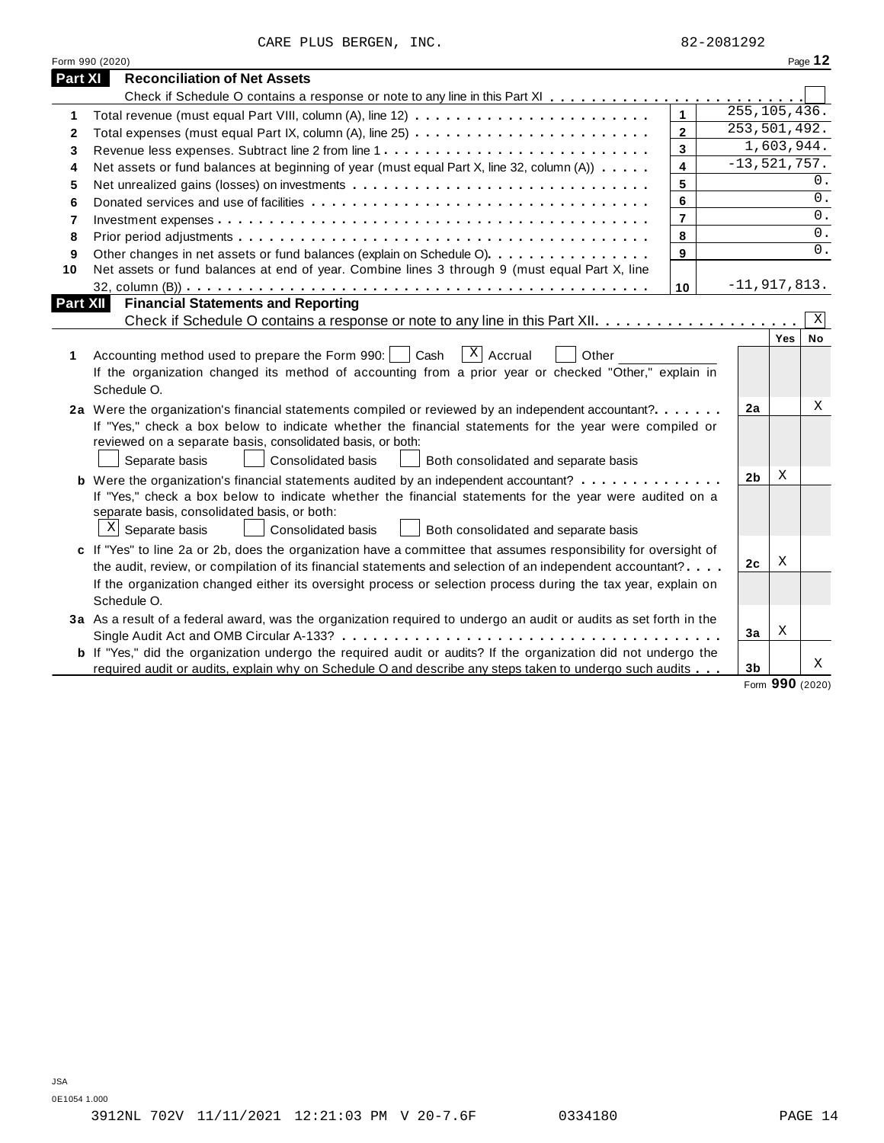|  |  | CARE PLUS BERGEN, | INC. |
|--|--|-------------------|------|
|--|--|-------------------|------|

|                | Form 990 (2020)                                                                                                                                                                                                                                                                                                                                            |                         |                  |            | Page 12     |
|----------------|------------------------------------------------------------------------------------------------------------------------------------------------------------------------------------------------------------------------------------------------------------------------------------------------------------------------------------------------------------|-------------------------|------------------|------------|-------------|
| <b>Part XI</b> | <b>Reconciliation of Net Assets</b>                                                                                                                                                                                                                                                                                                                        |                         |                  |            |             |
|                |                                                                                                                                                                                                                                                                                                                                                            |                         |                  |            |             |
| 1              |                                                                                                                                                                                                                                                                                                                                                            | $\mathbf{1}$            | 255, 105, 436.   |            |             |
| 2              | Total expenses (must equal Part IX, column (A), line 25)                                                                                                                                                                                                                                                                                                   | $\overline{2}$          | 253,501,492.     |            |             |
| 3              |                                                                                                                                                                                                                                                                                                                                                            | $\mathbf{3}$            |                  | 1,603,944. |             |
| 4              | Net assets or fund balances at beginning of year (must equal Part X, line 32, column (A))                                                                                                                                                                                                                                                                  | $\overline{\mathbf{4}}$ | $-13, 521, 757.$ |            |             |
| 5              |                                                                                                                                                                                                                                                                                                                                                            | 5                       |                  |            | 0.          |
| 6              |                                                                                                                                                                                                                                                                                                                                                            | 6                       |                  |            | 0.          |
| 7              |                                                                                                                                                                                                                                                                                                                                                            | $\overline{7}$          |                  |            | $0$ .       |
| 8              |                                                                                                                                                                                                                                                                                                                                                            | 8                       |                  |            | 0.          |
| 9              | Other changes in net assets or fund balances (explain on Schedule O).                                                                                                                                                                                                                                                                                      | 9                       |                  |            | 0.          |
| 10             | Net assets or fund balances at end of year. Combine lines 3 through 9 (must equal Part X, line                                                                                                                                                                                                                                                             |                         |                  |            |             |
|                |                                                                                                                                                                                                                                                                                                                                                            | 10                      | $-11,917,813.$   |            |             |
| Part XII       | <b>Financial Statements and Reporting</b>                                                                                                                                                                                                                                                                                                                  |                         |                  |            |             |
|                |                                                                                                                                                                                                                                                                                                                                                            |                         |                  |            | $\mathbf X$ |
| 1              | $x \mid$ Accrual<br>Accounting method used to prepare the Form 990:     Cash<br>Other<br>If the organization changed its method of accounting from a prior year or checked "Other," explain in<br>Schedule O.                                                                                                                                              |                         |                  | Yes        | No          |
|                | 2a Were the organization's financial statements compiled or reviewed by an independent accountant?<br>If "Yes," check a box below to indicate whether the financial statements for the year were compiled or<br>reviewed on a separate basis, consolidated basis, or both:<br>Separate basis<br>Consolidated basis<br>Both consolidated and separate basis |                         | 2a               |            | Χ           |
|                | <b>b</b> Were the organization's financial statements audited by an independent accountant?                                                                                                                                                                                                                                                                |                         | 2b               | Χ          |             |
|                | If "Yes," check a box below to indicate whether the financial statements for the year were audited on a<br>separate basis, consolidated basis, or both:<br>$\mathbf{x}$<br>Separate basis<br><b>Consolidated basis</b><br>Both consolidated and separate basis                                                                                             |                         |                  |            |             |
|                | c If "Yes" to line 2a or 2b, does the organization have a committee that assumes responsibility for oversight of                                                                                                                                                                                                                                           |                         |                  |            |             |
|                | the audit, review, or compilation of its financial statements and selection of an independent accountant?                                                                                                                                                                                                                                                  |                         | 2c               | Χ          |             |
|                | If the organization changed either its oversight process or selection process during the tax year, explain on<br>Schedule O.                                                                                                                                                                                                                               |                         |                  |            |             |
|                | 3a As a result of a federal award, was the organization required to undergo an audit or audits as set forth in the                                                                                                                                                                                                                                         |                         |                  |            |             |
|                |                                                                                                                                                                                                                                                                                                                                                            |                         | 3a               | X          |             |
|                | <b>b</b> If "Yes," did the organization undergo the required audit or audits? If the organization did not undergo the                                                                                                                                                                                                                                      |                         |                  |            | Χ           |
|                | required audit or audits, explain why on Schedule O and describe any steps taken to undergo such audits                                                                                                                                                                                                                                                    |                         | 3b               |            |             |

Form **990** (2020)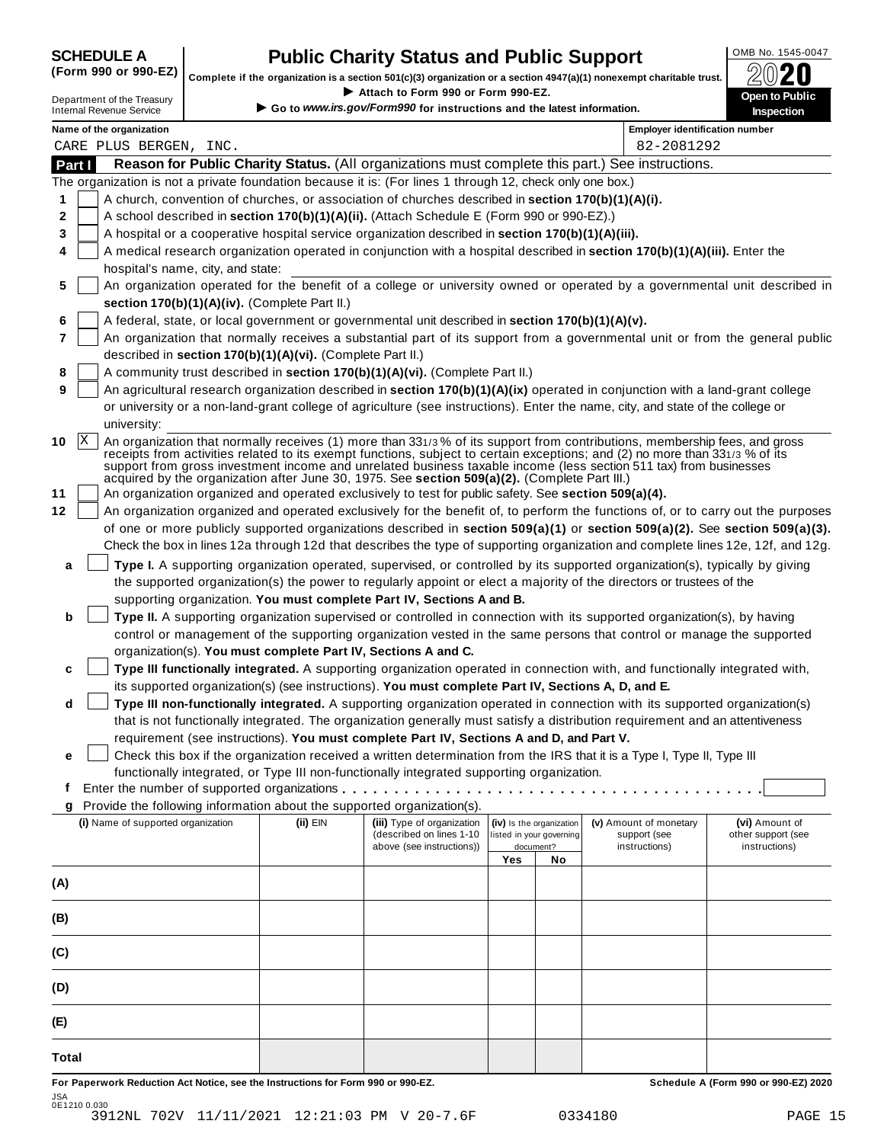SCHEDULE A **Public Charity Status and Public Support** (Form 990 or 990-EZ) complete if the organization is a section 501(c)(3) organization or a section 4947(a)(1) nonexempt charitable trust. (Form 990 or 990-EZ) complete if the organization is a section 501(c)(3) organization or a section 4947(a)(1) nonexempt charitable trust.  $2020$ 

|       |                                                               |                                                            | Complete if the organization is a section 501(c)(3) organization or a section $4947(a)(1)$ nonexempt charitable trust.<br>Attach to Form 990 or Form 990-EZ. |     |                                                      |                                                                                                                                                                                                                                                                                                                                                                                | BWŁU                                                                                                                             |
|-------|---------------------------------------------------------------|------------------------------------------------------------|--------------------------------------------------------------------------------------------------------------------------------------------------------------|-----|------------------------------------------------------|--------------------------------------------------------------------------------------------------------------------------------------------------------------------------------------------------------------------------------------------------------------------------------------------------------------------------------------------------------------------------------|----------------------------------------------------------------------------------------------------------------------------------|
|       | Department of the Treasury<br><b>Internal Revenue Service</b> |                                                            | Go to www.irs.gov/Form990 for instructions and the latest information.                                                                                       |     |                                                      |                                                                                                                                                                                                                                                                                                                                                                                | Open to Public<br>Inspection                                                                                                     |
|       | Name of the organization                                      |                                                            |                                                                                                                                                              |     |                                                      | <b>Employer identification number</b>                                                                                                                                                                                                                                                                                                                                          |                                                                                                                                  |
|       | CARE PLUS BERGEN, INC.                                        |                                                            |                                                                                                                                                              |     |                                                      | 82-2081292                                                                                                                                                                                                                                                                                                                                                                     |                                                                                                                                  |
|       | Part I                                                        |                                                            |                                                                                                                                                              |     |                                                      | Reason for Public Charity Status. (All organizations must complete this part.) See instructions.                                                                                                                                                                                                                                                                               |                                                                                                                                  |
|       |                                                               |                                                            | The organization is not a private foundation because it is: (For lines 1 through 12, check only one box.)                                                    |     |                                                      |                                                                                                                                                                                                                                                                                                                                                                                |                                                                                                                                  |
| 1     |                                                               |                                                            | A church, convention of churches, or association of churches described in section 170(b)(1)(A)(i).                                                           |     |                                                      |                                                                                                                                                                                                                                                                                                                                                                                |                                                                                                                                  |
| 2     |                                                               |                                                            | A school described in section 170(b)(1)(A)(ii). (Attach Schedule E (Form 990 or 990-EZ).)                                                                    |     |                                                      |                                                                                                                                                                                                                                                                                                                                                                                |                                                                                                                                  |
| 3     |                                                               |                                                            | A hospital or a cooperative hospital service organization described in section 170(b)(1)(A)(iii).                                                            |     |                                                      |                                                                                                                                                                                                                                                                                                                                                                                |                                                                                                                                  |
| 4     | hospital's name, city, and state:                             |                                                            |                                                                                                                                                              |     |                                                      | A medical research organization operated in conjunction with a hospital described in section 170(b)(1)(A)(iii). Enter the                                                                                                                                                                                                                                                      |                                                                                                                                  |
| 5     |                                                               |                                                            |                                                                                                                                                              |     |                                                      |                                                                                                                                                                                                                                                                                                                                                                                | An organization operated for the benefit of a college or university owned or operated by a governmental unit described in        |
|       |                                                               | section 170(b)(1)(A)(iv). (Complete Part II.)              |                                                                                                                                                              |     |                                                      |                                                                                                                                                                                                                                                                                                                                                                                |                                                                                                                                  |
| 6     |                                                               |                                                            | A federal, state, or local government or governmental unit described in section 170(b)(1)(A)(v).                                                             |     |                                                      |                                                                                                                                                                                                                                                                                                                                                                                |                                                                                                                                  |
| 7     |                                                               |                                                            |                                                                                                                                                              |     |                                                      |                                                                                                                                                                                                                                                                                                                                                                                | An organization that normally receives a substantial part of its support from a governmental unit or from the general public     |
|       |                                                               | described in section 170(b)(1)(A)(vi). (Complete Part II.) |                                                                                                                                                              |     |                                                      |                                                                                                                                                                                                                                                                                                                                                                                |                                                                                                                                  |
| 8     |                                                               |                                                            | A community trust described in section 170(b)(1)(A)(vi). (Complete Part II.)                                                                                 |     |                                                      |                                                                                                                                                                                                                                                                                                                                                                                |                                                                                                                                  |
| 9     |                                                               |                                                            |                                                                                                                                                              |     |                                                      | An agricultural research organization described in section 170(b)(1)(A)(ix) operated in conjunction with a land-grant college                                                                                                                                                                                                                                                  |                                                                                                                                  |
|       |                                                               |                                                            |                                                                                                                                                              |     |                                                      | or university or a non-land-grant college of agriculture (see instructions). Enter the name, city, and state of the college or                                                                                                                                                                                                                                                 |                                                                                                                                  |
|       | university:                                                   |                                                            |                                                                                                                                                              |     |                                                      |                                                                                                                                                                                                                                                                                                                                                                                |                                                                                                                                  |
| 10    | X                                                             |                                                            | acquired by the organization after June 30, 1975. See section 509(a)(2). (Complete Part III.)                                                                |     |                                                      | An organization that normally receives (1) more than 331/3% of its support from contributions, membership fees, and gross<br>receipts from activities related to its exempt functions, subject to certain exceptions; and (2) no more than 331/3 % of its<br>support from gross investment income and unrelated business taxable income (less section 511 tax) from businesses |                                                                                                                                  |
| 11    |                                                               |                                                            | An organization organized and operated exclusively to test for public safety. See section 509(a)(4).                                                         |     |                                                      |                                                                                                                                                                                                                                                                                                                                                                                |                                                                                                                                  |
| 12    |                                                               |                                                            |                                                                                                                                                              |     |                                                      |                                                                                                                                                                                                                                                                                                                                                                                | An organization organized and operated exclusively for the benefit of, to perform the functions of, or to carry out the purposes |
|       |                                                               |                                                            |                                                                                                                                                              |     |                                                      |                                                                                                                                                                                                                                                                                                                                                                                | of one or more publicly supported organizations described in section 509(a)(1) or section 509(a)(2). See section 509(a)(3).      |
|       |                                                               |                                                            |                                                                                                                                                              |     |                                                      |                                                                                                                                                                                                                                                                                                                                                                                | Check the box in lines 12a through 12d that describes the type of supporting organization and complete lines 12e, 12f, and 12g.  |
| a     |                                                               |                                                            |                                                                                                                                                              |     |                                                      | Type I. A supporting organization operated, supervised, or controlled by its supported organization(s), typically by giving                                                                                                                                                                                                                                                    |                                                                                                                                  |
|       |                                                               |                                                            |                                                                                                                                                              |     |                                                      | the supported organization(s) the power to regularly appoint or elect a majority of the directors or trustees of the                                                                                                                                                                                                                                                           |                                                                                                                                  |
|       |                                                               |                                                            | supporting organization. You must complete Part IV, Sections A and B.                                                                                        |     |                                                      |                                                                                                                                                                                                                                                                                                                                                                                |                                                                                                                                  |
| b     |                                                               |                                                            |                                                                                                                                                              |     |                                                      | Type II. A supporting organization supervised or controlled in connection with its supported organization(s), by having                                                                                                                                                                                                                                                        |                                                                                                                                  |
|       |                                                               |                                                            |                                                                                                                                                              |     |                                                      | control or management of the supporting organization vested in the same persons that control or manage the supported                                                                                                                                                                                                                                                           |                                                                                                                                  |
|       |                                                               |                                                            | organization(s). You must complete Part IV, Sections A and C.                                                                                                |     |                                                      |                                                                                                                                                                                                                                                                                                                                                                                |                                                                                                                                  |
| c     |                                                               |                                                            |                                                                                                                                                              |     |                                                      | Type III functionally integrated. A supporting organization operated in connection with, and functionally integrated with,                                                                                                                                                                                                                                                     |                                                                                                                                  |
|       |                                                               |                                                            | its supported organization(s) (see instructions). You must complete Part IV, Sections A, D, and E.                                                           |     |                                                      |                                                                                                                                                                                                                                                                                                                                                                                |                                                                                                                                  |
| d     |                                                               |                                                            |                                                                                                                                                              |     |                                                      | Type III non-functionally integrated. A supporting organization operated in connection with its supported organization(s)                                                                                                                                                                                                                                                      |                                                                                                                                  |
|       |                                                               |                                                            |                                                                                                                                                              |     |                                                      | that is not functionally integrated. The organization generally must satisfy a distribution requirement and an attentiveness                                                                                                                                                                                                                                                   |                                                                                                                                  |
|       |                                                               |                                                            | requirement (see instructions). You must complete Part IV, Sections A and D, and Part V.                                                                     |     |                                                      |                                                                                                                                                                                                                                                                                                                                                                                |                                                                                                                                  |
| е     |                                                               |                                                            |                                                                                                                                                              |     |                                                      | Check this box if the organization received a written determination from the IRS that it is a Type I, Type II, Type III                                                                                                                                                                                                                                                        |                                                                                                                                  |
|       |                                                               |                                                            | functionally integrated, or Type III non-functionally integrated supporting organization.                                                                    |     |                                                      |                                                                                                                                                                                                                                                                                                                                                                                |                                                                                                                                  |
| t     |                                                               |                                                            |                                                                                                                                                              |     |                                                      |                                                                                                                                                                                                                                                                                                                                                                                |                                                                                                                                  |
| g     |                                                               |                                                            | Provide the following information about the supported organization(s).                                                                                       |     |                                                      |                                                                                                                                                                                                                                                                                                                                                                                |                                                                                                                                  |
|       | (i) Name of supported organization                            | (ii) EIN                                                   | (iii) Type of organization<br>(described on lines 1-10                                                                                                       |     | (iv) Is the organization<br>listed in your governing | (v) Amount of monetary<br>support (see                                                                                                                                                                                                                                                                                                                                         | (vi) Amount of<br>other support (see                                                                                             |
|       |                                                               |                                                            | above (see instructions))                                                                                                                                    |     | document?                                            | instructions)                                                                                                                                                                                                                                                                                                                                                                  | instructions)                                                                                                                    |
|       |                                                               |                                                            |                                                                                                                                                              | Yes | No                                                   |                                                                                                                                                                                                                                                                                                                                                                                |                                                                                                                                  |
| (A)   |                                                               |                                                            |                                                                                                                                                              |     |                                                      |                                                                                                                                                                                                                                                                                                                                                                                |                                                                                                                                  |
| (B)   |                                                               |                                                            |                                                                                                                                                              |     |                                                      |                                                                                                                                                                                                                                                                                                                                                                                |                                                                                                                                  |
| (C)   |                                                               |                                                            |                                                                                                                                                              |     |                                                      |                                                                                                                                                                                                                                                                                                                                                                                |                                                                                                                                  |
| (D)   |                                                               |                                                            |                                                                                                                                                              |     |                                                      |                                                                                                                                                                                                                                                                                                                                                                                |                                                                                                                                  |
| (E)   |                                                               |                                                            |                                                                                                                                                              |     |                                                      |                                                                                                                                                                                                                                                                                                                                                                                |                                                                                                                                  |
|       |                                                               |                                                            |                                                                                                                                                              |     |                                                      |                                                                                                                                                                                                                                                                                                                                                                                |                                                                                                                                  |
| Total |                                                               |                                                            |                                                                                                                                                              |     |                                                      |                                                                                                                                                                                                                                                                                                                                                                                |                                                                                                                                  |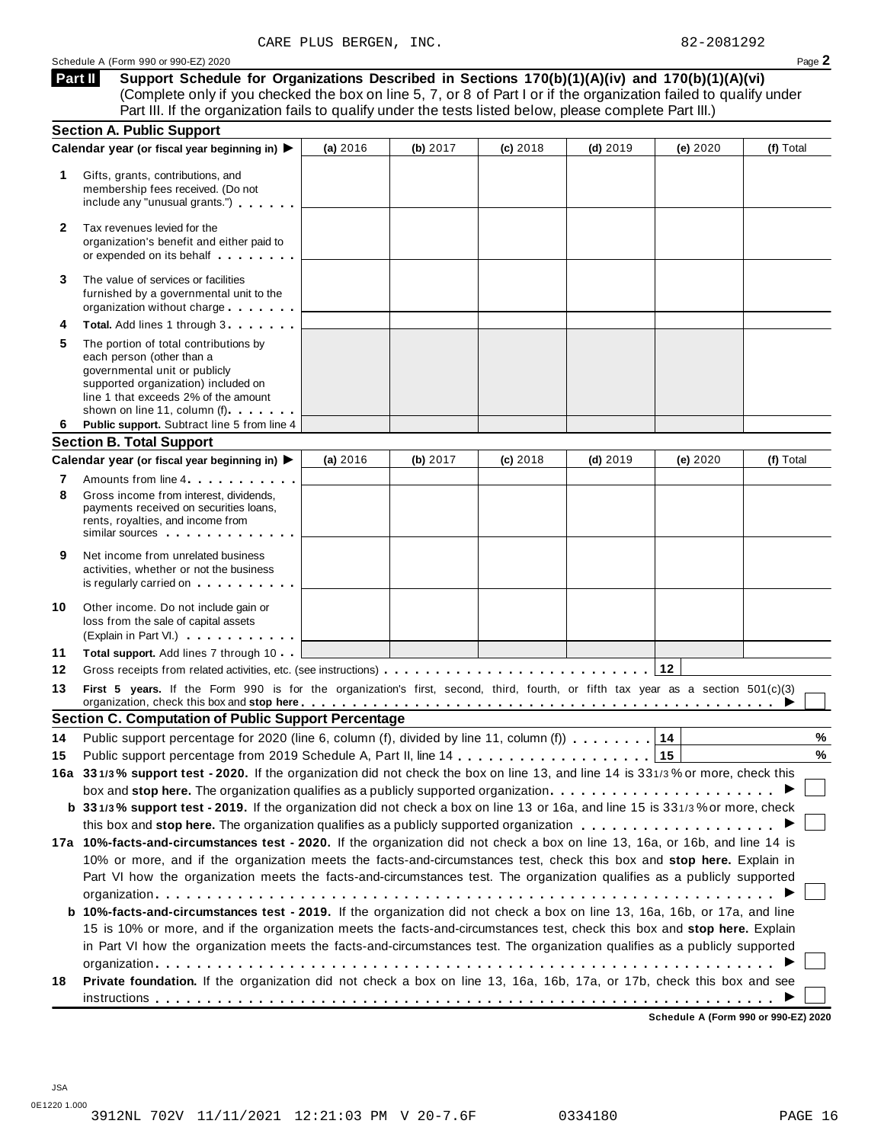**Support Schedule for Organizations Described in Sections 170(b)(1)(A)(iv) and 170(b)(1)(A)(vi)** (Complete only if you checked the box on line 5, 7, or 8 of Part I or if the organization failed to qualify under Part III. If the organization fails to qualify under the tests listed below, please complete Part III.) **Part II**

| Calendar year (or fiscal year beginning in) ▶<br>(a) 2016<br>(b) 2017<br>(c) 2018<br>$(d)$ 2019<br>(e) 2020<br>Gifts, grants, contributions, and<br>1<br>membership fees received. (Do not<br>include any "unusual grants.")<br>Tax revenues levied for the<br>2<br>organization's benefit and either paid to<br>or expended on its behalf <b>contained</b> by the set of the set of the set of the set of the set of the set of the set of the set of the set of the set of the set of the set of the set of the set of the set of the set of the s<br>The value of services or facilities<br>3<br>furnished by a governmental unit to the<br>organization without charge<br>Total. Add lines 1 through 3<br>5<br>The portion of total contributions by<br>each person (other than a<br>governmental unit or publicly<br>supported organization) included on<br>line 1 that exceeds 2% of the amount<br>shown on line 11, column (f)<br>Public support. Subtract line 5 from line 4<br>6<br>(a) 2016<br>(b) 2017<br>$(d)$ 2019<br>(e) 2020<br>(f) Total<br>$(c)$ 2018<br>Amounts from line 4 <b>Amounts</b> from line 4<br>7<br>8<br>Gross income from interest, dividends,<br>payments received on securities loans,<br>rents, royalties, and income from<br>similar sources experiences<br>9<br>Net income from unrelated business<br>activities, whether or not the business<br>is regularly carried on the control of the set of the set of the set of the set of the set of the set of the s<br>Other income. Do not include gain or<br>loss from the sale of capital assets<br>(Explain in Part VI.)<br>11<br>Total support. Add lines 7 through 10<br>12<br>First 5 years. If the Form 990 is for the organization's first, second, third, fourth, or fifth tax year as a section 501(c)(3)<br>organization, check this box and stop here entitled and state in the set of the set of the set of the set of the set of the set of the set of the set of the set of the set of the set of the set of the set of the set of the<br>Public support percentage for 2020 (line 6, column (f), divided by line 11, column (f))<br>14<br>14<br>15<br>15<br>box and stop here. The organization qualifies as a publicly supported organization $\ldots \ldots \ldots \ldots \ldots \ldots$<br>b 331/3% support test - 2019. If the organization did not check a box on line 13 or 16a, and line 15 is 331/3% or more, check<br>10% or more, and if the organization meets the facts-and-circumstances test, check this box and stop here. Explain in<br>Part VI how the organization meets the facts-and-circumstances test. The organization qualifies as a publicly supported<br>b 10%-facts-and-circumstances test - 2019. If the organization did not check a box on line 13, 16a, 16b, or 17a, and line<br>15 is 10% or more, and if the organization meets the facts-and-circumstances test, check this box and stop here. Explain<br>in Part VI how the organization meets the facts-and-circumstances test. The organization qualifies as a publicly supported<br>Private foundation. If the organization did not check a box on line 13, 16a, 16b, 17a, or 17b, check this box and see<br>18 | <b>Section A. Public Support</b> |  |  |           |
|-------------------------------------------------------------------------------------------------------------------------------------------------------------------------------------------------------------------------------------------------------------------------------------------------------------------------------------------------------------------------------------------------------------------------------------------------------------------------------------------------------------------------------------------------------------------------------------------------------------------------------------------------------------------------------------------------------------------------------------------------------------------------------------------------------------------------------------------------------------------------------------------------------------------------------------------------------------------------------------------------------------------------------------------------------------------------------------------------------------------------------------------------------------------------------------------------------------------------------------------------------------------------------------------------------------------------------------------------------------------------------------------------------------------------------------------------------------------------------------------------------------------------------------------------------------------------------------------------------------------------------------------------------------------------------------------------------------------------------------------------------------------------------------------------------------------------------------------------------------------------------------------------------------------------------------------------------------------------------------------------------------------------------------------------------------------------------------------------------------------------------------------------------------------------------------------------------------------------------------------------------------------------------------------------------------------------------------------------------------------------------------------------------------------------------------------------------------------------------------------------------------------------------------------------------------------------------------------------------------------------------------------------------------------------------------------------------------------------------------------------------------------------------------------------------------------------------------------------------------------------------------------------------------------------------------------------------------------------------------------------------------------------------------------------------------------------------------------------------------------------------------------------------------------------------------------------------|----------------------------------|--|--|-----------|
| <b>Section B. Total Support</b><br>Calendar year (or fiscal year beginning in) ▶<br>10<br>13<br><b>Section C. Computation of Public Support Percentage</b><br>17a 10%-facts-and-circumstances test - 2020. If the organization did not check a box on line 13, 16a, or 16b, and line 14 is                                                                                                                                                                                                                                                                                                                                                                                                                                                                                                                                                                                                                                                                                                                                                                                                                                                                                                                                                                                                                                                                                                                                                                                                                                                                                                                                                                                                                                                                                                                                                                                                                                                                                                                                                                                                                                                                                                                                                                                                                                                                                                                                                                                                                                                                                                                                                                                                                                                                                                                                                                                                                                                                                                                                                                                                                                                                                                            |                                  |  |  | (f) Total |
|                                                                                                                                                                                                                                                                                                                                                                                                                                                                                                                                                                                                                                                                                                                                                                                                                                                                                                                                                                                                                                                                                                                                                                                                                                                                                                                                                                                                                                                                                                                                                                                                                                                                                                                                                                                                                                                                                                                                                                                                                                                                                                                                                                                                                                                                                                                                                                                                                                                                                                                                                                                                                                                                                                                                                                                                                                                                                                                                                                                                                                                                                                                                                                                                       |                                  |  |  |           |
| 16a 331/3% support test - 2020. If the organization did not check the box on line 13, and line 14 is 331/3% or more, check this                                                                                                                                                                                                                                                                                                                                                                                                                                                                                                                                                                                                                                                                                                                                                                                                                                                                                                                                                                                                                                                                                                                                                                                                                                                                                                                                                                                                                                                                                                                                                                                                                                                                                                                                                                                                                                                                                                                                                                                                                                                                                                                                                                                                                                                                                                                                                                                                                                                                                                                                                                                                                                                                                                                                                                                                                                                                                                                                                                                                                                                                       |                                  |  |  |           |
|                                                                                                                                                                                                                                                                                                                                                                                                                                                                                                                                                                                                                                                                                                                                                                                                                                                                                                                                                                                                                                                                                                                                                                                                                                                                                                                                                                                                                                                                                                                                                                                                                                                                                                                                                                                                                                                                                                                                                                                                                                                                                                                                                                                                                                                                                                                                                                                                                                                                                                                                                                                                                                                                                                                                                                                                                                                                                                                                                                                                                                                                                                                                                                                                       |                                  |  |  |           |
|                                                                                                                                                                                                                                                                                                                                                                                                                                                                                                                                                                                                                                                                                                                                                                                                                                                                                                                                                                                                                                                                                                                                                                                                                                                                                                                                                                                                                                                                                                                                                                                                                                                                                                                                                                                                                                                                                                                                                                                                                                                                                                                                                                                                                                                                                                                                                                                                                                                                                                                                                                                                                                                                                                                                                                                                                                                                                                                                                                                                                                                                                                                                                                                                       |                                  |  |  |           |
|                                                                                                                                                                                                                                                                                                                                                                                                                                                                                                                                                                                                                                                                                                                                                                                                                                                                                                                                                                                                                                                                                                                                                                                                                                                                                                                                                                                                                                                                                                                                                                                                                                                                                                                                                                                                                                                                                                                                                                                                                                                                                                                                                                                                                                                                                                                                                                                                                                                                                                                                                                                                                                                                                                                                                                                                                                                                                                                                                                                                                                                                                                                                                                                                       |                                  |  |  |           |
|                                                                                                                                                                                                                                                                                                                                                                                                                                                                                                                                                                                                                                                                                                                                                                                                                                                                                                                                                                                                                                                                                                                                                                                                                                                                                                                                                                                                                                                                                                                                                                                                                                                                                                                                                                                                                                                                                                                                                                                                                                                                                                                                                                                                                                                                                                                                                                                                                                                                                                                                                                                                                                                                                                                                                                                                                                                                                                                                                                                                                                                                                                                                                                                                       |                                  |  |  |           |
|                                                                                                                                                                                                                                                                                                                                                                                                                                                                                                                                                                                                                                                                                                                                                                                                                                                                                                                                                                                                                                                                                                                                                                                                                                                                                                                                                                                                                                                                                                                                                                                                                                                                                                                                                                                                                                                                                                                                                                                                                                                                                                                                                                                                                                                                                                                                                                                                                                                                                                                                                                                                                                                                                                                                                                                                                                                                                                                                                                                                                                                                                                                                                                                                       |                                  |  |  |           |
|                                                                                                                                                                                                                                                                                                                                                                                                                                                                                                                                                                                                                                                                                                                                                                                                                                                                                                                                                                                                                                                                                                                                                                                                                                                                                                                                                                                                                                                                                                                                                                                                                                                                                                                                                                                                                                                                                                                                                                                                                                                                                                                                                                                                                                                                                                                                                                                                                                                                                                                                                                                                                                                                                                                                                                                                                                                                                                                                                                                                                                                                                                                                                                                                       |                                  |  |  |           |
|                                                                                                                                                                                                                                                                                                                                                                                                                                                                                                                                                                                                                                                                                                                                                                                                                                                                                                                                                                                                                                                                                                                                                                                                                                                                                                                                                                                                                                                                                                                                                                                                                                                                                                                                                                                                                                                                                                                                                                                                                                                                                                                                                                                                                                                                                                                                                                                                                                                                                                                                                                                                                                                                                                                                                                                                                                                                                                                                                                                                                                                                                                                                                                                                       |                                  |  |  |           |
|                                                                                                                                                                                                                                                                                                                                                                                                                                                                                                                                                                                                                                                                                                                                                                                                                                                                                                                                                                                                                                                                                                                                                                                                                                                                                                                                                                                                                                                                                                                                                                                                                                                                                                                                                                                                                                                                                                                                                                                                                                                                                                                                                                                                                                                                                                                                                                                                                                                                                                                                                                                                                                                                                                                                                                                                                                                                                                                                                                                                                                                                                                                                                                                                       |                                  |  |  |           |
|                                                                                                                                                                                                                                                                                                                                                                                                                                                                                                                                                                                                                                                                                                                                                                                                                                                                                                                                                                                                                                                                                                                                                                                                                                                                                                                                                                                                                                                                                                                                                                                                                                                                                                                                                                                                                                                                                                                                                                                                                                                                                                                                                                                                                                                                                                                                                                                                                                                                                                                                                                                                                                                                                                                                                                                                                                                                                                                                                                                                                                                                                                                                                                                                       |                                  |  |  |           |
|                                                                                                                                                                                                                                                                                                                                                                                                                                                                                                                                                                                                                                                                                                                                                                                                                                                                                                                                                                                                                                                                                                                                                                                                                                                                                                                                                                                                                                                                                                                                                                                                                                                                                                                                                                                                                                                                                                                                                                                                                                                                                                                                                                                                                                                                                                                                                                                                                                                                                                                                                                                                                                                                                                                                                                                                                                                                                                                                                                                                                                                                                                                                                                                                       |                                  |  |  |           |
|                                                                                                                                                                                                                                                                                                                                                                                                                                                                                                                                                                                                                                                                                                                                                                                                                                                                                                                                                                                                                                                                                                                                                                                                                                                                                                                                                                                                                                                                                                                                                                                                                                                                                                                                                                                                                                                                                                                                                                                                                                                                                                                                                                                                                                                                                                                                                                                                                                                                                                                                                                                                                                                                                                                                                                                                                                                                                                                                                                                                                                                                                                                                                                                                       |                                  |  |  |           |
|                                                                                                                                                                                                                                                                                                                                                                                                                                                                                                                                                                                                                                                                                                                                                                                                                                                                                                                                                                                                                                                                                                                                                                                                                                                                                                                                                                                                                                                                                                                                                                                                                                                                                                                                                                                                                                                                                                                                                                                                                                                                                                                                                                                                                                                                                                                                                                                                                                                                                                                                                                                                                                                                                                                                                                                                                                                                                                                                                                                                                                                                                                                                                                                                       |                                  |  |  |           |
|                                                                                                                                                                                                                                                                                                                                                                                                                                                                                                                                                                                                                                                                                                                                                                                                                                                                                                                                                                                                                                                                                                                                                                                                                                                                                                                                                                                                                                                                                                                                                                                                                                                                                                                                                                                                                                                                                                                                                                                                                                                                                                                                                                                                                                                                                                                                                                                                                                                                                                                                                                                                                                                                                                                                                                                                                                                                                                                                                                                                                                                                                                                                                                                                       |                                  |  |  |           |
|                                                                                                                                                                                                                                                                                                                                                                                                                                                                                                                                                                                                                                                                                                                                                                                                                                                                                                                                                                                                                                                                                                                                                                                                                                                                                                                                                                                                                                                                                                                                                                                                                                                                                                                                                                                                                                                                                                                                                                                                                                                                                                                                                                                                                                                                                                                                                                                                                                                                                                                                                                                                                                                                                                                                                                                                                                                                                                                                                                                                                                                                                                                                                                                                       |                                  |  |  | %         |
|                                                                                                                                                                                                                                                                                                                                                                                                                                                                                                                                                                                                                                                                                                                                                                                                                                                                                                                                                                                                                                                                                                                                                                                                                                                                                                                                                                                                                                                                                                                                                                                                                                                                                                                                                                                                                                                                                                                                                                                                                                                                                                                                                                                                                                                                                                                                                                                                                                                                                                                                                                                                                                                                                                                                                                                                                                                                                                                                                                                                                                                                                                                                                                                                       |                                  |  |  | $\%$      |
|                                                                                                                                                                                                                                                                                                                                                                                                                                                                                                                                                                                                                                                                                                                                                                                                                                                                                                                                                                                                                                                                                                                                                                                                                                                                                                                                                                                                                                                                                                                                                                                                                                                                                                                                                                                                                                                                                                                                                                                                                                                                                                                                                                                                                                                                                                                                                                                                                                                                                                                                                                                                                                                                                                                                                                                                                                                                                                                                                                                                                                                                                                                                                                                                       |                                  |  |  |           |
|                                                                                                                                                                                                                                                                                                                                                                                                                                                                                                                                                                                                                                                                                                                                                                                                                                                                                                                                                                                                                                                                                                                                                                                                                                                                                                                                                                                                                                                                                                                                                                                                                                                                                                                                                                                                                                                                                                                                                                                                                                                                                                                                                                                                                                                                                                                                                                                                                                                                                                                                                                                                                                                                                                                                                                                                                                                                                                                                                                                                                                                                                                                                                                                                       |                                  |  |  |           |
|                                                                                                                                                                                                                                                                                                                                                                                                                                                                                                                                                                                                                                                                                                                                                                                                                                                                                                                                                                                                                                                                                                                                                                                                                                                                                                                                                                                                                                                                                                                                                                                                                                                                                                                                                                                                                                                                                                                                                                                                                                                                                                                                                                                                                                                                                                                                                                                                                                                                                                                                                                                                                                                                                                                                                                                                                                                                                                                                                                                                                                                                                                                                                                                                       |                                  |  |  |           |
|                                                                                                                                                                                                                                                                                                                                                                                                                                                                                                                                                                                                                                                                                                                                                                                                                                                                                                                                                                                                                                                                                                                                                                                                                                                                                                                                                                                                                                                                                                                                                                                                                                                                                                                                                                                                                                                                                                                                                                                                                                                                                                                                                                                                                                                                                                                                                                                                                                                                                                                                                                                                                                                                                                                                                                                                                                                                                                                                                                                                                                                                                                                                                                                                       |                                  |  |  |           |
|                                                                                                                                                                                                                                                                                                                                                                                                                                                                                                                                                                                                                                                                                                                                                                                                                                                                                                                                                                                                                                                                                                                                                                                                                                                                                                                                                                                                                                                                                                                                                                                                                                                                                                                                                                                                                                                                                                                                                                                                                                                                                                                                                                                                                                                                                                                                                                                                                                                                                                                                                                                                                                                                                                                                                                                                                                                                                                                                                                                                                                                                                                                                                                                                       |                                  |  |  |           |
|                                                                                                                                                                                                                                                                                                                                                                                                                                                                                                                                                                                                                                                                                                                                                                                                                                                                                                                                                                                                                                                                                                                                                                                                                                                                                                                                                                                                                                                                                                                                                                                                                                                                                                                                                                                                                                                                                                                                                                                                                                                                                                                                                                                                                                                                                                                                                                                                                                                                                                                                                                                                                                                                                                                                                                                                                                                                                                                                                                                                                                                                                                                                                                                                       |                                  |  |  |           |
|                                                                                                                                                                                                                                                                                                                                                                                                                                                                                                                                                                                                                                                                                                                                                                                                                                                                                                                                                                                                                                                                                                                                                                                                                                                                                                                                                                                                                                                                                                                                                                                                                                                                                                                                                                                                                                                                                                                                                                                                                                                                                                                                                                                                                                                                                                                                                                                                                                                                                                                                                                                                                                                                                                                                                                                                                                                                                                                                                                                                                                                                                                                                                                                                       |                                  |  |  |           |
|                                                                                                                                                                                                                                                                                                                                                                                                                                                                                                                                                                                                                                                                                                                                                                                                                                                                                                                                                                                                                                                                                                                                                                                                                                                                                                                                                                                                                                                                                                                                                                                                                                                                                                                                                                                                                                                                                                                                                                                                                                                                                                                                                                                                                                                                                                                                                                                                                                                                                                                                                                                                                                                                                                                                                                                                                                                                                                                                                                                                                                                                                                                                                                                                       |                                  |  |  |           |
|                                                                                                                                                                                                                                                                                                                                                                                                                                                                                                                                                                                                                                                                                                                                                                                                                                                                                                                                                                                                                                                                                                                                                                                                                                                                                                                                                                                                                                                                                                                                                                                                                                                                                                                                                                                                                                                                                                                                                                                                                                                                                                                                                                                                                                                                                                                                                                                                                                                                                                                                                                                                                                                                                                                                                                                                                                                                                                                                                                                                                                                                                                                                                                                                       |                                  |  |  |           |
|                                                                                                                                                                                                                                                                                                                                                                                                                                                                                                                                                                                                                                                                                                                                                                                                                                                                                                                                                                                                                                                                                                                                                                                                                                                                                                                                                                                                                                                                                                                                                                                                                                                                                                                                                                                                                                                                                                                                                                                                                                                                                                                                                                                                                                                                                                                                                                                                                                                                                                                                                                                                                                                                                                                                                                                                                                                                                                                                                                                                                                                                                                                                                                                                       |                                  |  |  |           |
|                                                                                                                                                                                                                                                                                                                                                                                                                                                                                                                                                                                                                                                                                                                                                                                                                                                                                                                                                                                                                                                                                                                                                                                                                                                                                                                                                                                                                                                                                                                                                                                                                                                                                                                                                                                                                                                                                                                                                                                                                                                                                                                                                                                                                                                                                                                                                                                                                                                                                                                                                                                                                                                                                                                                                                                                                                                                                                                                                                                                                                                                                                                                                                                                       |                                  |  |  |           |
|                                                                                                                                                                                                                                                                                                                                                                                                                                                                                                                                                                                                                                                                                                                                                                                                                                                                                                                                                                                                                                                                                                                                                                                                                                                                                                                                                                                                                                                                                                                                                                                                                                                                                                                                                                                                                                                                                                                                                                                                                                                                                                                                                                                                                                                                                                                                                                                                                                                                                                                                                                                                                                                                                                                                                                                                                                                                                                                                                                                                                                                                                                                                                                                                       |                                  |  |  |           |
|                                                                                                                                                                                                                                                                                                                                                                                                                                                                                                                                                                                                                                                                                                                                                                                                                                                                                                                                                                                                                                                                                                                                                                                                                                                                                                                                                                                                                                                                                                                                                                                                                                                                                                                                                                                                                                                                                                                                                                                                                                                                                                                                                                                                                                                                                                                                                                                                                                                                                                                                                                                                                                                                                                                                                                                                                                                                                                                                                                                                                                                                                                                                                                                                       |                                  |  |  |           |

**Schedule A (Form 990 or 990-EZ) 2020**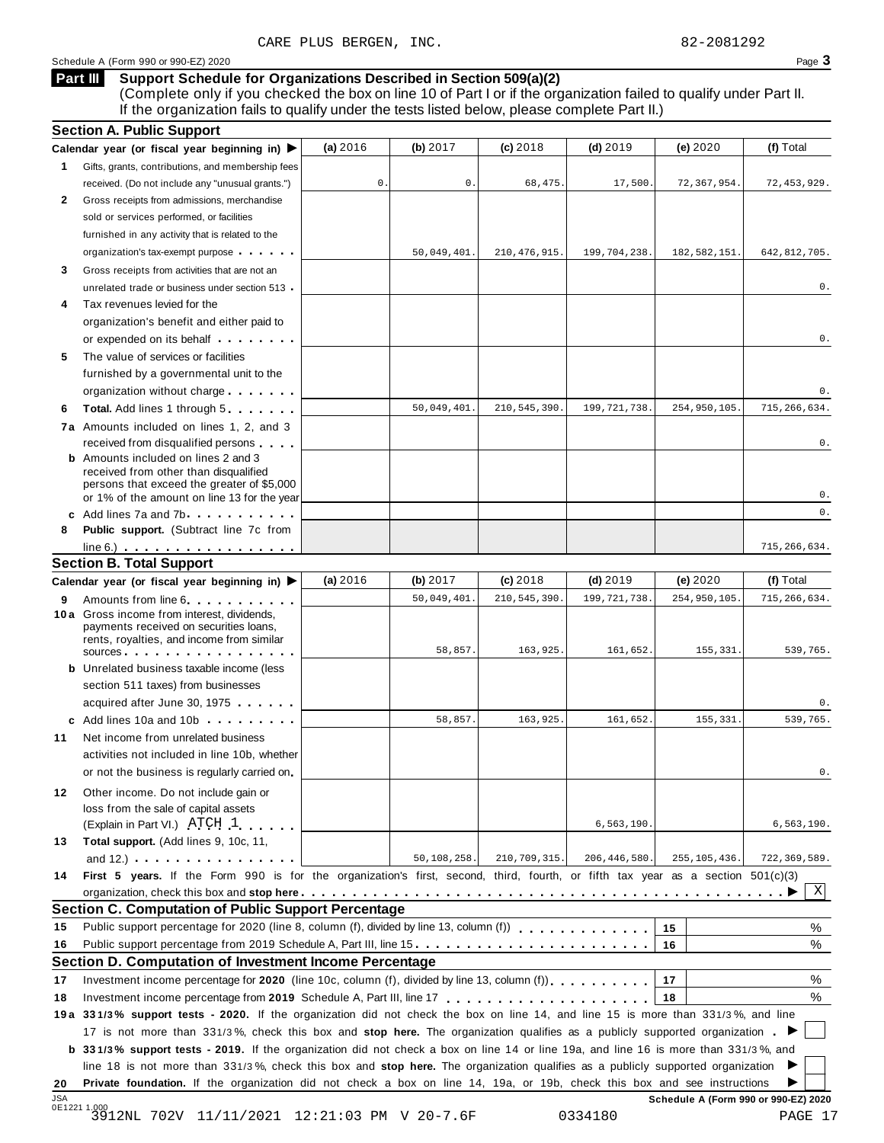### (Complete only if you checked the box on line 10 of Part I or if the organization failed to qualify under Part II. If the organization fails to qualify under the tests listed below, please complete Part II.) **Part III**

|              | <b>Section A. Public Support</b>                                                                                                                                                                                                     |                |             |                |                |                                      |                |
|--------------|--------------------------------------------------------------------------------------------------------------------------------------------------------------------------------------------------------------------------------------|----------------|-------------|----------------|----------------|--------------------------------------|----------------|
|              | Calendar year (or fiscal year beginning in) $\blacktriangleright$                                                                                                                                                                    | (a) 2016       | (b) 2017    | $(c)$ 2018     | $(d)$ 2019     | (e) 2020                             | (f) Total      |
| 1            | Gifts, grants, contributions, and membership fees                                                                                                                                                                                    |                |             |                |                |                                      |                |
|              | received. (Do not include any "unusual grants.")                                                                                                                                                                                     | $\mathsf{O}$ . | $0$ .       | 68,475.        | 17,500         | 72,367,954.                          | 72, 453, 929.  |
| $\mathbf{2}$ | Gross receipts from admissions, merchandise                                                                                                                                                                                          |                |             |                |                |                                      |                |
|              | sold or services performed, or facilities                                                                                                                                                                                            |                |             |                |                |                                      |                |
|              | furnished in any activity that is related to the                                                                                                                                                                                     |                |             |                |                |                                      |                |
|              | organization's tax-exempt purpose                                                                                                                                                                                                    |                | 50,049,401. | 210, 476, 915. | 199,704,238.   | 182,582,151                          | 642,812,705.   |
| 3            | Gross receipts from activities that are not an                                                                                                                                                                                       |                |             |                |                |                                      |                |
|              | unrelated trade or business under section 513.                                                                                                                                                                                       |                |             |                |                |                                      | 0.             |
| 4            | Tax revenues levied for the                                                                                                                                                                                                          |                |             |                |                |                                      |                |
|              | organization's benefit and either paid to                                                                                                                                                                                            |                |             |                |                |                                      |                |
|              | or expended on its behalf <b>contains the set of the set of the set of the set of the set of the set of the set of the set of the set of the set of the set of the set of the set of the set of the set of the set of the set of</b> |                |             |                |                |                                      | 0.             |
| 5            | The value of services or facilities                                                                                                                                                                                                  |                |             |                |                |                                      |                |
|              | furnished by a governmental unit to the                                                                                                                                                                                              |                |             |                |                |                                      |                |
|              | organization without charge                                                                                                                                                                                                          |                |             |                |                |                                      | 0.             |
| 6            | <b>Total.</b> Add lines 1 through 5                                                                                                                                                                                                  |                | 50,049,401. | 210,545,390.   | 199, 721, 738  | 254,950,105                          | 715, 266, 634. |
|              | 7a Amounts included on lines 1, 2, and 3                                                                                                                                                                                             |                |             |                |                |                                      |                |
|              | received from disqualified persons                                                                                                                                                                                                   |                |             |                |                |                                      | 0.             |
|              | <b>b</b> Amounts included on lines 2 and 3                                                                                                                                                                                           |                |             |                |                |                                      |                |
|              | received from other than disqualified<br>persons that exceed the greater of \$5,000                                                                                                                                                  |                |             |                |                |                                      |                |
|              | or 1% of the amount on line 13 for the year                                                                                                                                                                                          |                |             |                |                |                                      | 0.             |
|              | c Add lines 7a and 7b                                                                                                                                                                                                                |                |             |                |                |                                      | 0.             |
| 8            | Public support. (Subtract line 7c from                                                                                                                                                                                               |                |             |                |                |                                      |                |
|              | $line 6.)$ $\ldots$ $\ldots$ $\ldots$ $\ldots$ $\ldots$ $\ldots$ $\ldots$                                                                                                                                                            |                |             |                |                |                                      | 715,266,634.   |
|              | <b>Section B. Total Support</b>                                                                                                                                                                                                      |                |             |                |                |                                      |                |
|              | Calendar year (or fiscal year beginning in) $\blacktriangleright$                                                                                                                                                                    | (a) 2016       | (b) $2017$  | $(c)$ 2018     | $(d)$ 2019     | (e) 2020                             | (f) Total      |
| 9            | Amounts from line 6                                                                                                                                                                                                                  |                | 50,049,401. | 210,545,390.   | 199, 721, 738  | 254,950,105                          | 715, 266, 634. |
|              | 10 a Gross income from interest, dividends,                                                                                                                                                                                          |                |             |                |                |                                      |                |
|              | payments received on securities loans,<br>rents, royalties, and income from similar                                                                                                                                                  |                |             |                |                |                                      |                |
|              | sources                                                                                                                                                                                                                              |                | 58,857.     | 163,925.       | 161,652.       | 155,331                              | 539,765.       |
|              | <b>b</b> Unrelated business taxable income (less                                                                                                                                                                                     |                |             |                |                |                                      |                |
|              | section 511 taxes) from businesses                                                                                                                                                                                                   |                |             |                |                |                                      |                |
|              | acquired after June 30, 1975                                                                                                                                                                                                         |                |             |                |                |                                      | 0.             |
|              | c Add lines 10a and 10b                                                                                                                                                                                                              |                | 58,857      | 163,925.       | 161,652.       | 155,331                              | 539,765.       |
| 11           | Net income from unrelated business                                                                                                                                                                                                   |                |             |                |                |                                      |                |
|              | activities not included in line 10b, whether                                                                                                                                                                                         |                |             |                |                |                                      |                |
|              | or not the business is regularly carried on                                                                                                                                                                                          |                |             |                |                |                                      | 0              |
| 12           | Other income. Do not include gain or                                                                                                                                                                                                 |                |             |                |                |                                      |                |
|              | loss from the sale of capital assets                                                                                                                                                                                                 |                |             |                |                |                                      |                |
|              | (Explain in Part VI.) ATCH 1                                                                                                                                                                                                         |                |             |                | 6, 563, 190.   |                                      | 6, 563, 190.   |
| 13           | Total support. (Add lines 9, 10c, 11,                                                                                                                                                                                                |                |             |                |                |                                      |                |
|              | and $12.$ ) $\cdots$ $\cdots$ $\cdots$ $\cdots$ $\cdots$                                                                                                                                                                             |                | 50,108,258. | 210,709,315.   | 206, 446, 580. | 255, 105, 436.                       | 722,369,589.   |
| 14           | First 5 years. If the Form 990 is for the organization's first, second, third, fourth, or fifth tax year as a section 501(c)(3)                                                                                                      |                |             |                |                |                                      |                |
|              |                                                                                                                                                                                                                                      |                |             |                |                |                                      | X              |
|              | <b>Section C. Computation of Public Support Percentage</b>                                                                                                                                                                           |                |             |                |                |                                      |                |
| 15           | Public support percentage for 2020 (line 8, column (f), divided by line 13, column (f) [1] [1] [1] Public support percentage for 2020 (line 8, column (f), divided by line 13, column (f)                                            |                |             |                |                | 15                                   | %              |
| 16           | Public support percentage from 2019 Schedule A, Part III, line 15.                                                                                                                                                                   |                |             |                |                | 16                                   | %              |
|              | Section D. Computation of Investment Income Percentage                                                                                                                                                                               |                |             |                |                |                                      |                |
| 17           | Investment income percentage for 2020 (line 10c, column (f), divided by line 13, column (f)                                                                                                                                          |                |             |                |                | 17                                   | %              |
| 18           |                                                                                                                                                                                                                                      |                |             |                |                | 18                                   | %              |
|              | 19a 331/3% support tests - 2020. If the organization did not check the box on line 14, and line 15 is more than 331/3%, and line                                                                                                     |                |             |                |                |                                      |                |
|              | 17 is not more than 331/3%, check this box and stop here. The organization qualifies as a publicly supported organization.                                                                                                           |                |             |                |                |                                      |                |
|              | b 331/3% support tests - 2019. If the organization did not check a box on line 14 or line 19a, and line 16 is more than 331/3%, and                                                                                                  |                |             |                |                |                                      |                |
|              | line 18 is not more than 331/3%, check this box and stop here. The organization qualifies as a publicly supported organization                                                                                                       |                |             |                |                |                                      |                |
| 20           | Private foundation. If the organization did not check a box on line 14, 19a, or 19b, check this box and see instructions                                                                                                             |                |             |                |                |                                      |                |
| JSA          |                                                                                                                                                                                                                                      |                |             |                |                | Schedule A (Form 990 or 990-EZ) 2020 |                |
|              | 0E12211.000<br>3912NL 702V 11/11/2021 12:21:03 PM V 20-7.6F                                                                                                                                                                          |                |             |                | 0334180        |                                      | PAGE 17        |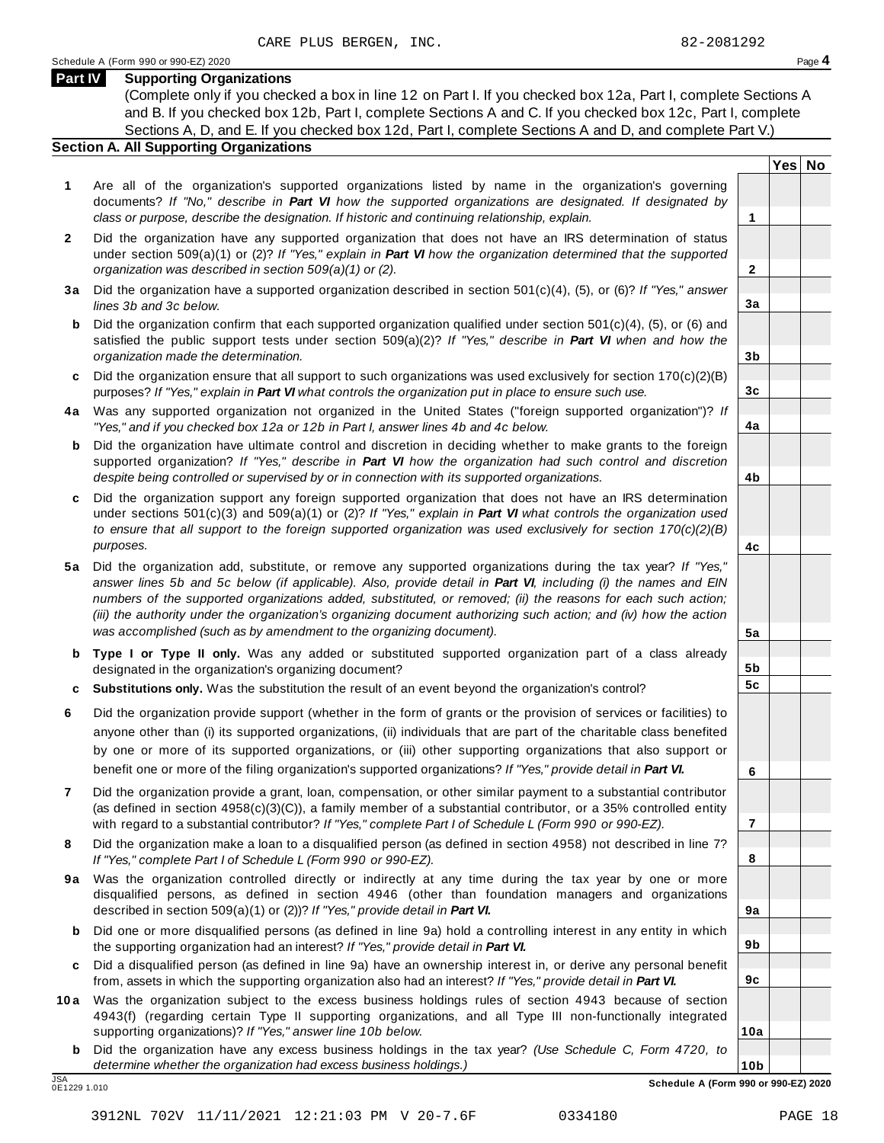**Yes No**

**2**

**3a**

**3b**

**3c**

**4a**

**4b**

**4c**

**5a**

**5b 5c**

**6**

**7**

**8**

**9a**

**9b**

**9c**

**10a**

### **Part IV Supporting Organizations**

(Complete only if you checked a box in line 12 on Part I. If you checked box 12a, Part I, complete Sections A and B. If you checked box 12b, Part I, complete Sections A and C. If you checked box 12c, Part I, complete Sections A, D, and E. If you checked box 12d, Part I, complete Sections A and D, and complete Part V.)

### **Section A. All Supporting Organizations**

- **1** Are all of the organization's supported organizations listed by name in the organization's governing documents? *If "No," describe in Part VI how the supported organizations are designated. If designated by class or purpose, describe the designation. If historic and continuing relationship, explain.* **1**
- **2** Did the organization have any supported organization that does not have an IRS determination of status under section 509(a)(1) or (2)? *If"Yes," explain in Part VI how the organization determined that the supported organization was described in section 509(a)(1) or (2).*
- **3 a** Did the organization have a supported organization described in section 501(c)(4), (5), or (6)? *If "Yes," answer lines 3b and 3c below.*
- **b** Did the organization confirm that each supported organization qualified under section 501(c)(4), (5), or (6) and | satisfied the public support tests under section 509(a)(2)? *If "Yes," describe in Part VI when and how the organization made the determination.*
- **c** Did the organization ensure that all support to such organizations was used exclusively for section 170(c)(2)(B) purposes? *If"Yes," explain in Part VI what controls the organization put in place to ensure such use.*
- **4 a** Was any supported organization not organized in the United States ("foreign supported organization")? *If "Yes," and if you checked box 12a or 12b in Part I, answer lines 4b and 4c below.*
- **b** Did the organization have ultimate control and discretion in deciding whether to make grants to the foreign | supported organization? *If "Yes," describe in Part VI how the organization had such control and discretion despite being controlled or supervised by or in connection with its supported organizations.*
- **c** Did the organization support any foreign supported organization that does not have an IRS determination | under sections 501(c)(3) and 509(a)(1) or (2)? *If "Yes," explain in Part VI what controls the organization used to ensure that all support to the foreign supported organization was used exclusively for section 170(c)(2)(B) purposes.*
- **5 a** Did the organization add, substitute, or remove any supported organizations during the tax year? *If "Yes,"* answer lines 5b and 5c below (if applicable). Also, provide detail in Part VI, including (i) the names and EIN *numbers of the supported organizations added, substituted, or removed; (ii) the reasons for each such action;* (iii) the authority under the organization's organizing document authorizing such action; and (iv) how the action *was accomplished (such as by amendment to the organizing document).*
- **b Type I or Type II only.** Was any added or substituted supported organization part of a class already designated in the organization's organizing document?
- **c Substitutions only.** Was the substitution the result of an event beyond the organization's control?
- **6** Did the organization provide support (whether in the form of grants or the provision of services or facilities) to anyone other than (i) its supported organizations, (ii) individuals that are part of the charitable class benefited by one or more of its supported organizations, or (iii) other supporting organizations that also support or benefit one or more of the filing organization's supported organizations? *If"Yes," provide detail in Part VI.*
- **7** Did the organization provide a grant, loan, compensation, or other similar payment to a substantial contributor (as defined in section 4958(c)(3)(C)), a family member of a substantial contributor, or a 35% controlled entity with regard to a substantial contributor? *If"Yes," complete Part I of Schedule L (Form 990 or 990-EZ).*
- **8** Did the organization make a loan to a disqualified person (as defined in section 4958) not described in line 7? *If "Yes," complete Part I of Schedule L (Form 990 or 990-EZ).*
- **9a** Was the organization controlled directly or indirectly at any time during the tax year by one or more | disqualified persons, as defined in section 4946 (other than foundation managers and organizations described in section 509(a)(1) or (2))? *If"Yes," provide detail in Part VI.*
- **b** Did one or more disqualified persons (as defined in line 9a) hold a controlling interest in any entity in which | the supporting organization had an interest? *If"Yes," provide detail in Part VI.*
- **c** Did a disqualified person (as defined in line 9a) have an ownership interest in, or derive any personal benefit from, assets in which the supporting organization also had an interest? *If"Yes," provide detail in Part VI.*
- **10a** Was the organization subject to the excess business holdings rules of section 4943 because of section | 4943(f) (regarding certain Type II supporting organizations, and all Type III non-functionally integrated supporting organizations)? *If"Yes," answer line 10b below.*
	- **b** Did the organization have any excess business holdings in the tax year? *(Use Schedule C, Form 4720, to determine whether the organization had excess business holdings.)*

0E1229 1.010

**10b** JSA **Schedule A (Form 990 or 990-EZ) 2020**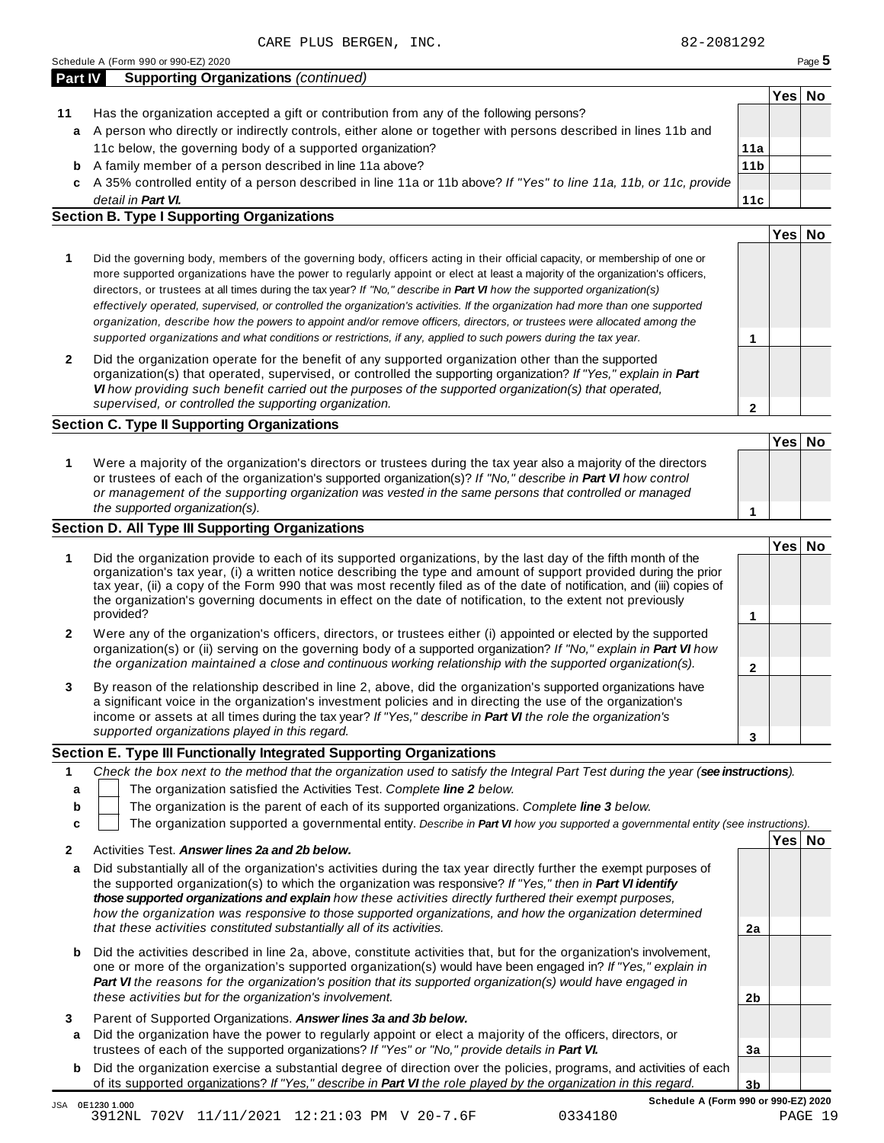3912NL 702V 11/11/2021 12:21:03 PM V 20-7.6F 0334180 PAGE 19

**2b**

**3a**

**3b**

| Part IV | <b>Supporting Organizations (continued)</b>                                                                        |                 |     |
|---------|--------------------------------------------------------------------------------------------------------------------|-----------------|-----|
|         |                                                                                                                    |                 | Yes |
| 11      | Has the organization accepted a gift or contribution from any of the following persons?                            |                 |     |
| a       | A person who directly or indirectly controls, either alone or together with persons described in lines 11b and     |                 |     |
|         | 11c below, the governing body of a supported organization?                                                         | 11a             |     |
| b       | A family member of a person described in line 11a above?                                                           | 11 <sub>b</sub> |     |
| C       | A 35% controlled entity of a person described in line 11a or 11b above? If "Yes" to line 11a, 11b, or 11c, provide |                 |     |
|         | detail in <b>Part VI.</b>                                                                                          | 11с             |     |

### **Section B. Type I Supporting Organizations**

|   |                                                                                                                                                                                                                                                                                                                                                                                                                                                                                                                                                                                                                                                                                                                                                                          |   | Yesl |  |
|---|--------------------------------------------------------------------------------------------------------------------------------------------------------------------------------------------------------------------------------------------------------------------------------------------------------------------------------------------------------------------------------------------------------------------------------------------------------------------------------------------------------------------------------------------------------------------------------------------------------------------------------------------------------------------------------------------------------------------------------------------------------------------------|---|------|--|
|   | Did the governing body, members of the governing body, officers acting in their official capacity, or membership of one or<br>more supported organizations have the power to regularly appoint or elect at least a majority of the organization's officers,<br>directors, or trustees at all times during the tax year? If "No," describe in Part VI how the supported organization(s)<br>effectively operated, supervised, or controlled the organization's activities. If the organization had more than one supported<br>organization, describe how the powers to appoint and/or remove officers, directors, or trustees were allocated among the<br>supported organizations and what conditions or restrictions, if any, applied to such powers during the tax year. |   |      |  |
| 2 | Did the organization operate for the benefit of any supported organization other than the supported<br>organization(s) that operated, supervised, or controlled the supporting organization? If "Yes," explain in Part<br>VI how providing such benefit carried out the purposes of the supported organization(s) that operated,<br>supervised, or controlled the supporting organization.                                                                                                                                                                                                                                                                                                                                                                               | ≘ |      |  |

### **1 Yes No 1** Were a majority of the organization's directors or trustees during the tax year also a majority of the directors or trustees of each of the organization's supported organization(s)? *If"No," describe in Part VI how control or management of the supporting organization was vested in the same persons that controlled or managed the supported organization(s).*

### **Section D. All Type III Supporting Organizations**

|              |                                                                                                                                                                                                                                                                                                                                                                                                                                                                                          | Yes⊺ |  |
|--------------|------------------------------------------------------------------------------------------------------------------------------------------------------------------------------------------------------------------------------------------------------------------------------------------------------------------------------------------------------------------------------------------------------------------------------------------------------------------------------------------|------|--|
|              | Did the organization provide to each of its supported organizations, by the last day of the fifth month of the<br>organization's tax year, (i) a written notice describing the type and amount of support provided during the prior<br>tax year, (ii) a copy of the Form 990 that was most recently filed as of the date of notification, and (iii) copies of<br>the organization's governing documents in effect on the date of notification, to the extent not previously<br>provided? |      |  |
| $\mathbf{2}$ | Were any of the organization's officers, directors, or trustees either (i) appointed or elected by the supported<br>organization(s) or (ii) serving on the governing body of a supported organization? If "No," explain in Part VI how<br>the organization maintained a close and continuous working relationship with the supported organization(s).                                                                                                                                    |      |  |
| 3            | By reason of the relationship described in line 2, above, did the organization's supported organizations have<br>a significant voice in the organization's investment policies and in directing the use of the organization's<br>income or assets at all times during the tax year? If "Yes," describe in Part VI the role the organization's                                                                                                                                            |      |  |
|              | supported organizations played in this regard.                                                                                                                                                                                                                                                                                                                                                                                                                                           |      |  |

### **Section E. Type III Functionally Integrated Supporting Organizations**

|   | Check the box next to the method that the organization used to satisfy the Integral Part Test during the year (see instructions). |  |                  |    |  |  |  |
|---|-----------------------------------------------------------------------------------------------------------------------------------|--|------------------|----|--|--|--|
|   | The organization satisfied the Activities Test. Complete line 2 below.                                                            |  |                  |    |  |  |  |
| b | The organization is the parent of each of its supported organizations. Complete line 3 below.                                     |  |                  |    |  |  |  |
|   | The organization supported a governmental entity. Describe in Part VI how you supported a governmental entity (see instructions). |  |                  |    |  |  |  |
|   |                                                                                                                                   |  | Yes <sub>l</sub> | No |  |  |  |
|   | Activities Test. Answer lines 2a and 2b below.                                                                                    |  |                  |    |  |  |  |

| a Did substantially all of the organization's activities during the tax year directly further the exempt purposes of |    |  |
|----------------------------------------------------------------------------------------------------------------------|----|--|
| the supported organization(s) to which the organization was responsive? If "Yes," then in <b>Part VI identify</b>    |    |  |
| those supported organizations and explain how these activities directly furthered their exempt purposes.             |    |  |
| how the organization was responsive to those supported organizations, and how the organization determined            |    |  |
| that these activities constituted substantially all of its activities.                                               | 2a |  |
|                                                                                                                      |    |  |

| <b>b</b> Did the activities described in line 2a, above, constitute activities that, but for the organization's involvement, |
|------------------------------------------------------------------------------------------------------------------------------|
| one or more of the organization's supported organization(s) would have been engaged in? If "Yes," explain in                 |
| <b>Part VI</b> the reasons for the organization's position that its supported organization(s) would have engaged in          |
| these activities but for the organization's involvement.                                                                     |

**3** Parent of Supported Organizations. *Answer lines 3a and 3b below.*

JSA 0E1230 1.000

- **a** Did the organization have the power to regularly appoint or elect a majority of the officers, directors, or trustees of each of the supported organizations? *If"Yes" or "No," provide details in Part VI.*
- **b** Did the organization exercise a substantial degree of direction over the policies, programs, and activities of each of its supported organizations? *If"Yes," describe in Part VI the role played by the organization in this regard.*

**Yes No**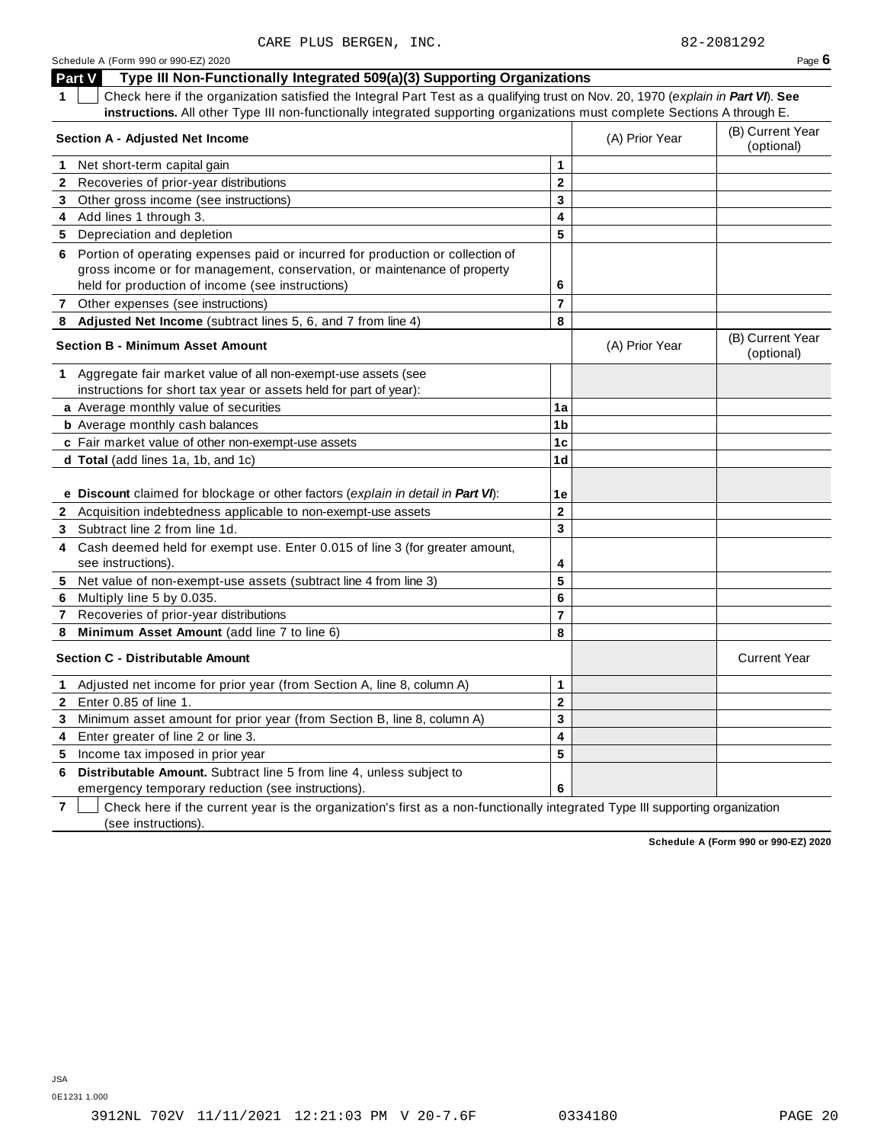|              | Part V<br>Type III Non-Functionally Integrated 509(a)(3) Supporting Organizations                                                                                                                              |                         |                                |                                |
|--------------|----------------------------------------------------------------------------------------------------------------------------------------------------------------------------------------------------------------|-------------------------|--------------------------------|--------------------------------|
| 1.           | Check here if the organization satisfied the Integral Part Test as a qualifying trust on Nov. 20, 1970 (explain in Part VI). See                                                                               |                         |                                |                                |
|              | instructions. All other Type III non-functionally integrated supporting organizations must complete Sections A through E.                                                                                      |                         |                                |                                |
|              | <b>Section A - Adjusted Net Income</b>                                                                                                                                                                         | (A) Prior Year          | (B) Current Year<br>(optional) |                                |
| 1.           | Net short-term capital gain                                                                                                                                                                                    | 1                       |                                |                                |
| 2            | Recoveries of prior-year distributions                                                                                                                                                                         | $\mathbf 2$             |                                |                                |
| 3            | Other gross income (see instructions)                                                                                                                                                                          | 3                       |                                |                                |
| 4            | Add lines 1 through 3.                                                                                                                                                                                         | 4                       |                                |                                |
| 5            | Depreciation and depletion                                                                                                                                                                                     | 5                       |                                |                                |
| 6            | Portion of operating expenses paid or incurred for production or collection of<br>gross income or for management, conservation, or maintenance of property<br>held for production of income (see instructions) | 6                       |                                |                                |
|              | 7 Other expenses (see instructions)                                                                                                                                                                            | $\overline{\mathbf{r}}$ |                                |                                |
| 8            | Adjusted Net Income (subtract lines 5, 6, and 7 from line 4)                                                                                                                                                   | 8                       |                                |                                |
|              | <b>Section B - Minimum Asset Amount</b>                                                                                                                                                                        |                         | (A) Prior Year                 | (B) Current Year<br>(optional) |
|              | 1 Aggregate fair market value of all non-exempt-use assets (see<br>instructions for short tax year or assets held for part of year):                                                                           |                         |                                |                                |
|              | a Average monthly value of securities                                                                                                                                                                          | 1a                      |                                |                                |
|              | <b>b</b> Average monthly cash balances                                                                                                                                                                         | 1 <sub>b</sub>          |                                |                                |
|              | c Fair market value of other non-exempt-use assets                                                                                                                                                             | 1c                      |                                |                                |
|              | d Total (add lines 1a, 1b, and 1c)                                                                                                                                                                             | 1d                      |                                |                                |
|              |                                                                                                                                                                                                                |                         |                                |                                |
|              | e Discount claimed for blockage or other factors (explain in detail in Part VI):                                                                                                                               | 1е                      |                                |                                |
|              | 2 Acquisition indebtedness applicable to non-exempt-use assets                                                                                                                                                 | $\mathbf 2$             |                                |                                |
| 3            | Subtract line 2 from line 1d.                                                                                                                                                                                  | 3                       |                                |                                |
| 4            | Cash deemed held for exempt use. Enter 0.015 of line 3 (for greater amount,<br>see instructions).                                                                                                              | 4                       |                                |                                |
| 5            | Net value of non-exempt-use assets (subtract line 4 from line 3)                                                                                                                                               | 5                       |                                |                                |
| 6            | Multiply line 5 by 0.035.                                                                                                                                                                                      | 6                       |                                |                                |
| $\mathbf{7}$ | Recoveries of prior-year distributions                                                                                                                                                                         | $\overline{7}$          |                                |                                |
| 8            | Minimum Asset Amount (add line 7 to line 6)                                                                                                                                                                    | 8                       |                                |                                |
|              | <b>Section C - Distributable Amount</b>                                                                                                                                                                        |                         |                                | <b>Current Year</b>            |
| $\mathbf 1$  | Adjusted net income for prior year (from Section A, line 8, column A)                                                                                                                                          | 1                       |                                |                                |
|              | <b>2</b> Enter 0.85 of line 1.                                                                                                                                                                                 | $\mathbf 2$             |                                |                                |
| 3            | Minimum asset amount for prior year (from Section B, line 8, column A)                                                                                                                                         | 3                       |                                |                                |
| 4            | Enter greater of line 2 or line 3.                                                                                                                                                                             | 4                       |                                |                                |
| 5            | Income tax imposed in prior year                                                                                                                                                                               | 5                       |                                |                                |
| 6            | Distributable Amount. Subtract line 5 from line 4, unless subject to<br>emergency temporary reduction (see instructions).                                                                                      | 6                       |                                |                                |

**7**  $\Box$  Check here if the current year is the organization's first as a non-functionally integrated Type III supporting organization (see instructions).

**Schedule A (Form 990 or 990-EZ) 2020**

0E1231 1.000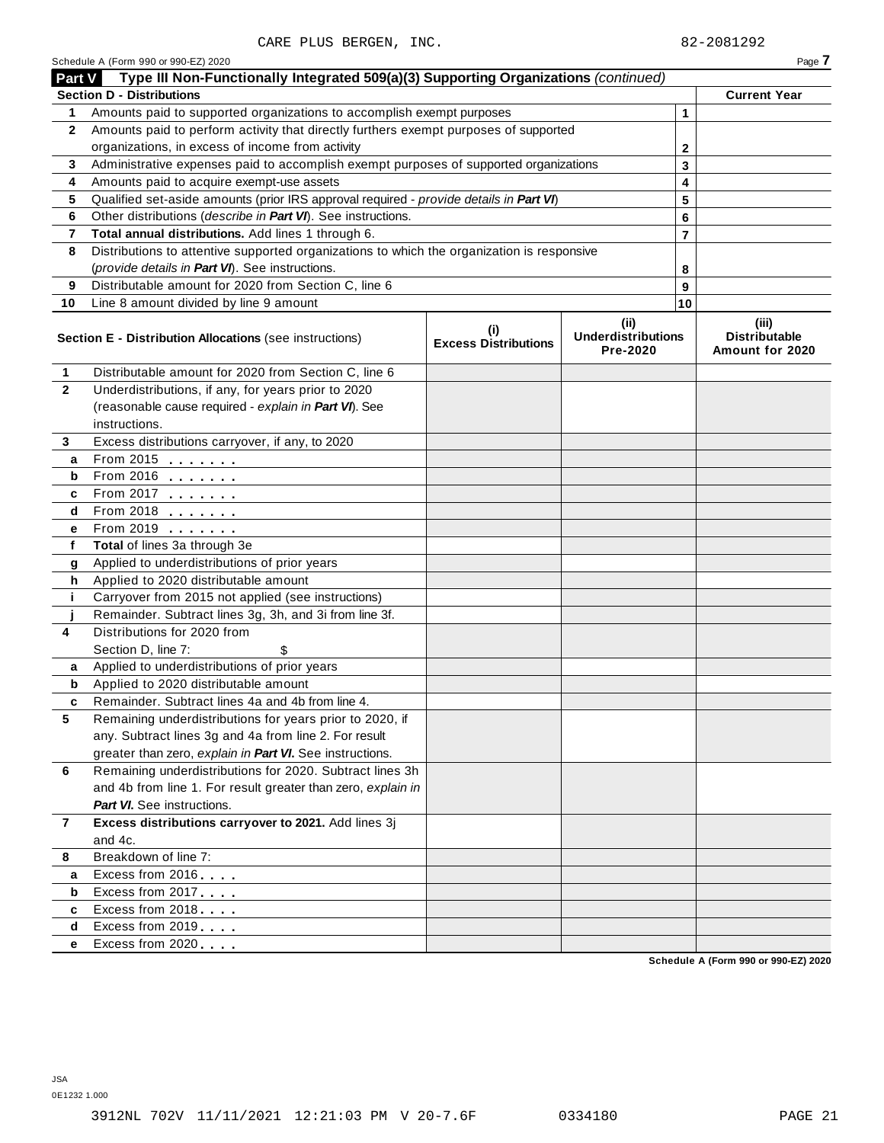| Type III Non-Functionally Integrated 509(a)(3) Supporting Organizations (continued)<br><b>Part V</b><br><b>Section D - Distributions</b><br>Amounts paid to supported organizations to accomplish exempt purposes<br>1<br>Amounts paid to perform activity that directly furthers exempt purposes of supported<br>$\mathbf{2}$<br>organizations, in excess of income from activity<br>Administrative expenses paid to accomplish exempt purposes of supported organizations<br>3<br>Amounts paid to acquire exempt-use assets<br>4<br>Qualified set-aside amounts (prior IRS approval required - provide details in Part VI)<br>5<br>Other distributions (describe in Part VI). See instructions.<br>6<br>Total annual distributions. Add lines 1 through 6.<br>7<br>Distributions to attentive supported organizations to which the organization is responsive<br>8<br>(provide details in Part VI). See instructions.<br>Distributable amount for 2020 from Section C, line 6<br>9<br>Line 8 amount divided by line 9 amount<br>10<br>(ii)<br>(i) |    | Page 7                                           |
|-----------------------------------------------------------------------------------------------------------------------------------------------------------------------------------------------------------------------------------------------------------------------------------------------------------------------------------------------------------------------------------------------------------------------------------------------------------------------------------------------------------------------------------------------------------------------------------------------------------------------------------------------------------------------------------------------------------------------------------------------------------------------------------------------------------------------------------------------------------------------------------------------------------------------------------------------------------------------------------------------------------------------------------------------------|----|--------------------------------------------------|
|                                                                                                                                                                                                                                                                                                                                                                                                                                                                                                                                                                                                                                                                                                                                                                                                                                                                                                                                                                                                                                                     |    |                                                  |
|                                                                                                                                                                                                                                                                                                                                                                                                                                                                                                                                                                                                                                                                                                                                                                                                                                                                                                                                                                                                                                                     |    | <b>Current Year</b>                              |
|                                                                                                                                                                                                                                                                                                                                                                                                                                                                                                                                                                                                                                                                                                                                                                                                                                                                                                                                                                                                                                                     | 1  |                                                  |
|                                                                                                                                                                                                                                                                                                                                                                                                                                                                                                                                                                                                                                                                                                                                                                                                                                                                                                                                                                                                                                                     |    |                                                  |
|                                                                                                                                                                                                                                                                                                                                                                                                                                                                                                                                                                                                                                                                                                                                                                                                                                                                                                                                                                                                                                                     | 2  |                                                  |
|                                                                                                                                                                                                                                                                                                                                                                                                                                                                                                                                                                                                                                                                                                                                                                                                                                                                                                                                                                                                                                                     | 3  |                                                  |
|                                                                                                                                                                                                                                                                                                                                                                                                                                                                                                                                                                                                                                                                                                                                                                                                                                                                                                                                                                                                                                                     | 4  |                                                  |
|                                                                                                                                                                                                                                                                                                                                                                                                                                                                                                                                                                                                                                                                                                                                                                                                                                                                                                                                                                                                                                                     | 5  |                                                  |
|                                                                                                                                                                                                                                                                                                                                                                                                                                                                                                                                                                                                                                                                                                                                                                                                                                                                                                                                                                                                                                                     | 6  |                                                  |
|                                                                                                                                                                                                                                                                                                                                                                                                                                                                                                                                                                                                                                                                                                                                                                                                                                                                                                                                                                                                                                                     | 7  |                                                  |
|                                                                                                                                                                                                                                                                                                                                                                                                                                                                                                                                                                                                                                                                                                                                                                                                                                                                                                                                                                                                                                                     |    |                                                  |
|                                                                                                                                                                                                                                                                                                                                                                                                                                                                                                                                                                                                                                                                                                                                                                                                                                                                                                                                                                                                                                                     | 8  |                                                  |
|                                                                                                                                                                                                                                                                                                                                                                                                                                                                                                                                                                                                                                                                                                                                                                                                                                                                                                                                                                                                                                                     | 9  |                                                  |
|                                                                                                                                                                                                                                                                                                                                                                                                                                                                                                                                                                                                                                                                                                                                                                                                                                                                                                                                                                                                                                                     | 10 |                                                  |
| <b>Underdistributions</b><br>Section E - Distribution Allocations (see instructions)<br><b>Excess Distributions</b><br>Pre-2020                                                                                                                                                                                                                                                                                                                                                                                                                                                                                                                                                                                                                                                                                                                                                                                                                                                                                                                     |    | (iii)<br><b>Distributable</b><br>Amount for 2020 |
| Distributable amount for 2020 from Section C, line 6<br>1                                                                                                                                                                                                                                                                                                                                                                                                                                                                                                                                                                                                                                                                                                                                                                                                                                                                                                                                                                                           |    |                                                  |
| $\mathbf{2}$<br>Underdistributions, if any, for years prior to 2020                                                                                                                                                                                                                                                                                                                                                                                                                                                                                                                                                                                                                                                                                                                                                                                                                                                                                                                                                                                 |    |                                                  |
| (reasonable cause required - explain in Part VI). See                                                                                                                                                                                                                                                                                                                                                                                                                                                                                                                                                                                                                                                                                                                                                                                                                                                                                                                                                                                               |    |                                                  |
| instructions.                                                                                                                                                                                                                                                                                                                                                                                                                                                                                                                                                                                                                                                                                                                                                                                                                                                                                                                                                                                                                                       |    |                                                  |
| Excess distributions carryover, if any, to 2020<br>3                                                                                                                                                                                                                                                                                                                                                                                                                                                                                                                                                                                                                                                                                                                                                                                                                                                                                                                                                                                                |    |                                                  |
| From 2015 $\frac{1}{2}$<br>а                                                                                                                                                                                                                                                                                                                                                                                                                                                                                                                                                                                                                                                                                                                                                                                                                                                                                                                                                                                                                        |    |                                                  |
| From 2016 $\frac{2016}{200}$<br>b                                                                                                                                                                                                                                                                                                                                                                                                                                                                                                                                                                                                                                                                                                                                                                                                                                                                                                                                                                                                                   |    |                                                  |
| From 2017 $\frac{1}{2}$<br>c                                                                                                                                                                                                                                                                                                                                                                                                                                                                                                                                                                                                                                                                                                                                                                                                                                                                                                                                                                                                                        |    |                                                  |
| From 2018 $\frac{2018}{200}$<br>d                                                                                                                                                                                                                                                                                                                                                                                                                                                                                                                                                                                                                                                                                                                                                                                                                                                                                                                                                                                                                   |    |                                                  |
| From 2019 <b>Figure 1.1 Figure 1.1</b><br>е                                                                                                                                                                                                                                                                                                                                                                                                                                                                                                                                                                                                                                                                                                                                                                                                                                                                                                                                                                                                         |    |                                                  |
| f<br>Total of lines 3a through 3e                                                                                                                                                                                                                                                                                                                                                                                                                                                                                                                                                                                                                                                                                                                                                                                                                                                                                                                                                                                                                   |    |                                                  |
| Applied to underdistributions of prior years<br>g                                                                                                                                                                                                                                                                                                                                                                                                                                                                                                                                                                                                                                                                                                                                                                                                                                                                                                                                                                                                   |    |                                                  |
| Applied to 2020 distributable amount<br>h                                                                                                                                                                                                                                                                                                                                                                                                                                                                                                                                                                                                                                                                                                                                                                                                                                                                                                                                                                                                           |    |                                                  |
| Carryover from 2015 not applied (see instructions)<br>j.                                                                                                                                                                                                                                                                                                                                                                                                                                                                                                                                                                                                                                                                                                                                                                                                                                                                                                                                                                                            |    |                                                  |
| Remainder. Subtract lines 3g, 3h, and 3i from line 3f.                                                                                                                                                                                                                                                                                                                                                                                                                                                                                                                                                                                                                                                                                                                                                                                                                                                                                                                                                                                              |    |                                                  |
| Distributions for 2020 from<br>4                                                                                                                                                                                                                                                                                                                                                                                                                                                                                                                                                                                                                                                                                                                                                                                                                                                                                                                                                                                                                    |    |                                                  |
| Section D, line 7:<br>\$                                                                                                                                                                                                                                                                                                                                                                                                                                                                                                                                                                                                                                                                                                                                                                                                                                                                                                                                                                                                                            |    |                                                  |
| Applied to underdistributions of prior years<br>a                                                                                                                                                                                                                                                                                                                                                                                                                                                                                                                                                                                                                                                                                                                                                                                                                                                                                                                                                                                                   |    |                                                  |
| Applied to 2020 distributable amount<br>b                                                                                                                                                                                                                                                                                                                                                                                                                                                                                                                                                                                                                                                                                                                                                                                                                                                                                                                                                                                                           |    |                                                  |
| Remainder. Subtract lines 4a and 4b from line 4.<br>c                                                                                                                                                                                                                                                                                                                                                                                                                                                                                                                                                                                                                                                                                                                                                                                                                                                                                                                                                                                               |    |                                                  |
| 5<br>Remaining underdistributions for years prior to 2020, if                                                                                                                                                                                                                                                                                                                                                                                                                                                                                                                                                                                                                                                                                                                                                                                                                                                                                                                                                                                       |    |                                                  |
| any. Subtract lines 3g and 4a from line 2. For result                                                                                                                                                                                                                                                                                                                                                                                                                                                                                                                                                                                                                                                                                                                                                                                                                                                                                                                                                                                               |    |                                                  |
| greater than zero, explain in Part VI. See instructions.                                                                                                                                                                                                                                                                                                                                                                                                                                                                                                                                                                                                                                                                                                                                                                                                                                                                                                                                                                                            |    |                                                  |
| Remaining underdistributions for 2020. Subtract lines 3h<br>6                                                                                                                                                                                                                                                                                                                                                                                                                                                                                                                                                                                                                                                                                                                                                                                                                                                                                                                                                                                       |    |                                                  |
| and 4b from line 1. For result greater than zero, explain in                                                                                                                                                                                                                                                                                                                                                                                                                                                                                                                                                                                                                                                                                                                                                                                                                                                                                                                                                                                        |    |                                                  |
| <b>Part VI.</b> See instructions.                                                                                                                                                                                                                                                                                                                                                                                                                                                                                                                                                                                                                                                                                                                                                                                                                                                                                                                                                                                                                   |    |                                                  |
| Excess distributions carryover to 2021. Add lines 3j<br>$\overline{7}$                                                                                                                                                                                                                                                                                                                                                                                                                                                                                                                                                                                                                                                                                                                                                                                                                                                                                                                                                                              |    |                                                  |
| and 4c.                                                                                                                                                                                                                                                                                                                                                                                                                                                                                                                                                                                                                                                                                                                                                                                                                                                                                                                                                                                                                                             |    |                                                  |
| Breakdown of line 7:<br>8                                                                                                                                                                                                                                                                                                                                                                                                                                                                                                                                                                                                                                                                                                                                                                                                                                                                                                                                                                                                                           |    |                                                  |
| Excess from 2016<br>а                                                                                                                                                                                                                                                                                                                                                                                                                                                                                                                                                                                                                                                                                                                                                                                                                                                                                                                                                                                                                               |    |                                                  |
| Excess from 2017<br>b                                                                                                                                                                                                                                                                                                                                                                                                                                                                                                                                                                                                                                                                                                                                                                                                                                                                                                                                                                                                                               |    |                                                  |
| Excess from 2018<br>c                                                                                                                                                                                                                                                                                                                                                                                                                                                                                                                                                                                                                                                                                                                                                                                                                                                                                                                                                                                                                               |    |                                                  |
| Excess from 2019<br>d                                                                                                                                                                                                                                                                                                                                                                                                                                                                                                                                                                                                                                                                                                                                                                                                                                                                                                                                                                                                                               |    |                                                  |
| Excess from 2020<br>е                                                                                                                                                                                                                                                                                                                                                                                                                                                                                                                                                                                                                                                                                                                                                                                                                                                                                                                                                                                                                               |    |                                                  |

**Schedule A (Form 990 or 990-EZ) 2020**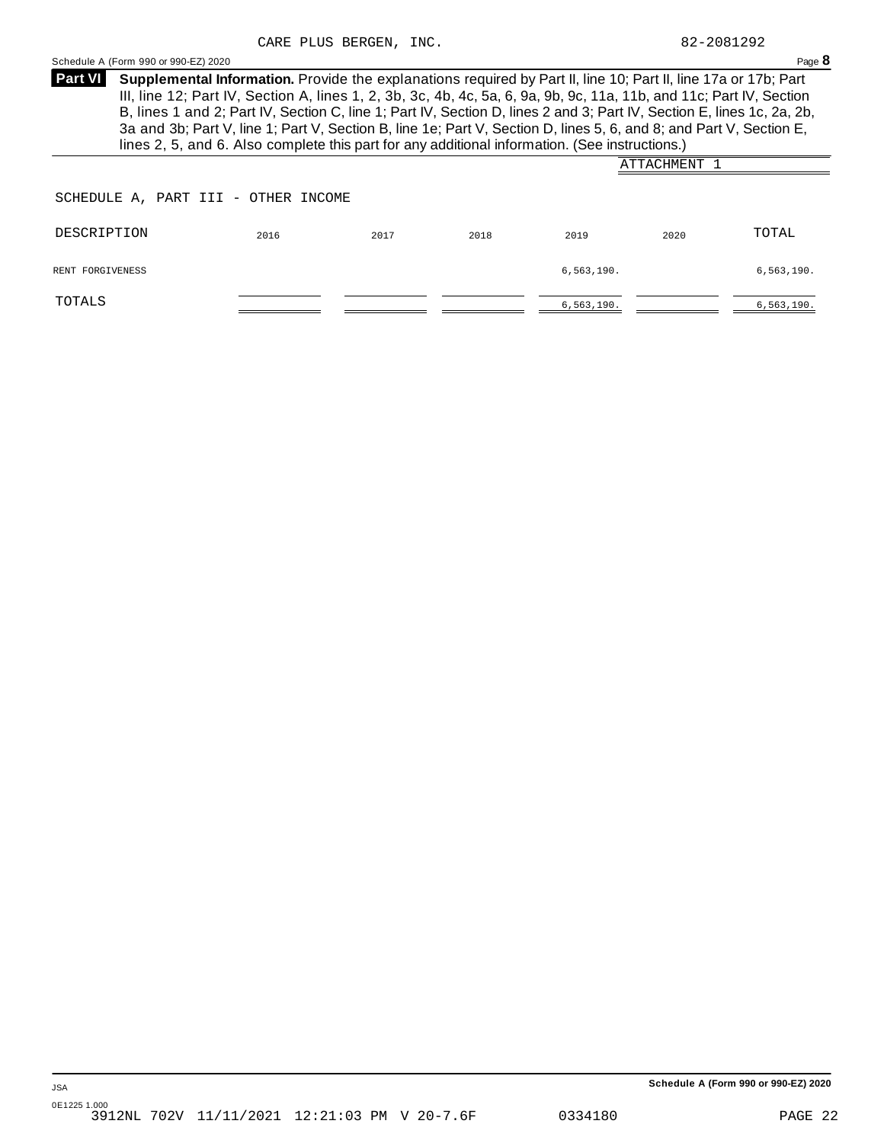| <b>Part VI</b>                      | Supplemental Information. Provide the explanations required by Part II, line 10; Part II, line 17a or 17b; Part<br>III, line 12; Part IV, Section A, lines 1, 2, 3b, 3c, 4b, 4c, 5a, 6, 9a, 9b, 9c, 11a, 11b, and 11c; Part IV, Section<br>B, lines 1 and 2; Part IV, Section C, line 1; Part IV, Section D, lines 2 and 3; Part IV, Section E, lines 1c, 2a, 2b,<br>3a and 3b; Part V, line 1; Part V, Section B, line 1e; Part V, Section D, lines 5, 6, and 8; and Part V, Section E,<br>lines 2, 5, and 6. Also complete this part for any additional information. (See instructions.) |  |  |  |  |
|-------------------------------------|--------------------------------------------------------------------------------------------------------------------------------------------------------------------------------------------------------------------------------------------------------------------------------------------------------------------------------------------------------------------------------------------------------------------------------------------------------------------------------------------------------------------------------------------------------------------------------------------|--|--|--|--|
|                                     | ATTACHMENT 1                                                                                                                                                                                                                                                                                                                                                                                                                                                                                                                                                                               |  |  |  |  |
| SCHEDULE A, PART III - OTHER INCOME |                                                                                                                                                                                                                                                                                                                                                                                                                                                                                                                                                                                            |  |  |  |  |

<span id="page-20-0"></span>Schedule A (Form 990 or 990-EZ) 2020 Page 8

| DESCRIPTION      | 2016 | 2017 | 2018 | 2019         | 2020 | TOTAL        |
|------------------|------|------|------|--------------|------|--------------|
| RENT FORGIVENESS |      |      |      | 6,563,190.   |      | 6,563,190.   |
| TOTALS           |      |      |      | 6, 563, 190. |      | 6, 563, 190. |

**Schedule A (Form 990 or 990-EZ) 2020**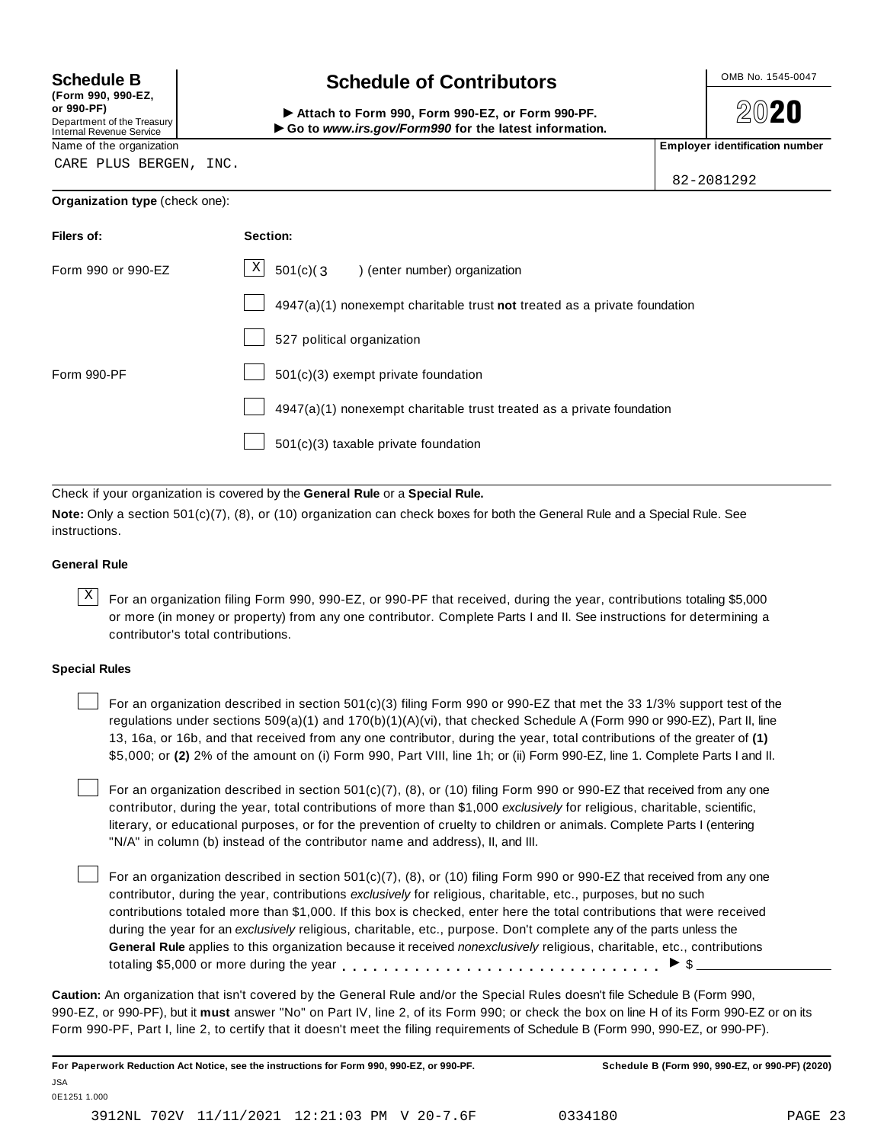**(Form 990, 990-EZ, or 990-PF)** Department of the Treasury<br>Internal Revenue Service

## **Schedule B chedule of Contributors**

(Form 990, 990-EZ,<br>
or 990-PF,<br>
Department of the Treasury **COLOCY**<br>
Internal Revenue Service **COLOCY**<br>
Name of the organization<br>
Name of the organization

**2020** 

82-2081292

CARE PLUS BERGEN, INC.

### **Organization type** (check one):

| Filers of:         | Section:                                                                    |
|--------------------|-----------------------------------------------------------------------------|
| Form 990 or 990-EZ | $X$ 501(c)(3) (enter number) organization                                   |
|                    | $4947(a)(1)$ nonexempt charitable trust not treated as a private foundation |
|                    | 527 political organization                                                  |
| Form 990-PF        | $501(c)(3)$ exempt private foundation                                       |
|                    | 4947(a)(1) nonexempt charitable trust treated as a private foundation       |
|                    | 501(c)(3) taxable private foundation                                        |

Check if your organization is covered by the **General Rule** or a **Special Rule.**

**Note:** Only a section 501(c)(7), (8), or (10) organization can check boxes for both the General Rule and a Special Rule. See instructions.

### **General Rule**

 $\overline{X}$  For an organization filing Form 990, 990-EZ, or 990-PF that received, during the year, contributions totaling \$5,000 or more (in money or property) from any one contributor. Complete Parts I and II. See instructions for determining a contributor's total contributions.

### **Special Rules**

For an organization described in section 501(c)(3) filing Form 990 or 990-EZ that met the 33 1/3% support test of the regulations under sections 509(a)(1) and 170(b)(1)(A)(vi), that checked Schedule A (Form 990 or 990-EZ), Part II, line 13, 16a, or 16b, and that received from any one contributor, during the year, total contributions of the greater of **(1)** \$5,000; or **(2)** 2% of the amount on (i) Form 990, Part VIII, line 1h; or (ii) Form 990-EZ, line 1. Complete Parts I and II.

For an organization described in section 501(c)(7), (8), or (10) filing Form 990 or 990-EZ that received from any one contributor, during the year, total contributions of more than \$1,000 *exclusively* for religious, charitable, scientific, literary, or educational purposes, or for the prevention of cruelty to children or animals. Complete Parts I (entering "N/A" in column (b) instead of the contributor name and address), II, and III.

For an organization described in section  $501(c)(7)$ , (8), or (10) filing Form 990 or 990-EZ that received from any one contributor, during the year, contributions *exclusively* for religious, charitable, etc., purposes, but no such contributions totaled more than \$1,000. If this box is checked, enter here the total contributions that were received during the year for an *exclusively* religious, charitable, etc., purpose. Don't complete any of the parts unless the **General Rule** applies to this organization because it received *nonexclusively* religious, charitable, etc., contributions totaling \$5,000 or more during the year  $\ldots \ldots \ldots \ldots \ldots \ldots \ldots \ldots \ldots \vdots$ 

**Caution:** An organization that isn't covered by the General Rule and/or the Special Rules doesn't file Schedule B (Form 990, 990-EZ, or 990-PF), but it **must** answer "No" on Part IV, line 2, of its Form 990; or check the box on line H of its Form 990-EZ or on its Form 990-PF, Part I, line 2, to certify that it doesn't meet the filing requirements of Schedule B (Form 990, 990-EZ, or 990-PF).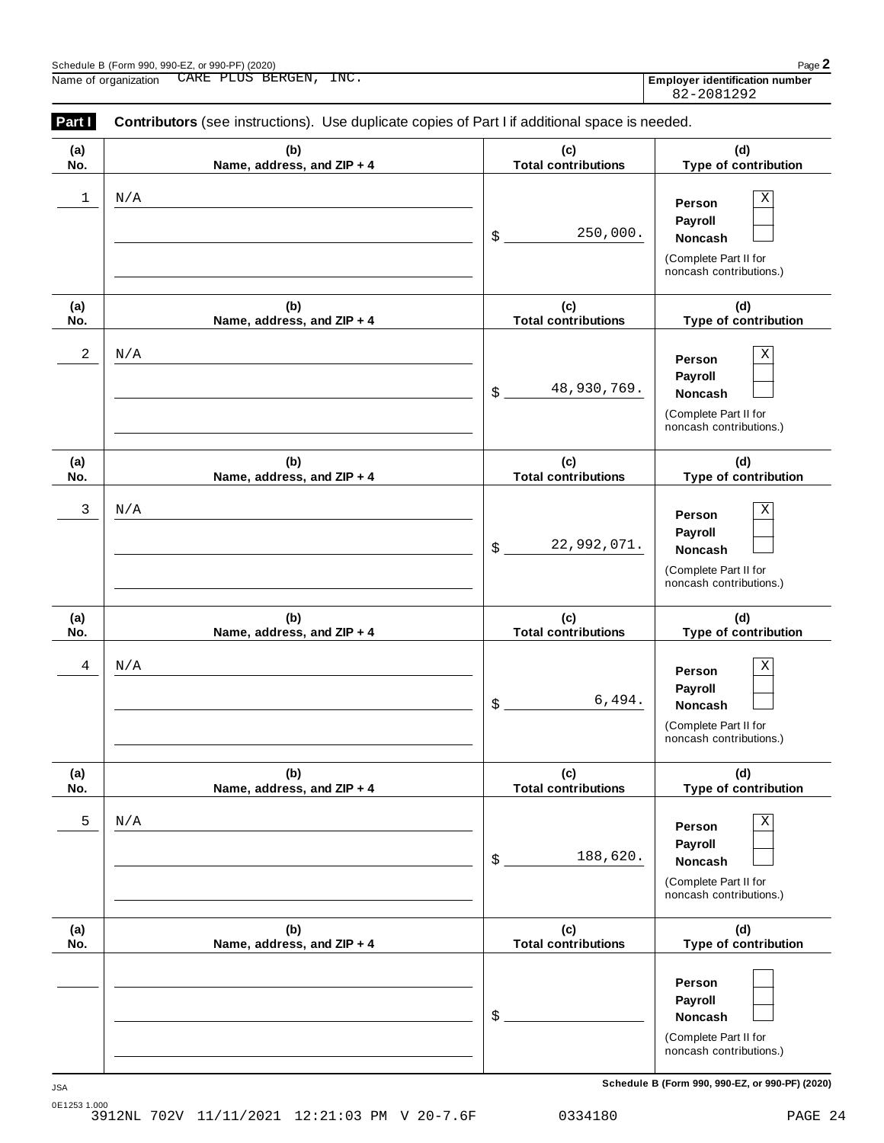| Part I     | Contributors (see instructions). Use duplicate copies of Part I if additional space is needed. |                                          |                                                                                       |  |  |  |  |
|------------|------------------------------------------------------------------------------------------------|------------------------------------------|---------------------------------------------------------------------------------------|--|--|--|--|
| (a)<br>No. | (b)<br>Name, address, and ZIP + 4                                                              | (c)<br><b>Total contributions</b>        | (d)<br>Type of contribution                                                           |  |  |  |  |
| 1          | N/A                                                                                            | 250,000.<br>\$                           | Χ<br>Person<br>Payroll<br>Noncash<br>(Complete Part II for<br>noncash contributions.) |  |  |  |  |
| (a)<br>No. | (b)<br>Name, address, and ZIP + 4                                                              | (c)<br><b>Total contributions</b>        | (d)<br>Type of contribution                                                           |  |  |  |  |
| 2          | N/A                                                                                            | 48,930,769.<br>$\boldsymbol{\mathsf{S}}$ | Χ<br>Person<br>Payroll<br>Noncash<br>(Complete Part II for<br>noncash contributions.) |  |  |  |  |
| (a)<br>No. | (b)<br>Name, address, and ZIP + 4                                                              | (c)<br><b>Total contributions</b>        | (d)<br>Type of contribution                                                           |  |  |  |  |
| 3          | N/A                                                                                            | 22,992,071.<br>$\frac{1}{2}$             | Χ<br>Person<br>Payroll<br>Noncash<br>(Complete Part II for<br>noncash contributions.) |  |  |  |  |
| (a)<br>No. | (b)<br>Name, address, and ZIP + 4                                                              | (c)<br><b>Total contributions</b>        | (d)<br>Type of contribution                                                           |  |  |  |  |
| 4          | N/A                                                                                            | 6,494.<br>$\boldsymbol{\$}$              | Χ<br>Person<br>Payroll<br>Noncash<br>(Complete Part II for<br>noncash contributions.) |  |  |  |  |
| (a)<br>No. | (b)<br>Name, address, and ZIP + 4                                                              | (c)<br><b>Total contributions</b>        | (d)<br>Type of contribution                                                           |  |  |  |  |
| 5          | N/A                                                                                            | 188,620.<br>$\boldsymbol{\$}$            | Χ<br>Person<br>Payroll<br>Noncash<br>(Complete Part II for<br>noncash contributions.) |  |  |  |  |
| (a)<br>No. | (b)<br>Name, address, and ZIP + 4                                                              | (c)<br><b>Total contributions</b>        | (d)<br>Type of contribution                                                           |  |  |  |  |
|            |                                                                                                | $\boldsymbol{\$}$                        | Person<br>Payroll<br>Noncash<br>(Complete Part II for<br>noncash contributions.)      |  |  |  |  |

0E1253 1.000 3912NL 702V 11/11/2021 12:21:03 PM V 20-7.6F 0334180 PAGE 24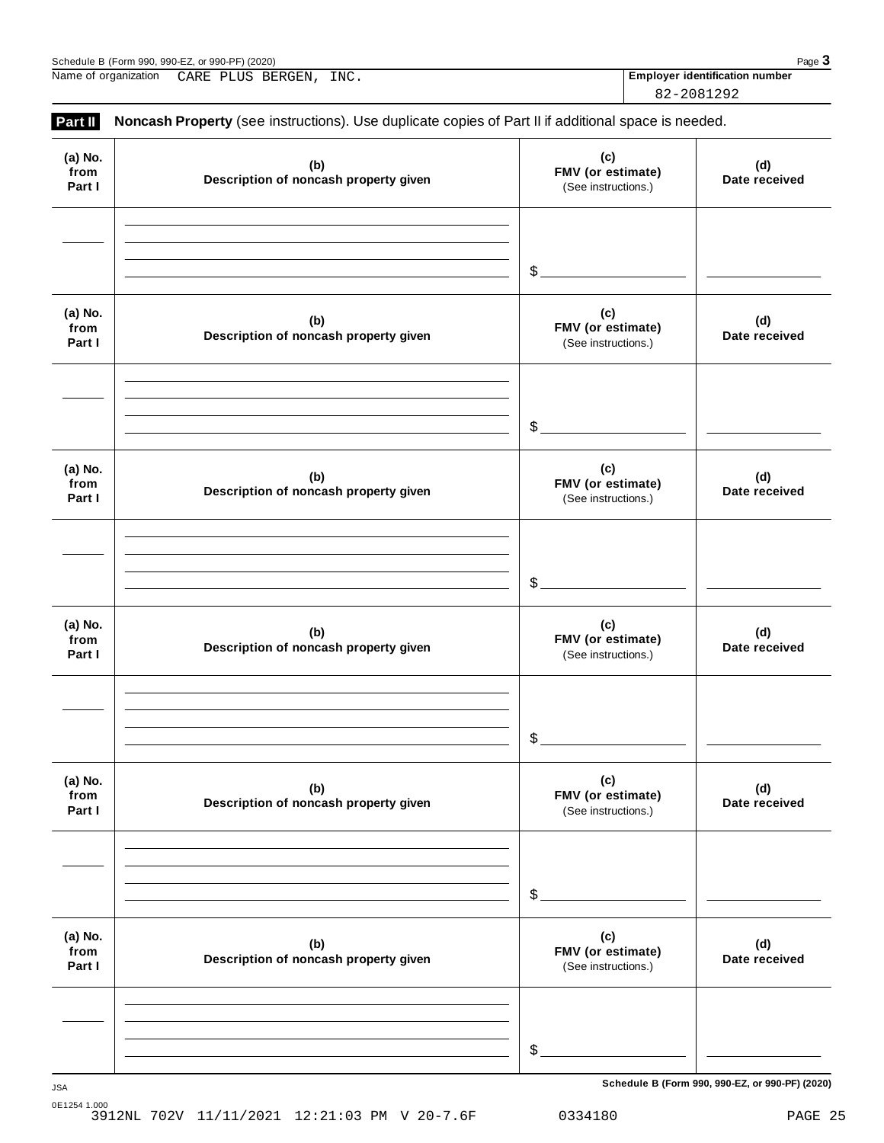| $-$ . or 990-PF`<br>(2020)<br>Schedule<br>$\sim$<br>990-<br>-990.<br>'Form | Pag<br>uy |
|----------------------------------------------------------------------------|-----------|
|                                                                            |           |

Name of organization **Employer identification number** CARE PLUS BERGEN, INC.

82-2081292

| Part II                   | Noncash Property (see instructions). Use duplicate copies of Part II if additional space is needed. |                                                 |                      |
|---------------------------|-----------------------------------------------------------------------------------------------------|-------------------------------------------------|----------------------|
| (a) No.<br>from<br>Part I | (b)<br>Description of noncash property given                                                        | (c)<br>FMV (or estimate)<br>(See instructions.) | (d)<br>Date received |
|                           |                                                                                                     | $\mathcal{L}_{\mathcal{L}}$                     |                      |
| (a) No.<br>from<br>Part I | (b)<br>Description of noncash property given                                                        | (c)<br>FMV (or estimate)<br>(See instructions.) | (d)<br>Date received |
|                           |                                                                                                     | $\mathcal{L}_{-}$                               |                      |
| (a) No.<br>from<br>Part I | (b)<br>Description of noncash property given                                                        | (c)<br>FMV (or estimate)<br>(See instructions.) | (d)<br>Date received |
|                           |                                                                                                     | $\mathcal{L}$                                   |                      |
| (a) No.<br>from<br>Part I | (b)<br>Description of noncash property given                                                        | (c)<br>FMV (or estimate)<br>(See instructions.) | (d)<br>Date received |
|                           |                                                                                                     | \$                                              |                      |
| (a) No.<br>from<br>Part I | (b)<br>Description of noncash property given                                                        | (c)<br>FMV (or estimate)<br>(See instructions.) | (d)<br>Date received |
|                           |                                                                                                     | \$                                              |                      |
| (a) No.<br>from<br>Part I | (b)<br>Description of noncash property given                                                        | (c)<br>FMV (or estimate)<br>(See instructions.) | (d)<br>Date received |
|                           |                                                                                                     |                                                 |                      |
|                           |                                                                                                     | \$                                              |                      |

**Schedule B (Form 990, 990-EZ, or 990-PF) (2020)** JSA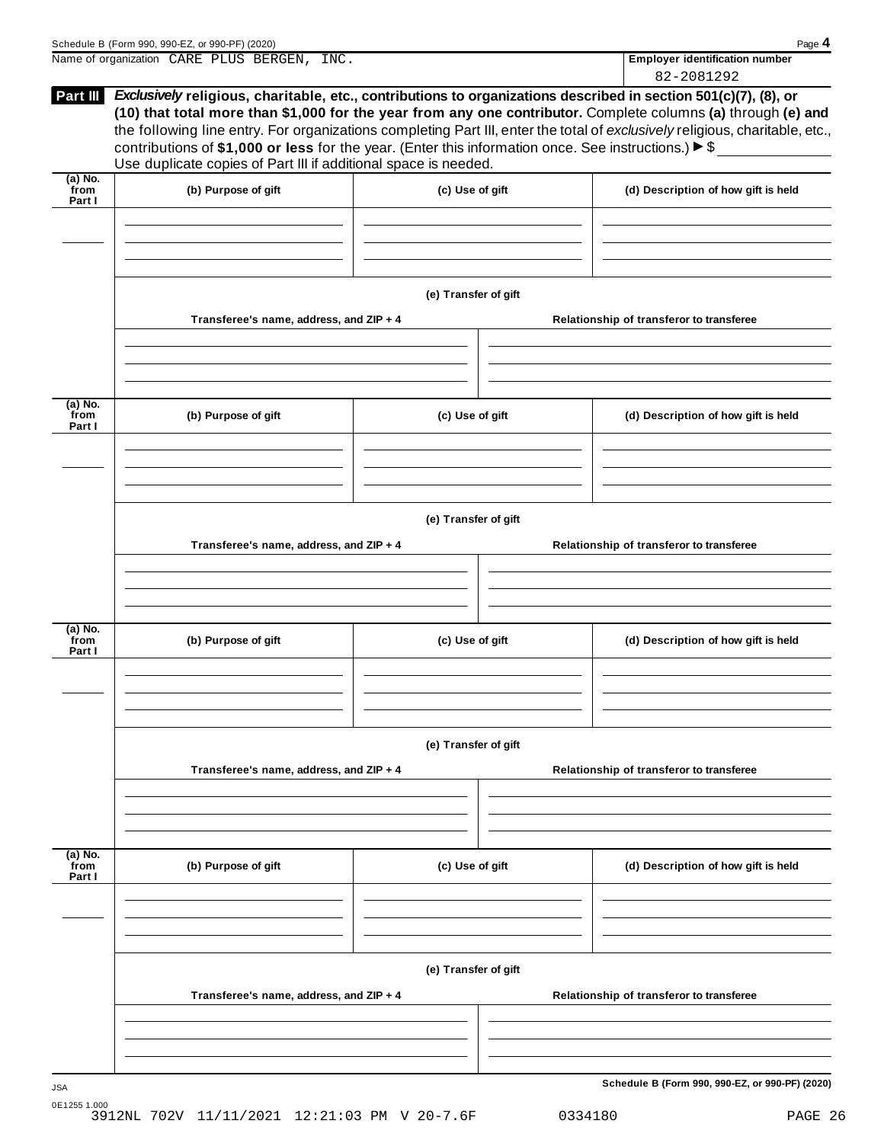|                           | Schedule B (Form 990, 990-EZ, or 990-PF) (2020)<br>Name of organization CARE PLUS BERGEN, INC.                                                                                                                                                                                                            |                      |                                          | Page 4<br><b>Employer identification number</b>                                                                                                                                                                                               |  |  |
|---------------------------|-----------------------------------------------------------------------------------------------------------------------------------------------------------------------------------------------------------------------------------------------------------------------------------------------------------|----------------------|------------------------------------------|-----------------------------------------------------------------------------------------------------------------------------------------------------------------------------------------------------------------------------------------------|--|--|
|                           |                                                                                                                                                                                                                                                                                                           |                      |                                          | 82-2081292                                                                                                                                                                                                                                    |  |  |
| Part III                  | Exclusively religious, charitable, etc., contributions to organizations described in section 501(c)(7), (8), or<br>contributions of \$1,000 or less for the year. (Enter this information once. See instructions.) $\triangleright$ \$<br>Use duplicate copies of Part III if additional space is needed. |                      |                                          | (10) that total more than \$1,000 for the year from any one contributor. Complete columns (a) through (e) and<br>the following line entry. For organizations completing Part III, enter the total of exclusively religious, charitable, etc., |  |  |
| $(a)$ No.<br>from         | (b) Purpose of gift                                                                                                                                                                                                                                                                                       | (c) Use of gift      |                                          | (d) Description of how gift is held                                                                                                                                                                                                           |  |  |
| Part I                    |                                                                                                                                                                                                                                                                                                           |                      |                                          |                                                                                                                                                                                                                                               |  |  |
|                           |                                                                                                                                                                                                                                                                                                           | (e) Transfer of gift |                                          |                                                                                                                                                                                                                                               |  |  |
|                           | Transferee's name, address, and ZIP + 4                                                                                                                                                                                                                                                                   |                      |                                          | Relationship of transferor to transferee                                                                                                                                                                                                      |  |  |
| (a) No.                   |                                                                                                                                                                                                                                                                                                           |                      |                                          |                                                                                                                                                                                                                                               |  |  |
| from<br>Part I            | (b) Purpose of gift                                                                                                                                                                                                                                                                                       | (c) Use of gift      |                                          | (d) Description of how gift is held                                                                                                                                                                                                           |  |  |
|                           |                                                                                                                                                                                                                                                                                                           |                      |                                          |                                                                                                                                                                                                                                               |  |  |
|                           | Transferee's name, address, and ZIP + 4                                                                                                                                                                                                                                                                   | (e) Transfer of gift |                                          | Relationship of transferor to transferee                                                                                                                                                                                                      |  |  |
|                           |                                                                                                                                                                                                                                                                                                           |                      |                                          |                                                                                                                                                                                                                                               |  |  |
| (a) No.<br>from<br>Part I | (b) Purpose of gift                                                                                                                                                                                                                                                                                       | (c) Use of gift      |                                          | (d) Description of how gift is held                                                                                                                                                                                                           |  |  |
|                           |                                                                                                                                                                                                                                                                                                           |                      |                                          |                                                                                                                                                                                                                                               |  |  |
|                           | Transferee's name, address, and ZIP + 4                                                                                                                                                                                                                                                                   | (e) Transfer of gift | Relationship of transferor to transferee |                                                                                                                                                                                                                                               |  |  |
|                           |                                                                                                                                                                                                                                                                                                           |                      |                                          |                                                                                                                                                                                                                                               |  |  |
| (a) No.<br>from<br>Part I | (b) Purpose of gift                                                                                                                                                                                                                                                                                       | (c) Use of gift      |                                          | (d) Description of how gift is held                                                                                                                                                                                                           |  |  |
|                           |                                                                                                                                                                                                                                                                                                           |                      |                                          |                                                                                                                                                                                                                                               |  |  |
|                           |                                                                                                                                                                                                                                                                                                           | (e) Transfer of gift |                                          |                                                                                                                                                                                                                                               |  |  |
|                           | Transferee's name, address, and ZIP + 4                                                                                                                                                                                                                                                                   |                      |                                          | Relationship of transferor to transferee                                                                                                                                                                                                      |  |  |
|                           |                                                                                                                                                                                                                                                                                                           |                      |                                          |                                                                                                                                                                                                                                               |  |  |
|                           |                                                                                                                                                                                                                                                                                                           |                      |                                          |                                                                                                                                                                                                                                               |  |  |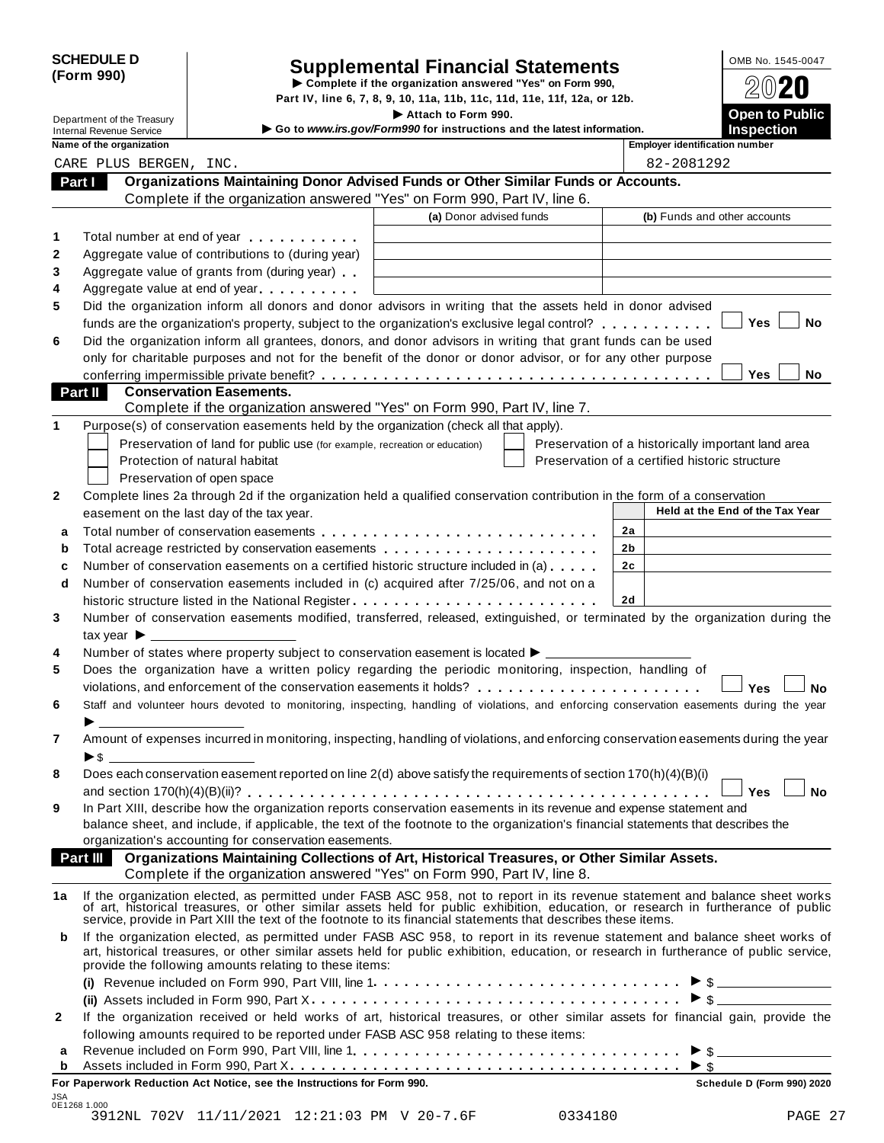| <b>SCHEDULE D</b> |  |
|-------------------|--|
| (Form 990)        |  |

# SCHEDULE D<br>
Supplemental Financial Statements<br>
Form 990)<br>
Part IV, line 6, 7, 8, 9, 10, 11a, 11b, 11c, 11d, 11e, 11f, 12a, or 12b.<br>
Part IV, line 6, 7, 8, 9, 10, 11a, 11b, 11c, 11d, 11e, 11f, 12a, or 12b.

|                                                             |                                                                                                                                                                                                                                                                                                                                                  | Part IV, line 6, 7, 8, 9, 10, 11a, 11b, 11c, 11d, 11e, 11f, 12a, or 12b. |                |                                                            |
|-------------------------------------------------------------|--------------------------------------------------------------------------------------------------------------------------------------------------------------------------------------------------------------------------------------------------------------------------------------------------------------------------------------------------|--------------------------------------------------------------------------|----------------|------------------------------------------------------------|
| Department of the Treasury                                  |                                                                                                                                                                                                                                                                                                                                                  | Attach to Form 990.                                                      |                | <b>Open to Public</b>                                      |
| <b>Internal Revenue Service</b><br>Name of the organization |                                                                                                                                                                                                                                                                                                                                                  | Go to www.irs.gov/Form990 for instructions and the latest information.   |                | <b>Inspection</b><br><b>Employer identification number</b> |
| CARE PLUS BERGEN, INC.                                      |                                                                                                                                                                                                                                                                                                                                                  |                                                                          |                | 82-2081292                                                 |
| Part I                                                      | Organizations Maintaining Donor Advised Funds or Other Similar Funds or Accounts.                                                                                                                                                                                                                                                                |                                                                          |                |                                                            |
|                                                             | Complete if the organization answered "Yes" on Form 990, Part IV, line 6.                                                                                                                                                                                                                                                                        |                                                                          |                |                                                            |
|                                                             |                                                                                                                                                                                                                                                                                                                                                  | (a) Donor advised funds                                                  |                | (b) Funds and other accounts                               |
|                                                             |                                                                                                                                                                                                                                                                                                                                                  |                                                                          |                |                                                            |
|                                                             | Total number at end of year entitled as a set of the set of the set of the set of the set of the set of the set of the set of the set of the set of the set of the set of the set of the set of the set of the set of the set                                                                                                                    |                                                                          |                |                                                            |
|                                                             | Aggregate value of contributions to (during year)                                                                                                                                                                                                                                                                                                |                                                                          |                |                                                            |
|                                                             | Aggregate value of grants from (during year)                                                                                                                                                                                                                                                                                                     |                                                                          |                |                                                            |
|                                                             | Aggregate value at end of year                                                                                                                                                                                                                                                                                                                   |                                                                          |                |                                                            |
|                                                             | Did the organization inform all donors and donor advisors in writing that the assets held in donor advised                                                                                                                                                                                                                                       |                                                                          |                |                                                            |
|                                                             | funds are the organization's property, subject to the organization's exclusive legal control?                                                                                                                                                                                                                                                    |                                                                          |                | Yes<br>No                                                  |
|                                                             | Did the organization inform all grantees, donors, and donor advisors in writing that grant funds can be used                                                                                                                                                                                                                                     |                                                                          |                |                                                            |
|                                                             | only for charitable purposes and not for the benefit of the donor or donor advisor, or for any other purpose                                                                                                                                                                                                                                     |                                                                          |                |                                                            |
|                                                             |                                                                                                                                                                                                                                                                                                                                                  |                                                                          |                | Yes<br>No.                                                 |
| <b>Part II</b>                                              | <b>Conservation Easements.</b>                                                                                                                                                                                                                                                                                                                   |                                                                          |                |                                                            |
|                                                             | Complete if the organization answered "Yes" on Form 990, Part IV, line 7.                                                                                                                                                                                                                                                                        |                                                                          |                |                                                            |
|                                                             | Purpose(s) of conservation easements held by the organization (check all that apply).                                                                                                                                                                                                                                                            |                                                                          |                |                                                            |
|                                                             | Preservation of land for public use (for example, recreation or education)                                                                                                                                                                                                                                                                       |                                                                          |                | Preservation of a historically important land area         |
|                                                             | Protection of natural habitat                                                                                                                                                                                                                                                                                                                    |                                                                          |                | Preservation of a certified historic structure             |
|                                                             | Preservation of open space                                                                                                                                                                                                                                                                                                                       |                                                                          |                |                                                            |
|                                                             | Complete lines 2a through 2d if the organization held a qualified conservation contribution in the form of a conservation                                                                                                                                                                                                                        |                                                                          |                |                                                            |
|                                                             | easement on the last day of the tax year.                                                                                                                                                                                                                                                                                                        |                                                                          |                | Held at the End of the Tax Year                            |
|                                                             |                                                                                                                                                                                                                                                                                                                                                  |                                                                          | 2a             |                                                            |
| b                                                           | Total acreage restricted by conservation easements                                                                                                                                                                                                                                                                                               |                                                                          | 2b             |                                                            |
|                                                             | Number of conservation easements on a certified historic structure included in (a)                                                                                                                                                                                                                                                               |                                                                          | 2 <sub>c</sub> |                                                            |
| d                                                           | Number of conservation easements included in (c) acquired after 7/25/06, and not on a                                                                                                                                                                                                                                                            |                                                                          |                |                                                            |
|                                                             |                                                                                                                                                                                                                                                                                                                                                  |                                                                          | 2d             |                                                            |
|                                                             | Number of conservation easements modified, transferred, released, extinguished, or terminated by the organization during the                                                                                                                                                                                                                     |                                                                          |                |                                                            |
| tax year $\blacktriangleright$ $\lrcorner$                  |                                                                                                                                                                                                                                                                                                                                                  |                                                                          |                |                                                            |
|                                                             | Number of states where property subject to conservation easement is located ▶ __________                                                                                                                                                                                                                                                         |                                                                          |                |                                                            |
|                                                             | Does the organization have a written policy regarding the periodic monitoring, inspection, handling of                                                                                                                                                                                                                                           |                                                                          |                |                                                            |
|                                                             | violations, and enforcement of the conservation easements it holds?                                                                                                                                                                                                                                                                              |                                                                          |                | Yes<br><b>No</b>                                           |
|                                                             | Staff and volunteer hours devoted to monitoring, inspecting, handling of violations, and enforcing conservation easements during the year                                                                                                                                                                                                        |                                                                          |                |                                                            |
|                                                             |                                                                                                                                                                                                                                                                                                                                                  |                                                                          |                |                                                            |
|                                                             | Amount of expenses incurred in monitoring, inspecting, handling of violations, and enforcing conservation easements during the year                                                                                                                                                                                                              |                                                                          |                |                                                            |
| $\triangleright$ s $\perp$                                  |                                                                                                                                                                                                                                                                                                                                                  |                                                                          |                |                                                            |
|                                                             | Does each conservation easement reported on line 2(d) above satisfy the requirements of section 170(h)(4)(B)(i)                                                                                                                                                                                                                                  |                                                                          |                |                                                            |
|                                                             |                                                                                                                                                                                                                                                                                                                                                  |                                                                          |                | <b>No</b><br><b>Yes</b>                                    |
|                                                             | In Part XIII, describe how the organization reports conservation easements in its revenue and expense statement and                                                                                                                                                                                                                              |                                                                          |                |                                                            |
|                                                             | balance sheet, and include, if applicable, the text of the footnote to the organization's financial statements that describes the                                                                                                                                                                                                                |                                                                          |                |                                                            |
|                                                             | organization's accounting for conservation easements.                                                                                                                                                                                                                                                                                            |                                                                          |                |                                                            |
| Part III                                                    | Organizations Maintaining Collections of Art, Historical Treasures, or Other Similar Assets.                                                                                                                                                                                                                                                     |                                                                          |                |                                                            |
|                                                             | Complete if the organization answered "Yes" on Form 990, Part IV, line 8.                                                                                                                                                                                                                                                                        |                                                                          |                |                                                            |
| 1a                                                          | If the organization elected, as permitted under FASB ASC 958, not to report in its revenue statement and balance sheet works of art, historical treasures, or other similar assets held for public exhibition, education, or r<br>service, provide in Part XIII the text of the footnote to its financial statements that describes these items. |                                                                          |                |                                                            |
| b                                                           | If the organization elected, as permitted under FASB ASC 958, to report in its revenue statement and balance sheet works of<br>art, historical treasures, or other similar assets held for public exhibition, education, or research in furtherance of public service,<br>provide the following amounts relating to these items:                 |                                                                          |                |                                                            |
|                                                             |                                                                                                                                                                                                                                                                                                                                                  |                                                                          |                | $\triangleright$ \$                                        |
|                                                             |                                                                                                                                                                                                                                                                                                                                                  |                                                                          |                | $\triangleright$ \$                                        |
|                                                             | If the organization received or held works of art, historical treasures, or other similar assets for financial gain, provide the                                                                                                                                                                                                                 |                                                                          |                |                                                            |
| 2                                                           | following amounts required to be reported under FASR ASC 958 relating to these items:                                                                                                                                                                                                                                                            |                                                                          |                |                                                            |

| For Paperwork Reduction Act Notice, see the Instructions for Form 990.                                                               | Schedule D (Form 990) 2020 |
|--------------------------------------------------------------------------------------------------------------------------------------|----------------------------|
|                                                                                                                                      |                            |
| a Revenue included on Form 990, Part VIII, line 1. $\dots \dots \dots \dots \dots \dots \dots \dots \dots \dots \dots \dots \bullet$ |                            |
| following amounts required to be reported under FASB ASC 958 relating to these items:                                                |                            |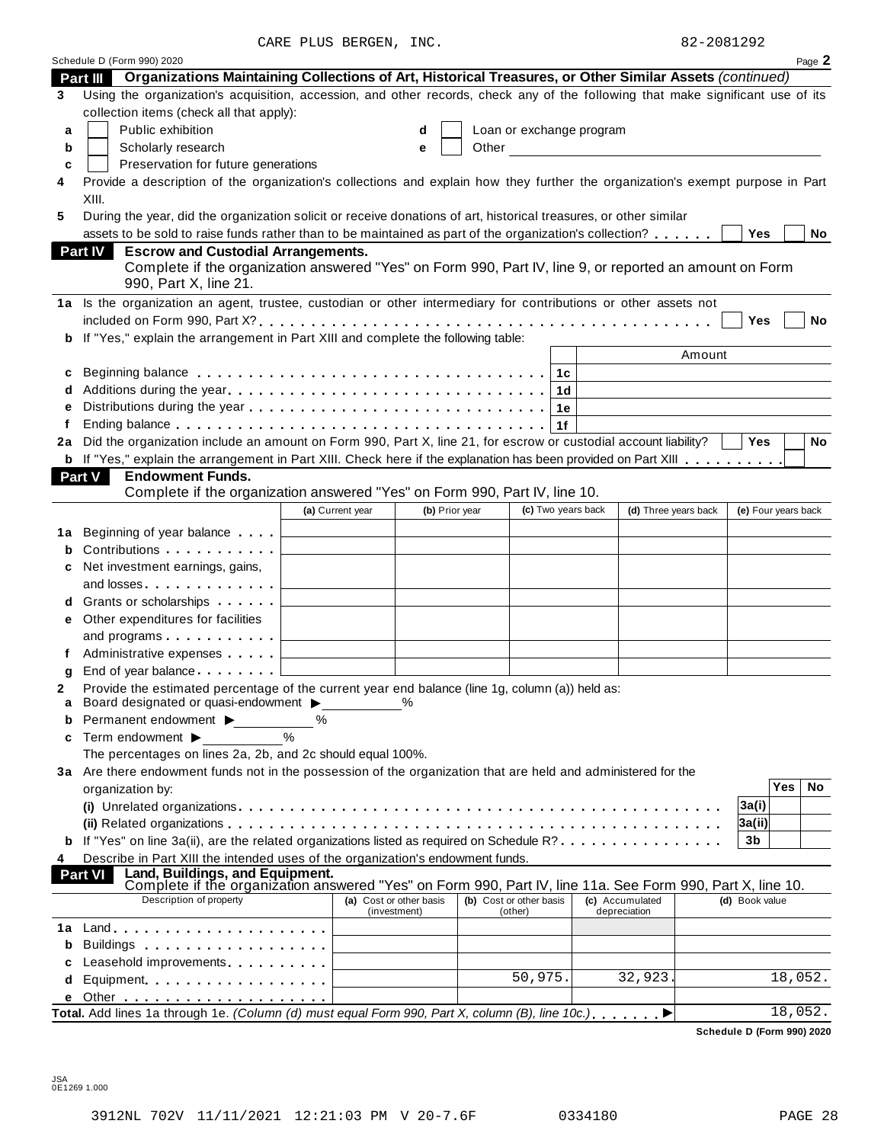CARE PLUS BERGEN, INC. 82-2081292

|    | Schedule D (Form 990) 2020                                                                                                                                                                                                     |                         |                |  |                         |                          |                      |        |                     | Page 2  |
|----|--------------------------------------------------------------------------------------------------------------------------------------------------------------------------------------------------------------------------------|-------------------------|----------------|--|-------------------------|--------------------------|----------------------|--------|---------------------|---------|
|    | Organizations Maintaining Collections of Art, Historical Treasures, or Other Similar Assets (continued)<br><b>Part III</b>                                                                                                     |                         |                |  |                         |                          |                      |        |                     |         |
| 3  | Using the organization's acquisition, accession, and other records, check any of the following that make significant use of its                                                                                                |                         |                |  |                         |                          |                      |        |                     |         |
|    | collection items (check all that apply):                                                                                                                                                                                       |                         |                |  |                         |                          |                      |        |                     |         |
| a  | Public exhibition                                                                                                                                                                                                              |                         | d              |  |                         | Loan or exchange program |                      |        |                     |         |
| b  | Scholarly research<br>Other<br>е<br><u> 1980 - Jan Barbara Barbara, prima popula</u>                                                                                                                                           |                         |                |  |                         |                          |                      |        |                     |         |
| c  | Preservation for future generations                                                                                                                                                                                            |                         |                |  |                         |                          |                      |        |                     |         |
| 4  | Provide a description of the organization's collections and explain how they further the organization's exempt purpose in Part                                                                                                 |                         |                |  |                         |                          |                      |        |                     |         |
|    | XIII.                                                                                                                                                                                                                          |                         |                |  |                         |                          |                      |        |                     |         |
| 5  | During the year, did the organization solicit or receive donations of art, historical treasures, or other similar                                                                                                              |                         |                |  |                         |                          |                      |        |                     |         |
|    | assets to be sold to raise funds rather than to be maintained as part of the organization's collection?                                                                                                                        |                         |                |  |                         |                          |                      |        | Yes                 | No      |
|    | <b>Escrow and Custodial Arrangements.</b><br><b>Part IV</b>                                                                                                                                                                    |                         |                |  |                         |                          |                      |        |                     |         |
|    | Complete if the organization answered "Yes" on Form 990, Part IV, line 9, or reported an amount on Form                                                                                                                        |                         |                |  |                         |                          |                      |        |                     |         |
|    | 990, Part X, line 21.                                                                                                                                                                                                          |                         |                |  |                         |                          |                      |        |                     |         |
|    | 1a Is the organization an agent, trustee, custodian or other intermediary for contributions or other assets not                                                                                                                |                         |                |  |                         |                          |                      |        |                     |         |
|    |                                                                                                                                                                                                                                |                         |                |  |                         |                          |                      |        | Yes                 | No      |
| b  | If "Yes," explain the arrangement in Part XIII and complete the following table:                                                                                                                                               |                         |                |  |                         |                          |                      |        |                     |         |
|    |                                                                                                                                                                                                                                |                         |                |  |                         |                          |                      | Amount |                     |         |
| c  | Beginning balance enterpreteration of the set of the set of the set of the set of the set of the set of the set of the set of the set of the set of the set of the set of the set of the set of the set of the set of the set  |                         |                |  | 1c                      |                          |                      |        |                     |         |
|    |                                                                                                                                                                                                                                |                         |                |  | 1 <sub>d</sub>          |                          |                      |        |                     |         |
|    |                                                                                                                                                                                                                                |                         |                |  | 1e                      |                          |                      |        |                     |         |
|    |                                                                                                                                                                                                                                |                         |                |  | 1f                      |                          |                      |        |                     |         |
| 2a | Did the organization include an amount on Form 990, Part X, line 21, for escrow or custodial account liability?                                                                                                                |                         |                |  |                         |                          |                      |        | Yes                 | No      |
|    | <b>b</b> If "Yes," explain the arrangement in Part XIII. Check here if the explanation has been provided on Part XIII                                                                                                          |                         |                |  |                         |                          |                      |        |                     |         |
|    | Part V<br><b>Endowment Funds.</b>                                                                                                                                                                                              |                         |                |  |                         |                          |                      |        |                     |         |
|    | Complete if the organization answered "Yes" on Form 990, Part IV, line 10.                                                                                                                                                     |                         |                |  |                         |                          |                      |        |                     |         |
|    |                                                                                                                                                                                                                                | (a) Current year        | (b) Prior year |  | (c) Two years back      |                          | (d) Three years back |        | (e) Four years back |         |
|    |                                                                                                                                                                                                                                |                         |                |  |                         |                          |                      |        |                     |         |
|    | 1a Beginning of year balance                                                                                                                                                                                                   |                         |                |  |                         |                          |                      |        |                     |         |
| b  | Contributions <b>Contributions</b>                                                                                                                                                                                             |                         |                |  |                         |                          |                      |        |                     |         |
| c  | Net investment earnings, gains,                                                                                                                                                                                                |                         |                |  |                         |                          |                      |        |                     |         |
|    | and losses in the set of the set of the set of the set of the set of the set of the set of the set o                                                                                                                           |                         |                |  |                         |                          |                      |        |                     |         |
| d  | Grants or scholarships <b>Contains</b>                                                                                                                                                                                         |                         |                |  |                         |                          |                      |        |                     |         |
| е  | Other expenditures for facilities                                                                                                                                                                                              |                         |                |  |                         |                          |                      |        |                     |         |
|    | and programs $\ldots$ $\ldots$ $\ldots$ $\ldots$                                                                                                                                                                               |                         |                |  |                         |                          |                      |        |                     |         |
|    | Administrative expenses example and a series of the series of the series and a series of the series of the series of the series of the series of the series of the series of the series of the series of the series of the ser |                         |                |  |                         |                          |                      |        |                     |         |
| g  | End of year balance [1]                                                                                                                                                                                                        |                         |                |  |                         |                          |                      |        |                     |         |
| 2  | Provide the estimated percentage of the current year end balance (line 1g, column (a)) held as:                                                                                                                                |                         |                |  |                         |                          |                      |        |                     |         |
| a  | Board designated or quasi-endowment $\blacktriangleright$                                                                                                                                                                      |                         |                |  |                         |                          |                      |        |                     |         |
| b  | Permanent endowment ▶                                                                                                                                                                                                          | ℅                       |                |  |                         |                          |                      |        |                     |         |
| c  | $\frac{1}{2}$<br>Term endowment ▶                                                                                                                                                                                              |                         |                |  |                         |                          |                      |        |                     |         |
|    | The percentages on lines 2a, 2b, and 2c should equal 100%.                                                                                                                                                                     |                         |                |  |                         |                          |                      |        |                     |         |
|    | 3a Are there endowment funds not in the possession of the organization that are held and administered for the                                                                                                                  |                         |                |  |                         |                          |                      |        | <b>Yes</b>          |         |
|    | organization by:                                                                                                                                                                                                               |                         |                |  |                         |                          |                      |        |                     | No      |
|    |                                                                                                                                                                                                                                |                         |                |  |                         |                          |                      | 3a(i)  |                     |         |
|    |                                                                                                                                                                                                                                |                         |                |  |                         |                          |                      |        | 3a(ii)              |         |
|    | If "Yes" on line 3a(ii), are the related organizations listed as required on Schedule R?                                                                                                                                       |                         |                |  |                         |                          |                      |        | 3 <sub>b</sub>      |         |
| 4  | Describe in Part XIII the intended uses of the organization's endowment funds.                                                                                                                                                 |                         |                |  |                         |                          |                      |        |                     |         |
|    | Land, Buildings, and Equipment.<br>Part VI<br>Complete if the organization answered "Yes" on Form 990, Part IV, line 11a. See Form 990, Part X, line 10.                                                                       |                         |                |  |                         |                          |                      |        |                     |         |
|    | Description of property                                                                                                                                                                                                        | (a) Cost or other basis |                |  | (b) Cost or other basis |                          | (c) Accumulated      |        | (d) Book value      |         |
|    |                                                                                                                                                                                                                                | (investment)            |                |  | (other)                 |                          | depreciation         |        |                     |         |
| 1a |                                                                                                                                                                                                                                |                         |                |  |                         |                          |                      |        |                     |         |
| b  | Buildings and the service of the service of the service of the service of the service of the service of the service of the service of the service of the service of the service of the service of the service of the service o |                         |                |  |                         |                          |                      |        |                     |         |
| c  | Leasehold improvements entitled as a set of the set of the set of the set of the set of the set of the set of the set of the set of the set of the set of the set of the set of the set of the set of the set of the set of th |                         |                |  |                         |                          |                      |        |                     |         |
| d  | Equipment                                                                                                                                                                                                                      |                         |                |  | 50,975.                 |                          | 32,923.              |        |                     | 18,052. |
|    |                                                                                                                                                                                                                                |                         |                |  |                         |                          |                      |        |                     |         |
|    | Total. Add lines 1a through 1e. (Column (d) must equal Form 990, Part X, column (B), line 10c.).                                                                                                                               |                         |                |  |                         |                          | ▶                    |        |                     | 18,052. |

**Schedule D (Form 990) 2020**

JSA 0E1269 1.000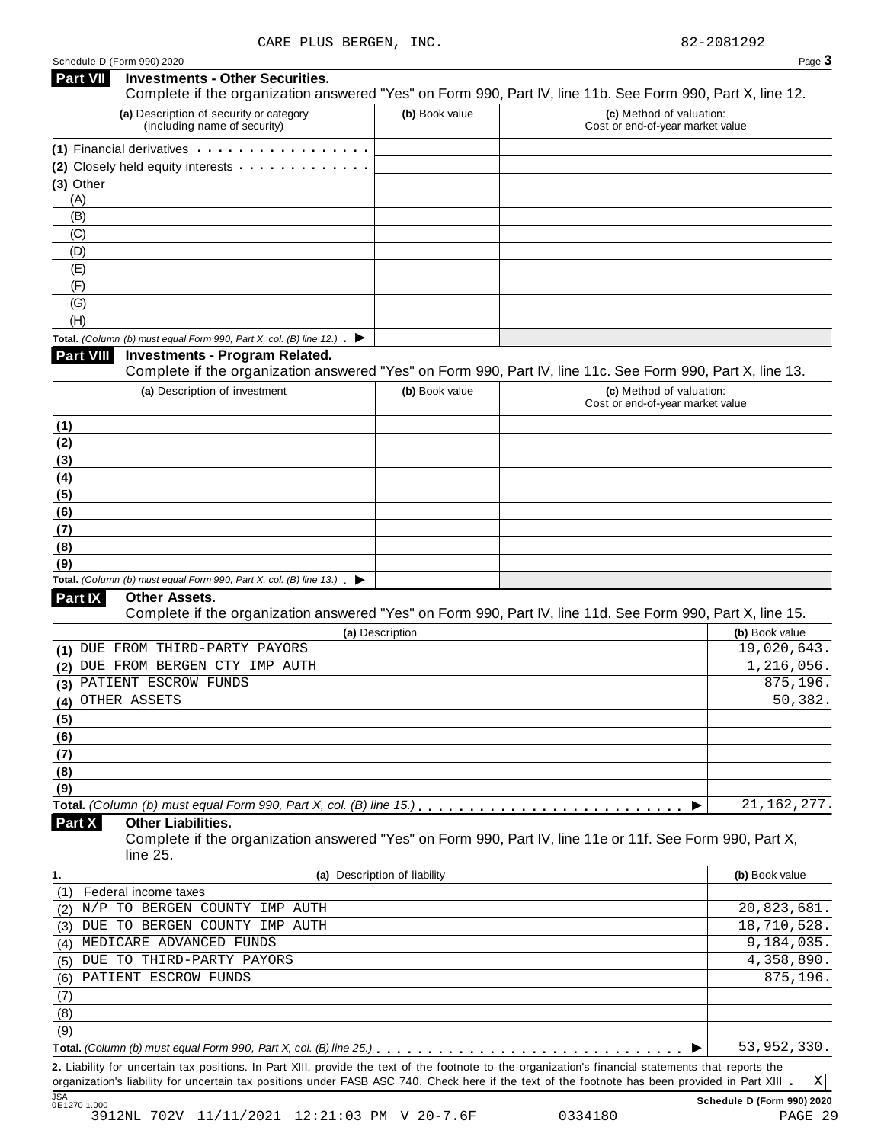| ۰, |
|----|

| Complete if the organization answered "Yes" on Form 990, Part IV, line 11b. See Form 990, Part X, line 12.<br>(a) Description of security or category<br>(c) Method of valuation:<br>(b) Book value<br>(including name of security)<br>Cost or end-of-year market value<br>(1) Financial derivatives expansion of the state of the state of the state of the state of the state of the state of the state of the state of the state of the state of the state of the state of the state of the state of t<br>(2) Closely held equity interests<br>(A)<br>(B)<br>(C)<br>(D)<br>(E)<br>(F)<br>(G)<br>(H)<br><b>Total.</b> (Column (b) must equal Form 990, Part X, col. (B) line 12.) $\blacktriangleright$<br><b>Investments - Program Related.</b><br><b>Part VIII</b><br>Complete if the organization answered "Yes" on Form 990, Part IV, line 11c. See Form 990, Part X, line 13.<br>(a) Description of investment<br>(c) Method of valuation:<br>(b) Book value<br>Cost or end-of-year market value<br>Total. (Column (b) must equal Form 990, Part X, col. (B) line $13.$ $\blacktriangleright$<br>Part IX<br>Other Assets.<br>Complete if the organization answered "Yes" on Form 990, Part IV, line 11d. See Form 990, Part X, line 15.<br>(a) Description<br>(b) Book value<br>19,020,643.<br>DUE FROM THIRD-PARTY PAYORS<br>1,216,056.<br>DUE FROM BERGEN CTY IMP AUTH<br>875,196.<br>PATIENT ESCROW FUNDS<br>50,382.<br>(4) OTHER ASSETS<br>21, 162, 277.<br><b>Other Liabilities.</b><br>Complete if the organization answered "Yes" on Form 990, Part IV, line 11e or 11f. See Form 990, Part X,<br>line 25.<br>(a) Description of liability<br>(b) Book value<br>Federal income taxes<br>20,823,681.<br>N/P TO BERGEN COUNTY IMP AUTH<br>18,710,528.<br>DUE TO BERGEN COUNTY IMP AUTH<br>9,184,035.<br>MEDICARE ADVANCED FUNDS<br>4,358,890.<br>DUE TO THIRD-PARTY PAYORS<br>875,196.<br>PATIENT ESCROW FUNDS<br>(9)<br>53,952,330.<br>2. Liability for uncertain tax positions. In Part XIII, provide the text of the footnote to the organization's financial statements that reports the<br>organization's liability for uncertain tax positions under FASB ASC 740. Check here if the text of the footnote has been provided in Part XIII<br>Χ | Schedule D (Form 990) 2020<br><b>Part VII</b><br><b>Investments - Other Securities.</b> | Page <b>J</b> |
|-----------------------------------------------------------------------------------------------------------------------------------------------------------------------------------------------------------------------------------------------------------------------------------------------------------------------------------------------------------------------------------------------------------------------------------------------------------------------------------------------------------------------------------------------------------------------------------------------------------------------------------------------------------------------------------------------------------------------------------------------------------------------------------------------------------------------------------------------------------------------------------------------------------------------------------------------------------------------------------------------------------------------------------------------------------------------------------------------------------------------------------------------------------------------------------------------------------------------------------------------------------------------------------------------------------------------------------------------------------------------------------------------------------------------------------------------------------------------------------------------------------------------------------------------------------------------------------------------------------------------------------------------------------------------------------------------------------------------------------------------------------------------------------------------------------------------------------------------------------------------------------------------------------------------------------------------------------------------------------------------------------------------------------------------------------------------------------------------------------------------------------------------------------------------------------------------------------------------------------------------------------------|-----------------------------------------------------------------------------------------|---------------|
|                                                                                                                                                                                                                                                                                                                                                                                                                                                                                                                                                                                                                                                                                                                                                                                                                                                                                                                                                                                                                                                                                                                                                                                                                                                                                                                                                                                                                                                                                                                                                                                                                                                                                                                                                                                                                                                                                                                                                                                                                                                                                                                                                                                                                                                                 |                                                                                         |               |
|                                                                                                                                                                                                                                                                                                                                                                                                                                                                                                                                                                                                                                                                                                                                                                                                                                                                                                                                                                                                                                                                                                                                                                                                                                                                                                                                                                                                                                                                                                                                                                                                                                                                                                                                                                                                                                                                                                                                                                                                                                                                                                                                                                                                                                                                 |                                                                                         |               |
|                                                                                                                                                                                                                                                                                                                                                                                                                                                                                                                                                                                                                                                                                                                                                                                                                                                                                                                                                                                                                                                                                                                                                                                                                                                                                                                                                                                                                                                                                                                                                                                                                                                                                                                                                                                                                                                                                                                                                                                                                                                                                                                                                                                                                                                                 |                                                                                         |               |
|                                                                                                                                                                                                                                                                                                                                                                                                                                                                                                                                                                                                                                                                                                                                                                                                                                                                                                                                                                                                                                                                                                                                                                                                                                                                                                                                                                                                                                                                                                                                                                                                                                                                                                                                                                                                                                                                                                                                                                                                                                                                                                                                                                                                                                                                 |                                                                                         |               |
|                                                                                                                                                                                                                                                                                                                                                                                                                                                                                                                                                                                                                                                                                                                                                                                                                                                                                                                                                                                                                                                                                                                                                                                                                                                                                                                                                                                                                                                                                                                                                                                                                                                                                                                                                                                                                                                                                                                                                                                                                                                                                                                                                                                                                                                                 | $(3)$ Other $\qquad \qquad$                                                             |               |
|                                                                                                                                                                                                                                                                                                                                                                                                                                                                                                                                                                                                                                                                                                                                                                                                                                                                                                                                                                                                                                                                                                                                                                                                                                                                                                                                                                                                                                                                                                                                                                                                                                                                                                                                                                                                                                                                                                                                                                                                                                                                                                                                                                                                                                                                 |                                                                                         |               |
|                                                                                                                                                                                                                                                                                                                                                                                                                                                                                                                                                                                                                                                                                                                                                                                                                                                                                                                                                                                                                                                                                                                                                                                                                                                                                                                                                                                                                                                                                                                                                                                                                                                                                                                                                                                                                                                                                                                                                                                                                                                                                                                                                                                                                                                                 |                                                                                         |               |
|                                                                                                                                                                                                                                                                                                                                                                                                                                                                                                                                                                                                                                                                                                                                                                                                                                                                                                                                                                                                                                                                                                                                                                                                                                                                                                                                                                                                                                                                                                                                                                                                                                                                                                                                                                                                                                                                                                                                                                                                                                                                                                                                                                                                                                                                 |                                                                                         |               |
|                                                                                                                                                                                                                                                                                                                                                                                                                                                                                                                                                                                                                                                                                                                                                                                                                                                                                                                                                                                                                                                                                                                                                                                                                                                                                                                                                                                                                                                                                                                                                                                                                                                                                                                                                                                                                                                                                                                                                                                                                                                                                                                                                                                                                                                                 |                                                                                         |               |
|                                                                                                                                                                                                                                                                                                                                                                                                                                                                                                                                                                                                                                                                                                                                                                                                                                                                                                                                                                                                                                                                                                                                                                                                                                                                                                                                                                                                                                                                                                                                                                                                                                                                                                                                                                                                                                                                                                                                                                                                                                                                                                                                                                                                                                                                 |                                                                                         |               |
|                                                                                                                                                                                                                                                                                                                                                                                                                                                                                                                                                                                                                                                                                                                                                                                                                                                                                                                                                                                                                                                                                                                                                                                                                                                                                                                                                                                                                                                                                                                                                                                                                                                                                                                                                                                                                                                                                                                                                                                                                                                                                                                                                                                                                                                                 |                                                                                         |               |
|                                                                                                                                                                                                                                                                                                                                                                                                                                                                                                                                                                                                                                                                                                                                                                                                                                                                                                                                                                                                                                                                                                                                                                                                                                                                                                                                                                                                                                                                                                                                                                                                                                                                                                                                                                                                                                                                                                                                                                                                                                                                                                                                                                                                                                                                 |                                                                                         |               |
|                                                                                                                                                                                                                                                                                                                                                                                                                                                                                                                                                                                                                                                                                                                                                                                                                                                                                                                                                                                                                                                                                                                                                                                                                                                                                                                                                                                                                                                                                                                                                                                                                                                                                                                                                                                                                                                                                                                                                                                                                                                                                                                                                                                                                                                                 |                                                                                         |               |
|                                                                                                                                                                                                                                                                                                                                                                                                                                                                                                                                                                                                                                                                                                                                                                                                                                                                                                                                                                                                                                                                                                                                                                                                                                                                                                                                                                                                                                                                                                                                                                                                                                                                                                                                                                                                                                                                                                                                                                                                                                                                                                                                                                                                                                                                 |                                                                                         |               |
|                                                                                                                                                                                                                                                                                                                                                                                                                                                                                                                                                                                                                                                                                                                                                                                                                                                                                                                                                                                                                                                                                                                                                                                                                                                                                                                                                                                                                                                                                                                                                                                                                                                                                                                                                                                                                                                                                                                                                                                                                                                                                                                                                                                                                                                                 |                                                                                         |               |
|                                                                                                                                                                                                                                                                                                                                                                                                                                                                                                                                                                                                                                                                                                                                                                                                                                                                                                                                                                                                                                                                                                                                                                                                                                                                                                                                                                                                                                                                                                                                                                                                                                                                                                                                                                                                                                                                                                                                                                                                                                                                                                                                                                                                                                                                 |                                                                                         |               |
|                                                                                                                                                                                                                                                                                                                                                                                                                                                                                                                                                                                                                                                                                                                                                                                                                                                                                                                                                                                                                                                                                                                                                                                                                                                                                                                                                                                                                                                                                                                                                                                                                                                                                                                                                                                                                                                                                                                                                                                                                                                                                                                                                                                                                                                                 |                                                                                         |               |
|                                                                                                                                                                                                                                                                                                                                                                                                                                                                                                                                                                                                                                                                                                                                                                                                                                                                                                                                                                                                                                                                                                                                                                                                                                                                                                                                                                                                                                                                                                                                                                                                                                                                                                                                                                                                                                                                                                                                                                                                                                                                                                                                                                                                                                                                 | (1)                                                                                     |               |
|                                                                                                                                                                                                                                                                                                                                                                                                                                                                                                                                                                                                                                                                                                                                                                                                                                                                                                                                                                                                                                                                                                                                                                                                                                                                                                                                                                                                                                                                                                                                                                                                                                                                                                                                                                                                                                                                                                                                                                                                                                                                                                                                                                                                                                                                 | (2)                                                                                     |               |
|                                                                                                                                                                                                                                                                                                                                                                                                                                                                                                                                                                                                                                                                                                                                                                                                                                                                                                                                                                                                                                                                                                                                                                                                                                                                                                                                                                                                                                                                                                                                                                                                                                                                                                                                                                                                                                                                                                                                                                                                                                                                                                                                                                                                                                                                 | (3)                                                                                     |               |
|                                                                                                                                                                                                                                                                                                                                                                                                                                                                                                                                                                                                                                                                                                                                                                                                                                                                                                                                                                                                                                                                                                                                                                                                                                                                                                                                                                                                                                                                                                                                                                                                                                                                                                                                                                                                                                                                                                                                                                                                                                                                                                                                                                                                                                                                 | (4)                                                                                     |               |
|                                                                                                                                                                                                                                                                                                                                                                                                                                                                                                                                                                                                                                                                                                                                                                                                                                                                                                                                                                                                                                                                                                                                                                                                                                                                                                                                                                                                                                                                                                                                                                                                                                                                                                                                                                                                                                                                                                                                                                                                                                                                                                                                                                                                                                                                 | (5)                                                                                     |               |
|                                                                                                                                                                                                                                                                                                                                                                                                                                                                                                                                                                                                                                                                                                                                                                                                                                                                                                                                                                                                                                                                                                                                                                                                                                                                                                                                                                                                                                                                                                                                                                                                                                                                                                                                                                                                                                                                                                                                                                                                                                                                                                                                                                                                                                                                 | (6)                                                                                     |               |
|                                                                                                                                                                                                                                                                                                                                                                                                                                                                                                                                                                                                                                                                                                                                                                                                                                                                                                                                                                                                                                                                                                                                                                                                                                                                                                                                                                                                                                                                                                                                                                                                                                                                                                                                                                                                                                                                                                                                                                                                                                                                                                                                                                                                                                                                 | (7)                                                                                     |               |
|                                                                                                                                                                                                                                                                                                                                                                                                                                                                                                                                                                                                                                                                                                                                                                                                                                                                                                                                                                                                                                                                                                                                                                                                                                                                                                                                                                                                                                                                                                                                                                                                                                                                                                                                                                                                                                                                                                                                                                                                                                                                                                                                                                                                                                                                 | (8)                                                                                     |               |
|                                                                                                                                                                                                                                                                                                                                                                                                                                                                                                                                                                                                                                                                                                                                                                                                                                                                                                                                                                                                                                                                                                                                                                                                                                                                                                                                                                                                                                                                                                                                                                                                                                                                                                                                                                                                                                                                                                                                                                                                                                                                                                                                                                                                                                                                 | (9)                                                                                     |               |
|                                                                                                                                                                                                                                                                                                                                                                                                                                                                                                                                                                                                                                                                                                                                                                                                                                                                                                                                                                                                                                                                                                                                                                                                                                                                                                                                                                                                                                                                                                                                                                                                                                                                                                                                                                                                                                                                                                                                                                                                                                                                                                                                                                                                                                                                 |                                                                                         |               |
|                                                                                                                                                                                                                                                                                                                                                                                                                                                                                                                                                                                                                                                                                                                                                                                                                                                                                                                                                                                                                                                                                                                                                                                                                                                                                                                                                                                                                                                                                                                                                                                                                                                                                                                                                                                                                                                                                                                                                                                                                                                                                                                                                                                                                                                                 |                                                                                         |               |
|                                                                                                                                                                                                                                                                                                                                                                                                                                                                                                                                                                                                                                                                                                                                                                                                                                                                                                                                                                                                                                                                                                                                                                                                                                                                                                                                                                                                                                                                                                                                                                                                                                                                                                                                                                                                                                                                                                                                                                                                                                                                                                                                                                                                                                                                 |                                                                                         |               |
|                                                                                                                                                                                                                                                                                                                                                                                                                                                                                                                                                                                                                                                                                                                                                                                                                                                                                                                                                                                                                                                                                                                                                                                                                                                                                                                                                                                                                                                                                                                                                                                                                                                                                                                                                                                                                                                                                                                                                                                                                                                                                                                                                                                                                                                                 | (1)                                                                                     |               |
|                                                                                                                                                                                                                                                                                                                                                                                                                                                                                                                                                                                                                                                                                                                                                                                                                                                                                                                                                                                                                                                                                                                                                                                                                                                                                                                                                                                                                                                                                                                                                                                                                                                                                                                                                                                                                                                                                                                                                                                                                                                                                                                                                                                                                                                                 | (2)                                                                                     |               |
|                                                                                                                                                                                                                                                                                                                                                                                                                                                                                                                                                                                                                                                                                                                                                                                                                                                                                                                                                                                                                                                                                                                                                                                                                                                                                                                                                                                                                                                                                                                                                                                                                                                                                                                                                                                                                                                                                                                                                                                                                                                                                                                                                                                                                                                                 | (3)                                                                                     |               |
|                                                                                                                                                                                                                                                                                                                                                                                                                                                                                                                                                                                                                                                                                                                                                                                                                                                                                                                                                                                                                                                                                                                                                                                                                                                                                                                                                                                                                                                                                                                                                                                                                                                                                                                                                                                                                                                                                                                                                                                                                                                                                                                                                                                                                                                                 |                                                                                         |               |
|                                                                                                                                                                                                                                                                                                                                                                                                                                                                                                                                                                                                                                                                                                                                                                                                                                                                                                                                                                                                                                                                                                                                                                                                                                                                                                                                                                                                                                                                                                                                                                                                                                                                                                                                                                                                                                                                                                                                                                                                                                                                                                                                                                                                                                                                 | (5)                                                                                     |               |
|                                                                                                                                                                                                                                                                                                                                                                                                                                                                                                                                                                                                                                                                                                                                                                                                                                                                                                                                                                                                                                                                                                                                                                                                                                                                                                                                                                                                                                                                                                                                                                                                                                                                                                                                                                                                                                                                                                                                                                                                                                                                                                                                                                                                                                                                 | (6)                                                                                     |               |
|                                                                                                                                                                                                                                                                                                                                                                                                                                                                                                                                                                                                                                                                                                                                                                                                                                                                                                                                                                                                                                                                                                                                                                                                                                                                                                                                                                                                                                                                                                                                                                                                                                                                                                                                                                                                                                                                                                                                                                                                                                                                                                                                                                                                                                                                 | (7)                                                                                     |               |
|                                                                                                                                                                                                                                                                                                                                                                                                                                                                                                                                                                                                                                                                                                                                                                                                                                                                                                                                                                                                                                                                                                                                                                                                                                                                                                                                                                                                                                                                                                                                                                                                                                                                                                                                                                                                                                                                                                                                                                                                                                                                                                                                                                                                                                                                 | (8)                                                                                     |               |
|                                                                                                                                                                                                                                                                                                                                                                                                                                                                                                                                                                                                                                                                                                                                                                                                                                                                                                                                                                                                                                                                                                                                                                                                                                                                                                                                                                                                                                                                                                                                                                                                                                                                                                                                                                                                                                                                                                                                                                                                                                                                                                                                                                                                                                                                 | (9)                                                                                     |               |
|                                                                                                                                                                                                                                                                                                                                                                                                                                                                                                                                                                                                                                                                                                                                                                                                                                                                                                                                                                                                                                                                                                                                                                                                                                                                                                                                                                                                                                                                                                                                                                                                                                                                                                                                                                                                                                                                                                                                                                                                                                                                                                                                                                                                                                                                 |                                                                                         |               |
|                                                                                                                                                                                                                                                                                                                                                                                                                                                                                                                                                                                                                                                                                                                                                                                                                                                                                                                                                                                                                                                                                                                                                                                                                                                                                                                                                                                                                                                                                                                                                                                                                                                                                                                                                                                                                                                                                                                                                                                                                                                                                                                                                                                                                                                                 | Part X                                                                                  |               |
|                                                                                                                                                                                                                                                                                                                                                                                                                                                                                                                                                                                                                                                                                                                                                                                                                                                                                                                                                                                                                                                                                                                                                                                                                                                                                                                                                                                                                                                                                                                                                                                                                                                                                                                                                                                                                                                                                                                                                                                                                                                                                                                                                                                                                                                                 |                                                                                         |               |
|                                                                                                                                                                                                                                                                                                                                                                                                                                                                                                                                                                                                                                                                                                                                                                                                                                                                                                                                                                                                                                                                                                                                                                                                                                                                                                                                                                                                                                                                                                                                                                                                                                                                                                                                                                                                                                                                                                                                                                                                                                                                                                                                                                                                                                                                 |                                                                                         |               |
|                                                                                                                                                                                                                                                                                                                                                                                                                                                                                                                                                                                                                                                                                                                                                                                                                                                                                                                                                                                                                                                                                                                                                                                                                                                                                                                                                                                                                                                                                                                                                                                                                                                                                                                                                                                                                                                                                                                                                                                                                                                                                                                                                                                                                                                                 | 1.                                                                                      |               |
|                                                                                                                                                                                                                                                                                                                                                                                                                                                                                                                                                                                                                                                                                                                                                                                                                                                                                                                                                                                                                                                                                                                                                                                                                                                                                                                                                                                                                                                                                                                                                                                                                                                                                                                                                                                                                                                                                                                                                                                                                                                                                                                                                                                                                                                                 | (1)                                                                                     |               |
|                                                                                                                                                                                                                                                                                                                                                                                                                                                                                                                                                                                                                                                                                                                                                                                                                                                                                                                                                                                                                                                                                                                                                                                                                                                                                                                                                                                                                                                                                                                                                                                                                                                                                                                                                                                                                                                                                                                                                                                                                                                                                                                                                                                                                                                                 | (2)                                                                                     |               |
|                                                                                                                                                                                                                                                                                                                                                                                                                                                                                                                                                                                                                                                                                                                                                                                                                                                                                                                                                                                                                                                                                                                                                                                                                                                                                                                                                                                                                                                                                                                                                                                                                                                                                                                                                                                                                                                                                                                                                                                                                                                                                                                                                                                                                                                                 | (3)                                                                                     |               |
|                                                                                                                                                                                                                                                                                                                                                                                                                                                                                                                                                                                                                                                                                                                                                                                                                                                                                                                                                                                                                                                                                                                                                                                                                                                                                                                                                                                                                                                                                                                                                                                                                                                                                                                                                                                                                                                                                                                                                                                                                                                                                                                                                                                                                                                                 | (4)                                                                                     |               |
|                                                                                                                                                                                                                                                                                                                                                                                                                                                                                                                                                                                                                                                                                                                                                                                                                                                                                                                                                                                                                                                                                                                                                                                                                                                                                                                                                                                                                                                                                                                                                                                                                                                                                                                                                                                                                                                                                                                                                                                                                                                                                                                                                                                                                                                                 | (5)                                                                                     |               |
|                                                                                                                                                                                                                                                                                                                                                                                                                                                                                                                                                                                                                                                                                                                                                                                                                                                                                                                                                                                                                                                                                                                                                                                                                                                                                                                                                                                                                                                                                                                                                                                                                                                                                                                                                                                                                                                                                                                                                                                                                                                                                                                                                                                                                                                                 | (6)                                                                                     |               |
|                                                                                                                                                                                                                                                                                                                                                                                                                                                                                                                                                                                                                                                                                                                                                                                                                                                                                                                                                                                                                                                                                                                                                                                                                                                                                                                                                                                                                                                                                                                                                                                                                                                                                                                                                                                                                                                                                                                                                                                                                                                                                                                                                                                                                                                                 | (7)                                                                                     |               |
|                                                                                                                                                                                                                                                                                                                                                                                                                                                                                                                                                                                                                                                                                                                                                                                                                                                                                                                                                                                                                                                                                                                                                                                                                                                                                                                                                                                                                                                                                                                                                                                                                                                                                                                                                                                                                                                                                                                                                                                                                                                                                                                                                                                                                                                                 | (8)                                                                                     |               |
|                                                                                                                                                                                                                                                                                                                                                                                                                                                                                                                                                                                                                                                                                                                                                                                                                                                                                                                                                                                                                                                                                                                                                                                                                                                                                                                                                                                                                                                                                                                                                                                                                                                                                                                                                                                                                                                                                                                                                                                                                                                                                                                                                                                                                                                                 |                                                                                         |               |
|                                                                                                                                                                                                                                                                                                                                                                                                                                                                                                                                                                                                                                                                                                                                                                                                                                                                                                                                                                                                                                                                                                                                                                                                                                                                                                                                                                                                                                                                                                                                                                                                                                                                                                                                                                                                                                                                                                                                                                                                                                                                                                                                                                                                                                                                 |                                                                                         |               |
|                                                                                                                                                                                                                                                                                                                                                                                                                                                                                                                                                                                                                                                                                                                                                                                                                                                                                                                                                                                                                                                                                                                                                                                                                                                                                                                                                                                                                                                                                                                                                                                                                                                                                                                                                                                                                                                                                                                                                                                                                                                                                                                                                                                                                                                                 |                                                                                         |               |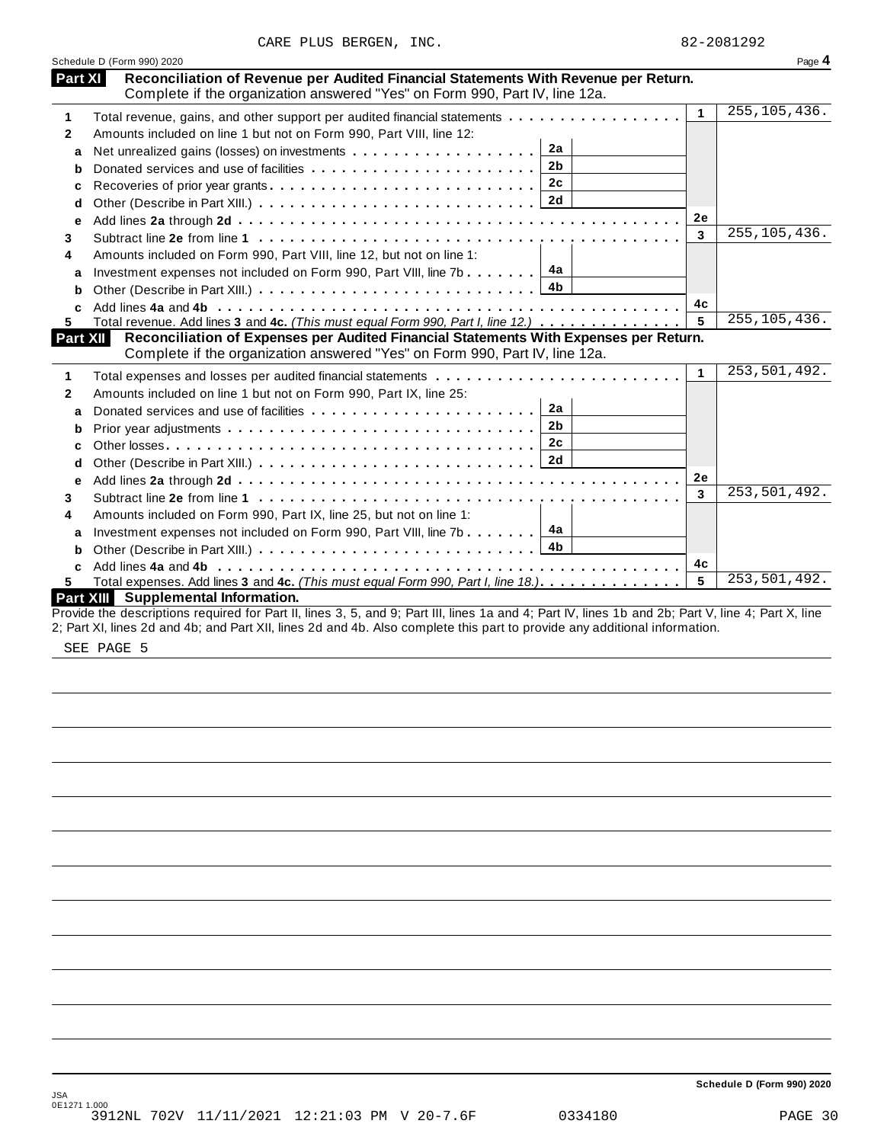|  |  | CARE PLUS BERGEN, | INC. |
|--|--|-------------------|------|
|--|--|-------------------|------|

|                | Schedule D (Form 990) 2020                                                                                                                                                                |              | Page 4         |
|----------------|-------------------------------------------------------------------------------------------------------------------------------------------------------------------------------------------|--------------|----------------|
| <b>Part XI</b> | Reconciliation of Revenue per Audited Financial Statements With Revenue per Return.<br>Complete if the organization answered "Yes" on Form 990, Part IV, line 12a.                        |              |                |
| 1              | Total revenue, gains, and other support per audited financial statements                                                                                                                  | $\mathbf{1}$ | 255, 105, 436. |
| $\mathbf{2}$   | Amounts included on line 1 but not on Form 990, Part VIII, line 12:                                                                                                                       |              |                |
| a              | 2a<br>Net unrealized gains (losses) on investments                                                                                                                                        |              |                |
| b              | 2 <sub>b</sub>                                                                                                                                                                            |              |                |
| c              | 2c                                                                                                                                                                                        |              |                |
| d              |                                                                                                                                                                                           |              |                |
| e              |                                                                                                                                                                                           | 2e           |                |
| 3              |                                                                                                                                                                                           | 3            | 255, 105, 436. |
| 4              | Amounts included on Form 990, Part VIII, line 12, but not on line 1:                                                                                                                      |              |                |
| a              | Investment expenses not included on Form 990, Part VIII, line 7b $\boxed{4a}$                                                                                                             |              |                |
| b              |                                                                                                                                                                                           |              |                |
|                |                                                                                                                                                                                           | 4c           |                |
| 5.             | Total revenue. Add lines 3 and 4c. (This must equal Form 990, Part I, line 12.)                                                                                                           | 5            | 255, 105, 436. |
|                | Part XII<br>Reconciliation of Expenses per Audited Financial Statements With Expenses per Return.<br>Complete if the organization answered "Yes" on Form 990, Part IV, line 12a.          |              |                |
| 1              |                                                                                                                                                                                           | $\mathbf{1}$ | 253,501,492.   |
| 2              | Amounts included on line 1 but not on Form 990, Part IX, line 25:                                                                                                                         |              |                |
| a              | 2a                                                                                                                                                                                        |              |                |
| b              | 2 <sub>b</sub>                                                                                                                                                                            |              |                |
| C              | 2c                                                                                                                                                                                        |              |                |
| d              |                                                                                                                                                                                           |              |                |
| e              |                                                                                                                                                                                           | 2e           |                |
| 3              |                                                                                                                                                                                           | 3            | 253,501,492.   |
| 4              | Amounts included on Form 990, Part IX, line 25, but not on line 1:                                                                                                                        |              |                |
| a              | Investment expenses not included on Form 990, Part VIII, line 7b $\boxed{4a}$                                                                                                             |              |                |
|                |                                                                                                                                                                                           |              |                |
| b              |                                                                                                                                                                                           |              |                |
| C              |                                                                                                                                                                                           | 4c           |                |
|                | Total expenses. Add lines 3 and 4c. (This must equal Form 990, Part I, line 18.).                                                                                                         | 5            | 253,501,492.   |
| 5.             | Part XIII Supplemental Information.<br>Provide the descriptions required for Part II, lines 3, 5, and 9; Part III, lines 1a and 4; Part IV, lines 1b and 2b; Part V, line 4; Part X, line |              |                |

SEE PAGE 5

**Schedule D (Form 990) 2020**

JSA 0E1271 1.000 3912NL 702V 11/11/2021 12:21:03 PM V 20-7.6F 0334180 PAGE 30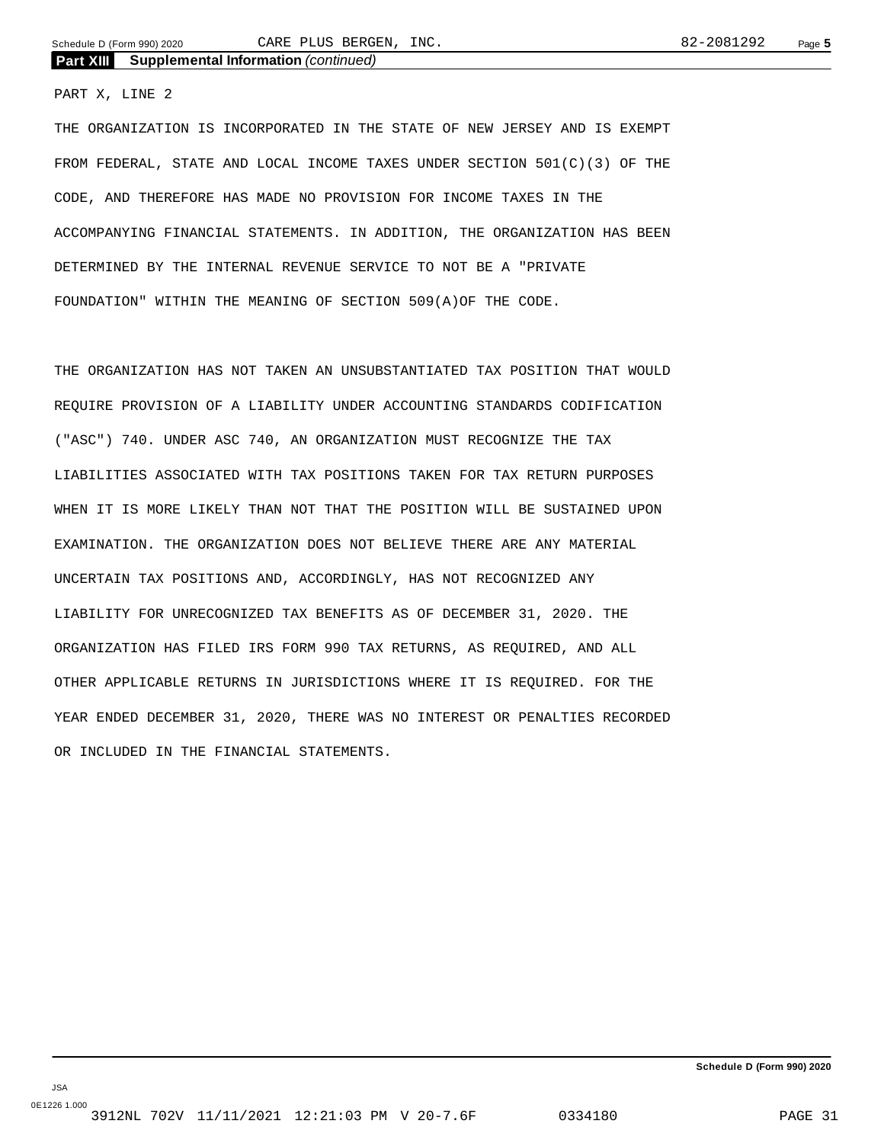### PART X, LINE 2

THE ORGANIZATION IS INCORPORATED IN THE STATE OF NEW JERSEY AND IS EXEMPT FROM FEDERAL, STATE AND LOCAL INCOME TAXES UNDER SECTION 501(C)(3) OF THE CODE, AND THEREFORE HAS MADE NO PROVISION FOR INCOME TAXES IN THE ACCOMPANYING FINANCIAL STATEMENTS. IN ADDITION, THE ORGANIZATION HAS BEEN DETERMINED BY THE INTERNAL REVENUE SERVICE TO NOT BE A "PRIVATE FOUNDATION" WITHIN THE MEANING OF SECTION 509(A)OF THE CODE.

THE ORGANIZATION HAS NOT TAKEN AN UNSUBSTANTIATED TAX POSITION THAT WOULD REQUIRE PROVISION OF A LIABILITY UNDER ACCOUNTING STANDARDS CODIFICATION ("ASC") 740. UNDER ASC 740, AN ORGANIZATION MUST RECOGNIZE THE TAX LIABILITIES ASSOCIATED WITH TAX POSITIONS TAKEN FOR TAX RETURN PURPOSES WHEN IT IS MORE LIKELY THAN NOT THAT THE POSITION WILL BE SUSTAINED UPON EXAMINATION. THE ORGANIZATION DOES NOT BELIEVE THERE ARE ANY MATERIAL UNCERTAIN TAX POSITIONS AND, ACCORDINGLY, HAS NOT RECOGNIZED ANY LIABILITY FOR UNRECOGNIZED TAX BENEFITS AS OF DECEMBER 31, 2020. THE ORGANIZATION HAS FILED IRS FORM 990 TAX RETURNS, AS REQUIRED, AND ALL OTHER APPLICABLE RETURNS IN JURISDICTIONS WHERE IT IS REQUIRED. FOR THE YEAR ENDED DECEMBER 31, 2020, THERE WAS NO INTEREST OR PENALTIES RECORDED OR INCLUDED IN THE FINANCIAL STATEMENTS.

**Schedule D (Form 990) 2020**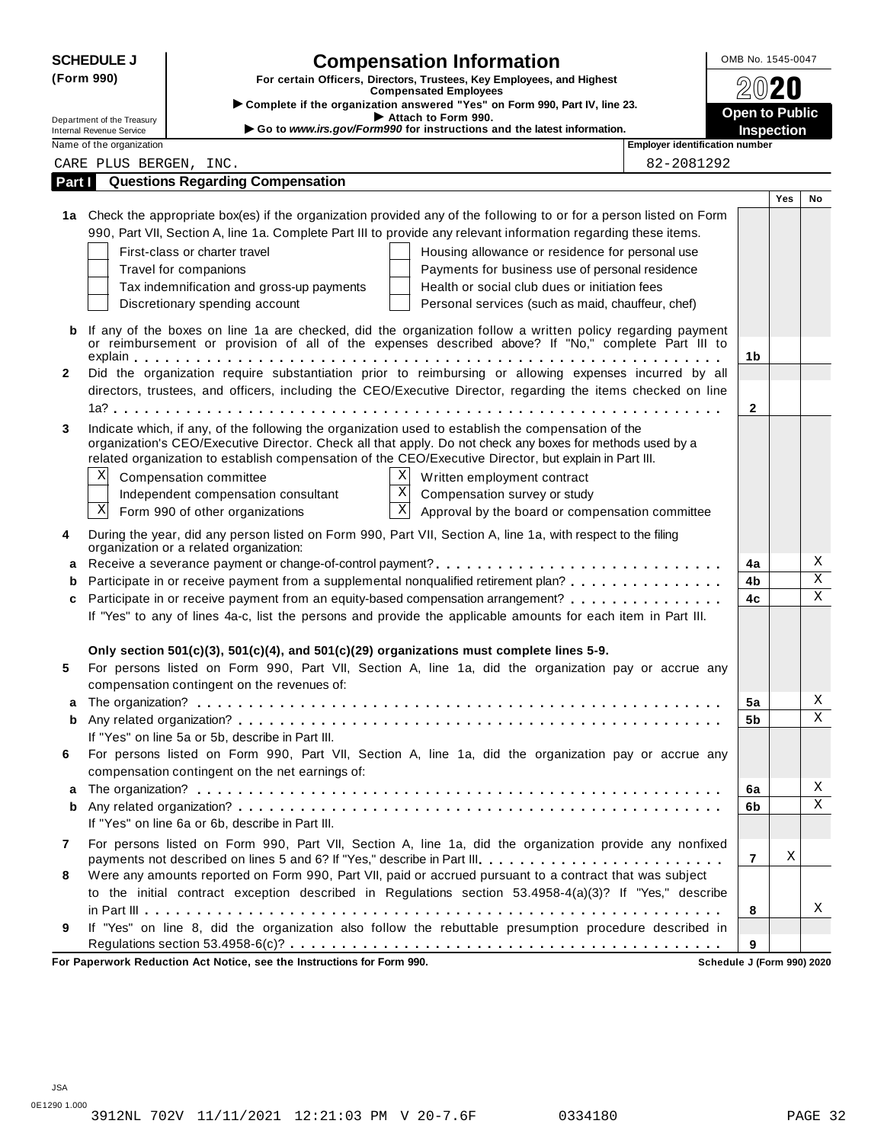|              | <b>SCHEDULE J</b>                                    | <b>Compensation Information</b>                                                                                      | OMB No. 1545-0047     |     |             |
|--------------|------------------------------------------------------|----------------------------------------------------------------------------------------------------------------------|-----------------------|-----|-------------|
| (Form 990)   |                                                      | For certain Officers, Directors, Trustees, Key Employees, and Highest                                                |                       |     |             |
|              |                                                      | <b>Compensated Employees</b><br>Complete if the organization answered "Yes" on Form 990, Part IV, line 23.           |                       |     |             |
|              | Department of the Treasury                           | Attach to Form 990.                                                                                                  | <b>Open to Public</b> |     |             |
|              | Internal Revenue Service<br>Name of the organization | Go to www.irs.gov/Form990 for instructions and the latest information.<br>Employer identification number             | <b>Inspection</b>     |     |             |
|              | CARE PLUS BERGEN, INC.                               | 82-2081292                                                                                                           |                       |     |             |
| Part I       |                                                      | <b>Questions Regarding Compensation</b>                                                                              |                       |     |             |
|              |                                                      |                                                                                                                      |                       | Yes | No          |
|              |                                                      | 1a Check the appropriate box(es) if the organization provided any of the following to or for a person listed on Form |                       |     |             |
|              |                                                      | 990, Part VII, Section A, line 1a. Complete Part III to provide any relevant information regarding these items.      |                       |     |             |
|              |                                                      | First-class or charter travel<br>Housing allowance or residence for personal use                                     |                       |     |             |
|              |                                                      | Travel for companions<br>Payments for business use of personal residence                                             |                       |     |             |
|              |                                                      | Health or social club dues or initiation fees<br>Tax indemnification and gross-up payments                           |                       |     |             |
|              |                                                      | Discretionary spending account<br>Personal services (such as maid, chauffeur, chef)                                  |                       |     |             |
|              |                                                      |                                                                                                                      |                       |     |             |
| b            |                                                      | If any of the boxes on line 1a are checked, did the organization follow a written policy regarding payment           |                       |     |             |
|              |                                                      | or reimbursement or provision of all of the expenses described above? If "No," complete Part III to                  | 1b                    |     |             |
| $\mathbf{2}$ |                                                      | Did the organization require substantiation prior to reimbursing or allowing expenses incurred by all                |                       |     |             |
|              |                                                      | directors, trustees, and officers, including the CEO/Executive Director, regarding the items checked on line         |                       |     |             |
|              |                                                      |                                                                                                                      | $\mathbf{2}$          |     |             |
| 3            |                                                      | Indicate which, if any, of the following the organization used to establish the compensation of the                  |                       |     |             |
|              |                                                      | organization's CEO/Executive Director. Check all that apply. Do not check any boxes for methods used by a            |                       |     |             |
|              |                                                      | related organization to establish compensation of the CEO/Executive Director, but explain in Part III.               |                       |     |             |
|              | Χ                                                    | ΧI<br>Compensation committee<br>Written employment contract                                                          |                       |     |             |
|              |                                                      | $\overline{\mathbf{x}}$<br>Compensation survey or study<br>Independent compensation consultant                       |                       |     |             |
|              | X                                                    | $\mathbf X$<br>Form 990 of other organizations<br>Approval by the board or compensation committee                    |                       |     |             |
| 4            |                                                      | During the year, did any person listed on Form 990, Part VII, Section A, line 1a, with respect to the filing         |                       |     |             |
|              |                                                      | organization or a related organization:                                                                              |                       |     |             |
| a            |                                                      |                                                                                                                      | 4a                    |     | Χ           |
| b            |                                                      | Participate in or receive payment from a supplemental nonqualified retirement plan?                                  | 4b                    |     | $\mathbf X$ |
| c            |                                                      | Participate in or receive payment from an equity-based compensation arrangement?                                     | 4c                    |     | $\mathbf X$ |
|              |                                                      | If "Yes" to any of lines 4a-c, list the persons and provide the applicable amounts for each item in Part III.        |                       |     |             |
|              |                                                      |                                                                                                                      |                       |     |             |
|              |                                                      | Only section $501(c)(3)$ , $501(c)(4)$ , and $501(c)(29)$ organizations must complete lines 5-9.                     |                       |     |             |
| 5            |                                                      | For persons listed on Form 990, Part VII, Section A, line 1a, did the organization pay or accrue any                 |                       |     |             |
|              |                                                      | compensation contingent on the revenues of:                                                                          |                       |     |             |
|              |                                                      |                                                                                                                      | 5a                    |     | Χ           |
| b            |                                                      |                                                                                                                      | 5b                    |     | X           |
|              |                                                      | If "Yes" on line 5a or 5b, describe in Part III.                                                                     |                       |     |             |
| 6            |                                                      | For persons listed on Form 990, Part VII, Section A, line 1a, did the organization pay or accrue any                 |                       |     |             |
|              |                                                      | compensation contingent on the net earnings of:                                                                      |                       |     |             |
| a            |                                                      |                                                                                                                      | 6a                    |     | Χ           |
| b            |                                                      |                                                                                                                      | 6b                    |     | $\mathbf X$ |
|              |                                                      | If "Yes" on line 6a or 6b, describe in Part III.                                                                     |                       |     |             |
| 7            |                                                      | For persons listed on Form 990, Part VII, Section A, line 1a, did the organization provide any nonfixed              |                       |     |             |
|              |                                                      | payments not described on lines 5 and 6? If "Yes," describe in Part III.                                             | $\overline{7}$        | Χ   |             |
| 8            |                                                      | Were any amounts reported on Form 990, Part VII, paid or accrued pursuant to a contract that was subject             |                       |     |             |
|              |                                                      | to the initial contract exception described in Regulations section 53.4958-4(a)(3)? If "Yes," describe               |                       |     |             |
|              |                                                      |                                                                                                                      | 8                     |     | Χ           |
| 9            |                                                      | If "Yes" on line 8, did the organization also follow the rebuttable presumption procedure described in               |                       |     |             |
|              |                                                      | For Paperwork Reduction Act Notice, see the Instructions for Form 990.                                               | 9                     |     |             |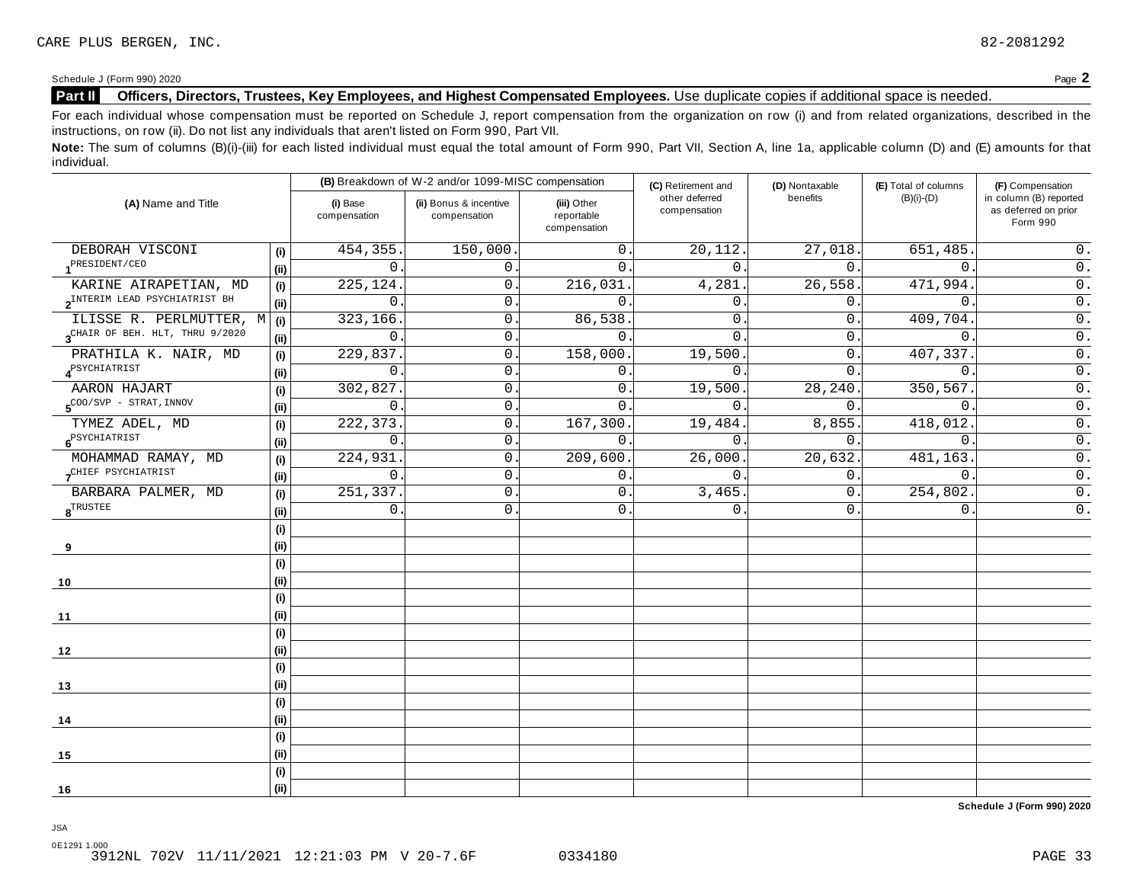## **Part II Officers, Directors, Trustees, Key Employees, and Highest Compensated Employees.** Use duplicate copies ifadditional space is needed.

For each individual whose compensation must be reported on Schedule J, report compensation from the organization on row (i) and from related organizations, described in the instructions, on row (ii). Do not list any individuals that aren't listed on Form 990, Part VII.

Note: The sum of columns (B)(i)-(iii) for each listed individual must equal the total amount of Form 990, Part VII, Section A, line 1a, applicable column (D) and (E) amounts for that individual.

|                                                     |                          | (B) Breakdown of W-2 and/or 1099-MISC compensation |                                           | (C) Retirement and             | (D) Nontaxable | (E) Total of columns | (F) Compensation                                           |  |
|-----------------------------------------------------|--------------------------|----------------------------------------------------|-------------------------------------------|--------------------------------|----------------|----------------------|------------------------------------------------------------|--|
| (A) Name and Title                                  | (i) Base<br>compensation | (ii) Bonus & incentive<br>compensation             | (iii) Other<br>reportable<br>compensation | other deferred<br>compensation | benefits       | $(B)(i)-(D)$         | in column (B) reported<br>as deferred on prior<br>Form 990 |  |
| DEBORAH VISCONI<br>(i)                              | 454, 355                 | 150,000.                                           | $\overline{0}$ .                          | 20,112.                        | 27,018.        | 651,485.             | $0$ .                                                      |  |
| 1 <sup>PRESIDENT/CEO</sup><br>(ii)                  | 0                        | 0.                                                 | $\Omega$ .                                | $\Omega$ .                     | 0.             | $\mathbf 0$ .        | $0$ .                                                      |  |
| KARINE AIRAPETIAN, MD<br>(i)                        | 225,124                  | 0.                                                 | 216,031.                                  | 4,281                          | 26,558.        | 471,994.             | $\overline{0}$ .                                           |  |
| 2 <sup>INTERIM</sup> LEAD PSYCHIATRIST BH<br>(ii)   | $\Omega$                 | $0$ .                                              | $\Omega$                                  | $\Omega$                       | 0.             | $\Omega$ .           | $\overline{0}$ .                                           |  |
| ILISSE R. PERLMUTTER, M<br>(i)                      | 323,166                  | 0.                                                 | 86,538                                    | $\mathbf{0}$                   | 0.             | 409,704.             | $0$ .                                                      |  |
| 3 <sup>CHAIR</sup> OF BEH. HLT, THRU 9/2020<br>(ii) | $\overline{0}$           | 0.                                                 | $\mathbf{0}$ .                            | $\mathbf{0}$ .                 | 0.             | $\mathbf 0$ .        | $0$ .                                                      |  |
| PRATHILA K. NAIR, MD<br>(i)                         | 229,837                  | 0.                                                 | 158,000                                   | 19,500                         | 0.             | 407,337.             | $\overline{0}$ .                                           |  |
| <b>A</b> <sup>PSYCHIATRIST</sup><br>(ii)            | 0                        | 0.                                                 | $\mathbf 0$ .                             | 0.                             | 0.             | $\overline{0}$ .     | $0$ .                                                      |  |
| AARON HAJART                                        | 302,827<br>(i)           | 0.                                                 | 0.                                        | 19,500.                        | 28,240.        | 350,567.             | $0$ .                                                      |  |
| $5^{\text{COO/SVP}}$ - STRAT, INNOV<br>(ii)         | $\mathsf{O}$             | $0$ .                                              | $\mathbf 0$                               | $\mathbf{0}$ .                 | 0.             | $\mathbf 0$ .        | $\overline{0}$ .                                           |  |
| TYMEZ ADEL, MD                                      | 222, 373.<br>(i)         | 0.                                                 | 167,300.                                  | 19,484.                        | 8,855.         | 418,012.             | $\overline{0}$ .                                           |  |
| $6^{PSYCHIARTRIST}$<br>(ii)                         | 0                        | 0.                                                 | $\mathbf{0}$                              | $\mathbf 0$ .                  | $\mathbf{0}$ . | $\overline{0}$ .     | $\overline{0}$ .                                           |  |
| MOHAMMAD RAMAY, MD                                  | 224,931.<br>(i)          | $0$ .                                              | 209,600.                                  | 26,000.                        | 20,632.        | 481,163.             | $\overline{0}$ .                                           |  |
| CHIEF PSYCHIATRIST<br>(ii)                          | $\Omega$                 | 0.                                                 | $\overline{0}$ .                          | $\Omega$ .                     | 0.             | $\overline{0}$ .     | $0$ .                                                      |  |
| BARBARA PALMER, MD<br>(i)                           | 251,337                  | $0$ .                                              | 0.                                        | 3,465.                         | 0.             | 254,802.             | $0$ .                                                      |  |
| $\boldsymbol{8}^{\text{TRUE}}$<br>(ii)              | $\mathsf{O}$             | $0$ .                                              | $\mathbf{0}$ .                            | $\mathbf{0}$                   | 0.             | $\mathbf 0$ .        | $0$ .                                                      |  |
| (i)                                                 |                          |                                                    |                                           |                                |                |                      |                                                            |  |
| (ii)<br>9                                           |                          |                                                    |                                           |                                |                |                      |                                                            |  |
| (i)                                                 |                          |                                                    |                                           |                                |                |                      |                                                            |  |
| (ii)<br>10                                          |                          |                                                    |                                           |                                |                |                      |                                                            |  |
| (i)                                                 |                          |                                                    |                                           |                                |                |                      |                                                            |  |
| (ii)<br>11                                          |                          |                                                    |                                           |                                |                |                      |                                                            |  |
| (i)                                                 |                          |                                                    |                                           |                                |                |                      |                                                            |  |
| (ii)<br>12                                          |                          |                                                    |                                           |                                |                |                      |                                                            |  |
| (i)                                                 |                          |                                                    |                                           |                                |                |                      |                                                            |  |
| (ii)<br>13                                          |                          |                                                    |                                           |                                |                |                      |                                                            |  |
| (i)                                                 |                          |                                                    |                                           |                                |                |                      |                                                            |  |
| (ii)<br>14                                          |                          |                                                    |                                           |                                |                |                      |                                                            |  |
| (i)                                                 |                          |                                                    |                                           |                                |                |                      |                                                            |  |
| (ii)<br>15                                          |                          |                                                    |                                           |                                |                |                      |                                                            |  |
| (i)                                                 |                          |                                                    |                                           |                                |                |                      |                                                            |  |
| (ii)<br>16                                          |                          |                                                    |                                           |                                |                |                      |                                                            |  |

**Schedule J (Form 990) 2020**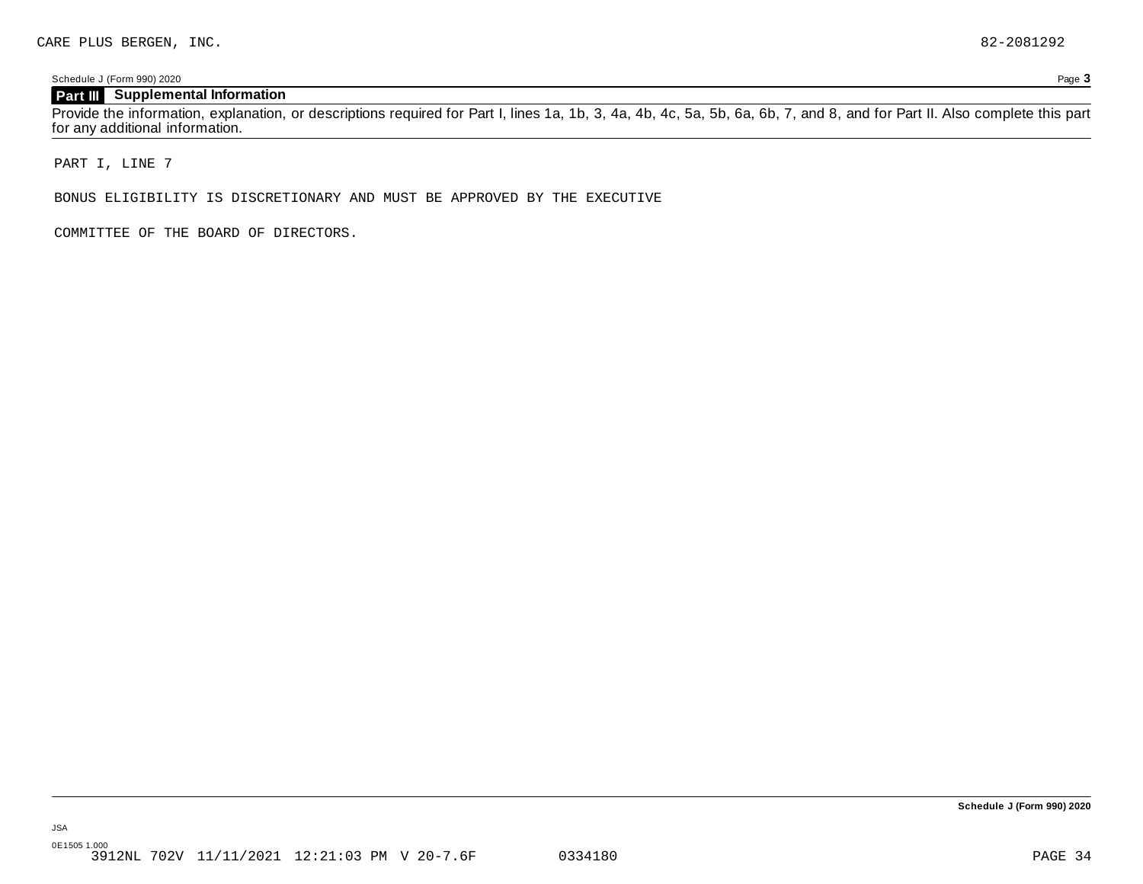## **Part III Supplemental Information**

Provide the information, explanation, or descriptions required for Part I, lines 1a, 1b, 3, 4a, 4b, 4c, 5a, 5b, 6a, 6b, 7, and 8, and for Part II. Also complete this part for any additional information.

PART I, LINE 7

BONUS ELIGIBILITY IS DISCRETIONARY AND MUST BE APPROVED BY THE EXECUTIVE

COMMITTEE OF THE BOARD OF DIRECTORS.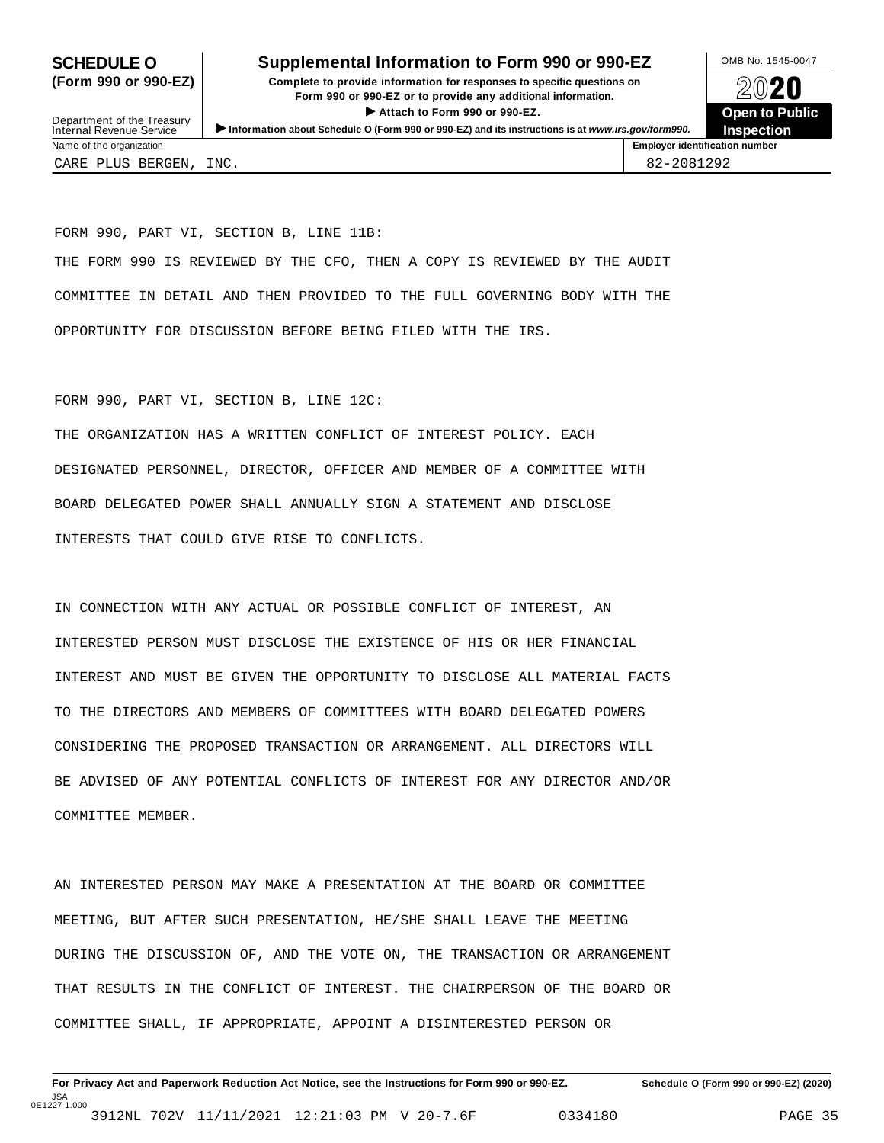### **SCHEDULE O** Supplemental Information to Form 990 or 990-EZ DAMB No. 1545-0047

**(Form 990 or 990-EZ) Complete to provide information for responses to specific questions on** plete to provide information for responses to specific questions on  $\bigotimes_{\mathbb{Z}}\mathbb{Q}$  20 **EVECT**<br>
Attach to Form 990 or 990-EZ.<br>
and the Communication of the Communication of the Communication of the Communication of the Communication of the Communication of the Communication of the Communication of the Commu Department of the Treasury <br>Depen to Public<br>Name of the organization<br>Name of the organization<br>Name of the organization<br>Name of the organization<br>Inspection



Department of the Treasury<br>Internal Revenue Service CARE PLUS BERGEN, INC. 82-2081292

FORM 990, PART VI, SECTION B, LINE 11B: THE FORM 990 IS REVIEWED BY THE CFO, THEN A COPY IS REVIEWED BY THE AUDIT COMMITTEE IN DETAIL AND THEN PROVIDED TO THE FULL GOVERNING BODY WITH THE OPPORTUNITY FOR DISCUSSION BEFORE BEING FILED WITH THE IRS.

FORM 990, PART VI, SECTION B, LINE 12C:

THE ORGANIZATION HAS A WRITTEN CONFLICT OF INTEREST POLICY. EACH DESIGNATED PERSONNEL, DIRECTOR, OFFICER AND MEMBER OF A COMMITTEE WITH BOARD DELEGATED POWER SHALL ANNUALLY SIGN A STATEMENT AND DISCLOSE INTERESTS THAT COULD GIVE RISE TO CONFLICTS.

IN CONNECTION WITH ANY ACTUAL OR POSSIBLE CONFLICT OF INTEREST, AN INTERESTED PERSON MUST DISCLOSE THE EXISTENCE OF HIS OR HER FINANCIAL INTEREST AND MUST BE GIVEN THE OPPORTUNITY TO DISCLOSE ALL MATERIAL FACTS TO THE DIRECTORS AND MEMBERS OF COMMITTEES WITH BOARD DELEGATED POWERS CONSIDERING THE PROPOSED TRANSACTION OR ARRANGEMENT. ALL DIRECTORS WILL BE ADVISED OF ANY POTENTIAL CONFLICTS OF INTEREST FOR ANY DIRECTOR AND/OR COMMITTEE MEMBER.

AN INTERESTED PERSON MAY MAKE A PRESENTATION AT THE BOARD OR COMMITTEE MEETING, BUT AFTER SUCH PRESENTATION, HE/SHE SHALL LEAVE THE MEETING DURING THE DISCUSSION OF, AND THE VOTE ON, THE TRANSACTION OR ARRANGEMENT THAT RESULTS IN THE CONFLICT OF INTEREST. THE CHAIRPERSON OF THE BOARD OR COMMITTEE SHALL, IF APPROPRIATE, APPOINT A DISINTERESTED PERSON OR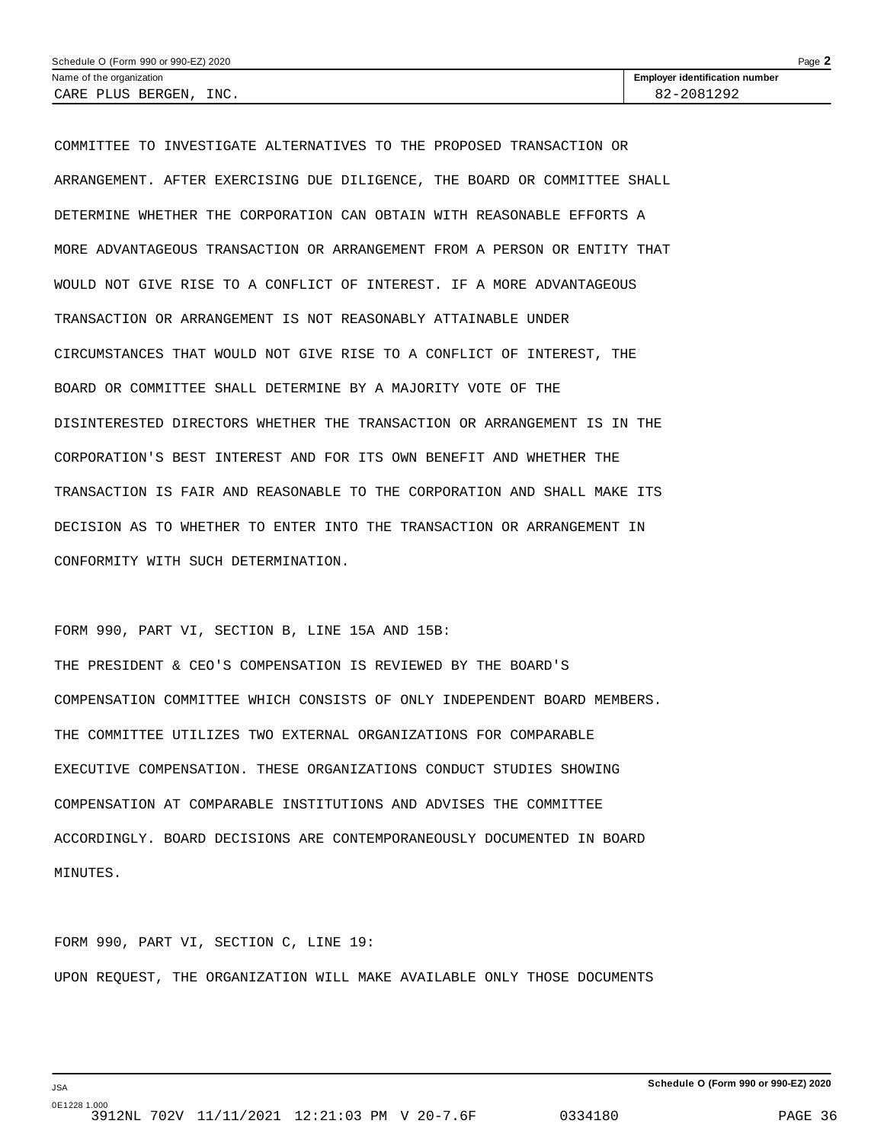| Schedule O (Form 990 or 990-EZ) 2020 | $P$ age $\blacktriangle$              |  |
|--------------------------------------|---------------------------------------|--|
| Name of the organization             | <b>Employer identification number</b> |  |
| INC.<br>CARE PLUS BERGEN,            | 82-2081292                            |  |

COMMITTEE TO INVESTIGATE ALTERNATIVES TO THE PROPOSED TRANSACTION OR ARRANGEMENT. AFTER EXERCISING DUE DILIGENCE, THE BOARD OR COMMITTEE SHALL DETERMINE WHETHER THE CORPORATION CAN OBTAIN WITH REASONABLE EFFORTS A MORE ADVANTAGEOUS TRANSACTION OR ARRANGEMENT FROM A PERSON OR ENTITY THAT WOULD NOT GIVE RISE TO A CONFLICT OF INTEREST. IF A MORE ADVANTAGEOUS TRANSACTION OR ARRANGEMENT IS NOT REASONABLY ATTAINABLE UNDER CIRCUMSTANCES THAT WOULD NOT GIVE RISE TO A CONFLICT OF INTEREST, THE BOARD OR COMMITTEE SHALL DETERMINE BY A MAJORITY VOTE OF THE DISINTERESTED DIRECTORS WHETHER THE TRANSACTION OR ARRANGEMENT IS IN THE CORPORATION'S BEST INTEREST AND FOR ITS OWN BENEFIT AND WHETHER THE TRANSACTION IS FAIR AND REASONABLE TO THE CORPORATION AND SHALL MAKE ITS DECISION AS TO WHETHER TO ENTER INTO THE TRANSACTION OR ARRANGEMENT IN CONFORMITY WITH SUCH DETERMINATION.

FORM 990, PART VI, SECTION B, LINE 15A AND 15B:

THE PRESIDENT & CEO'S COMPENSATION IS REVIEWED BY THE BOARD'S COMPENSATION COMMITTEE WHICH CONSISTS OF ONLY INDEPENDENT BOARD MEMBERS. THE COMMITTEE UTILIZES TWO EXTERNAL ORGANIZATIONS FOR COMPARABLE EXECUTIVE COMPENSATION. THESE ORGANIZATIONS CONDUCT STUDIES SHOWING COMPENSATION AT COMPARABLE INSTITUTIONS AND ADVISES THE COMMITTEE ACCORDINGLY. BOARD DECISIONS ARE CONTEMPORANEOUSLY DOCUMENTED IN BOARD MINUTES.

FORM 990, PART VI, SECTION C, LINE 19: UPON REQUEST, THE ORGANIZATION WILL MAKE AVAILABLE ONLY THOSE DOCUMENTS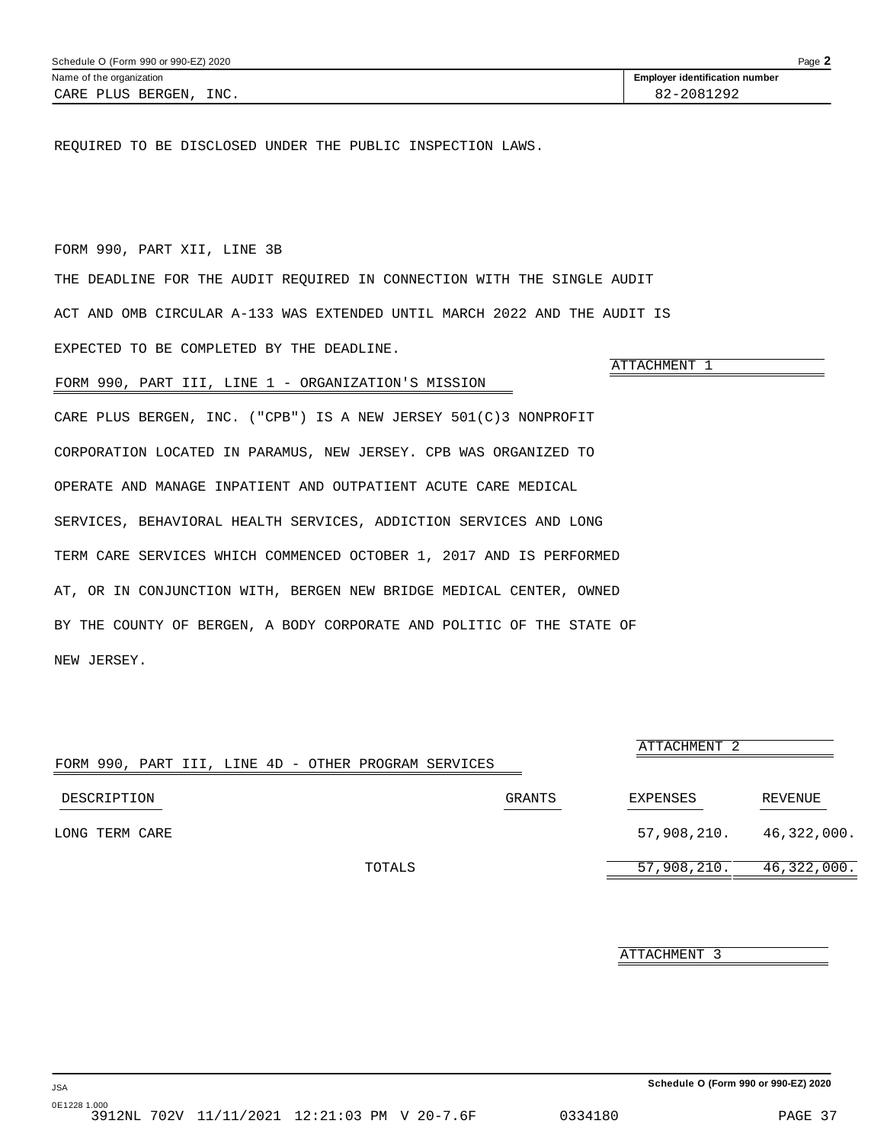<span id="page-35-0"></span>REQUIRED TO BE DISCLOSED UNDER THE PUBLIC INSPECTION LAWS.

### FORM 990, PART XII, LINE 3B

THE DEADLINE FOR THE AUDIT REQUIRED IN CONNECTION WITH THE SINGLE AUDIT ACT AND OMB CIRCULAR A-133 WAS EXTENDED UNTIL MARCH 2022 AND THE AUDIT IS EXPECTED TO BE COMPLETED BY THE DEADLINE.

### FORM 990, PART III, LINE 1 - ORGANIZATION'S MISSION

CARE PLUS BERGEN, INC. ("CPB") IS A NEW JERSEY 501(C)3 NONPROFIT CORPORATION LOCATED IN PARAMUS, NEW JERSEY. CPB WAS ORGANIZED TO OPERATE AND MANAGE INPATIENT AND OUTPATIENT ACUTE CARE MEDICAL SERVICES, BEHAVIORAL HEALTH SERVICES, ADDICTION SERVICES AND LONG TERM CARE SERVICES WHICH COMMENCED OCTOBER 1, 2017 AND IS PERFORMED AT, OR IN CONJUNCTION WITH, BERGEN NEW BRIDGE MEDICAL CENTER, OWNED BY THE COUNTY OF BERGEN, A BODY CORPORATE AND POLITIC OF THE STATE OF NEW JERSEY.

|                                                      |        | ATTACHMENT 2                |         |
|------------------------------------------------------|--------|-----------------------------|---------|
| FORM 990, PART III, LINE 4D - OTHER PROGRAM SERVICES |        |                             |         |
| DESCRIPTION                                          | GRANTS | EXPENSES                    | REVENUE |
| LONG TERM CARE                                       |        | $57,908,210.$ $46,322,000.$ |         |
| TOTALS                                               |        | $57,908,210.$ $46,322,000.$ |         |

ATTACHMENT 3

**Schedule O (Form 990 or 990-EZ) 2020**

ATTACHMENT 1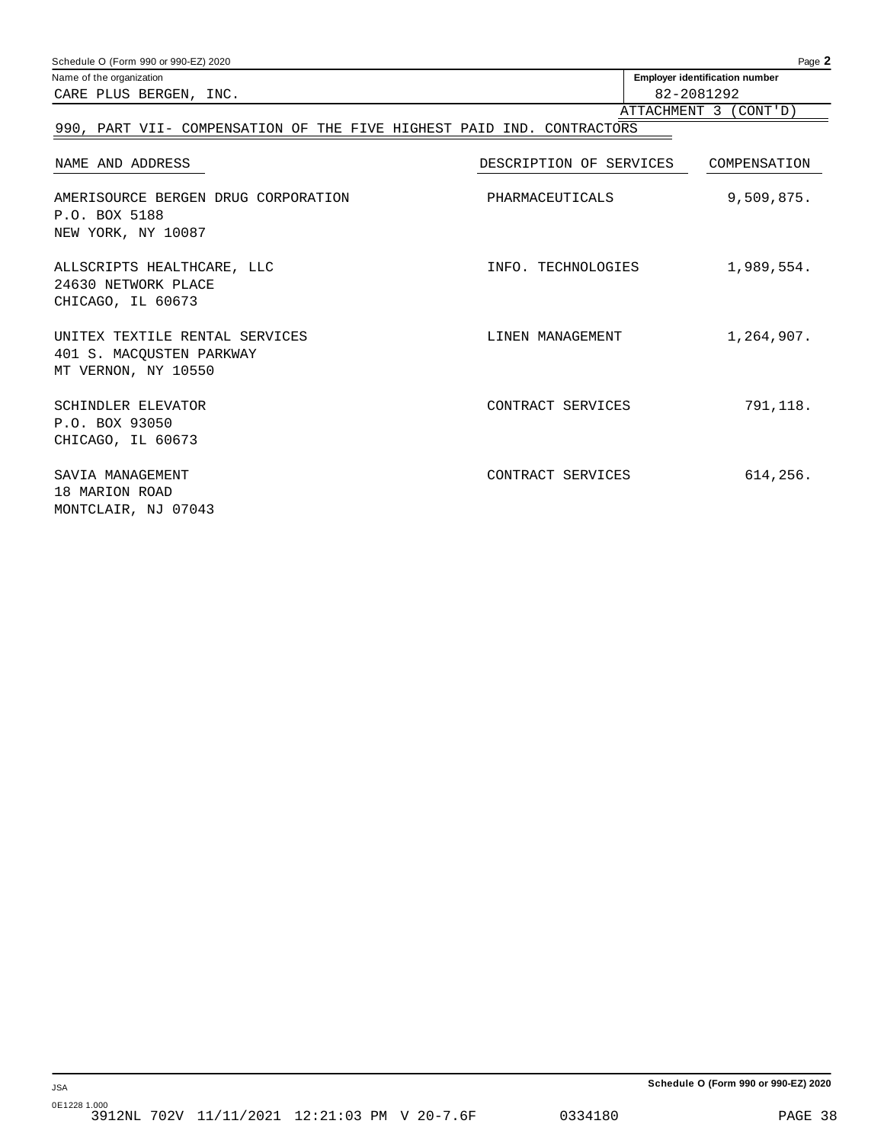| Schedule O (Form 990 or 990-EZ) 2020                                              |                         | Page 2                                |
|-----------------------------------------------------------------------------------|-------------------------|---------------------------------------|
| Name of the organization                                                          |                         | <b>Employer identification number</b> |
| CARE PLUS BERGEN, INC.                                                            |                         | 82-2081292                            |
|                                                                                   |                         | ATTACHMENT 3 (CONT'D)                 |
| 990, PART VII- COMPENSATION OF THE FIVE HIGHEST PAID IND. CONTRACTORS             |                         |                                       |
| NAME AND ADDRESS                                                                  | DESCRIPTION OF SERVICES | COMPENSATION                          |
| AMERISOURCE BERGEN DRUG CORPORATION<br>P.O. BOX 5188<br>NEW YORK, NY 10087        | PHARMACEUTICALS         | 9,509,875.                            |
| ALLSCRIPTS HEALTHCARE, LLC<br>24630 NETWORK PLACE<br>CHICAGO, IL 60673            | INFO. TECHNOLOGIES      | 1,989,554.                            |
| UNITEX TEXTILE RENTAL SERVICES<br>401 S. MACOUSTEN PARKWAY<br>MT VERNON, NY 10550 | LINEN MANAGEMENT        | 1,264,907.                            |
| <b>SCHINDLER ELEVATOR</b><br>P.O. BOX 93050<br>CHICAGO, IL 60673                  | CONTRACT SERVICES       | 791,118.                              |
| SAVIA MANAGEMENT<br>18 MARION ROAD<br>MONTCLAIR, NJ 07043                         | CONTRACT SERVICES       | 614,256.                              |

**Schedule O (Form 990 or 990-EZ) 2020**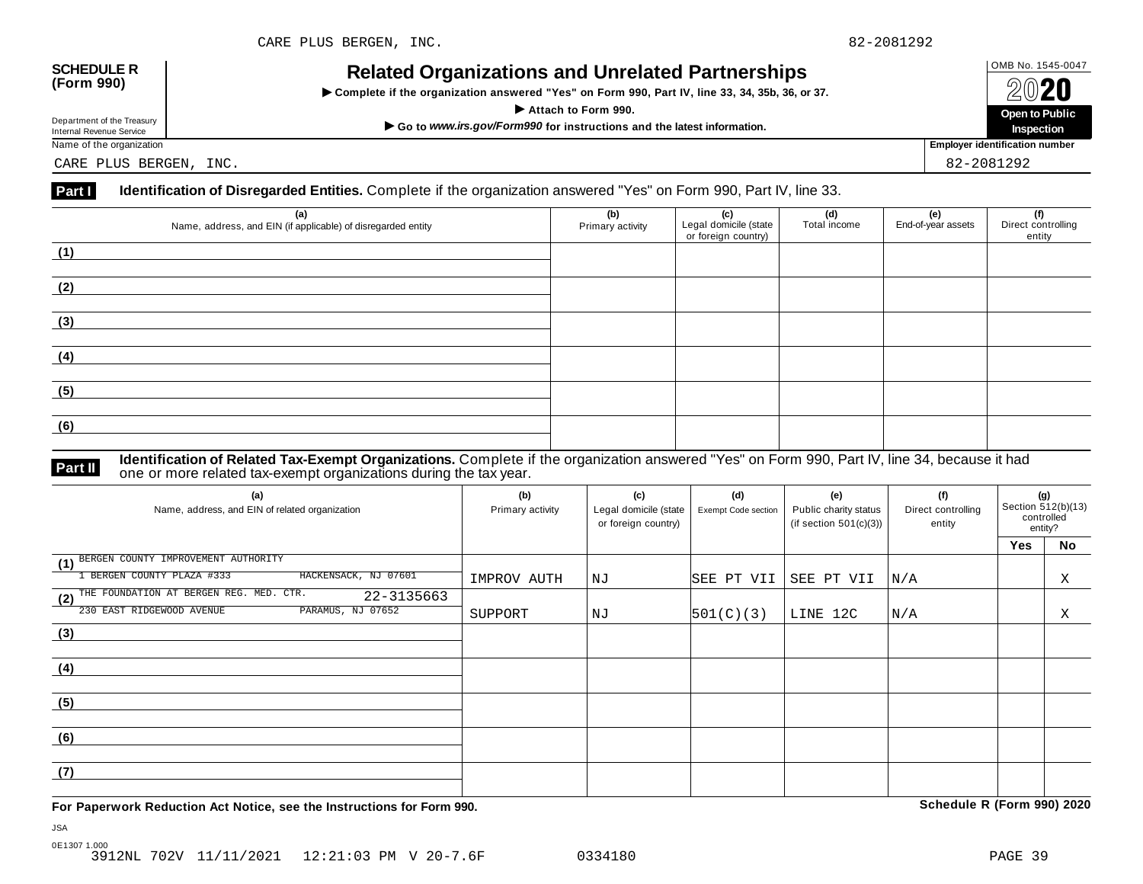## OMB No. 1545-0047 **SCHEDULE R (Form 990) Related Organizations and Unrelated Partnerships**

 $\triangleright$  Complete if the organization answered "Yes" on Form 990, Part IV, line 33, 34, 35b, 36, or 37.



Department of the Treasury<br>Internal Revenue Service

CARE PLUS BERGEN, INC. 82-2081292

### **Part I Identification of Disregarded Entities.** Complete if the organization answered "Yes" on Form 990, Part IV, line 33.

| (a)<br>Name, address, and EIN (if applicable) of disregarded entity | (b)<br>Primary activity | (c)<br>Legal domicile (state<br>or foreign country) | (d)<br>Total income | (e)<br>End-of-year assets | (f)<br>Direct controlling<br>entity |
|---------------------------------------------------------------------|-------------------------|-----------------------------------------------------|---------------------|---------------------------|-------------------------------------|
| (1)                                                                 |                         |                                                     |                     |                           |                                     |
| (2)                                                                 |                         |                                                     |                     |                           |                                     |
| (3)                                                                 |                         |                                                     |                     |                           |                                     |
| (4)                                                                 |                         |                                                     |                     |                           |                                     |
| (5)                                                                 |                         |                                                     |                     |                           |                                     |
| (6)                                                                 |                         |                                                     |                     |                           |                                     |

**Identification of Related Tax-Exempt Organizations.** Complete if the organization answered "Yes" on Form 990, Part IV, line 34, because it had **Part II** one or more related tax-exempt organizations during the tax year.

| (a)<br>Name, address, and EIN of related organization                                          | (b)<br>Primary activity | (c)<br>Legal domicile (state<br>or foreign country) | (d)<br>Exempt Code section | (e)<br>Public charity status<br>(if section $501(c)(3)$ ) | (f)<br>Direct controlling<br>entity | (g)<br>Section 512(b)(13)<br>controlled<br>entity? |    |
|------------------------------------------------------------------------------------------------|-------------------------|-----------------------------------------------------|----------------------------|-----------------------------------------------------------|-------------------------------------|----------------------------------------------------|----|
|                                                                                                |                         |                                                     |                            |                                                           |                                     | <b>Yes</b>                                         | No |
| BERGEN COUNTY IMPROVEMENT AUTHORITY<br>(1)<br>HACKENSACK, NJ 07601<br>BERGEN COUNTY PLAZA #333 | IMPROV AUTH             | ΝJ                                                  | SEE PT VII                 | SEE PT VII                                                | N/A                                 |                                                    | Χ  |
| (2) THE FOUNDATION AT BERGEN REG. MED. CTR.<br>22-3135663                                      |                         |                                                     |                            |                                                           |                                     |                                                    |    |
| PARAMUS, NJ 07652<br>230 EAST RIDGEWOOD AVENUE                                                 | SUPPORT                 | ΝJ                                                  | 501(C)(3)                  | LINE 12C                                                  | N/A                                 |                                                    | X  |
| (3)                                                                                            |                         |                                                     |                            |                                                           |                                     |                                                    |    |
| (4)                                                                                            |                         |                                                     |                            |                                                           |                                     |                                                    |    |
| (5)                                                                                            |                         |                                                     |                            |                                                           |                                     |                                                    |    |
| (6)                                                                                            |                         |                                                     |                            |                                                           |                                     |                                                    |    |
| (7)                                                                                            |                         |                                                     |                            |                                                           |                                     |                                                    |    |

**For Paperwork Reduction Act Notice, see the Instructions for Form 990. Schedule R (Form 990) 2020**

JSA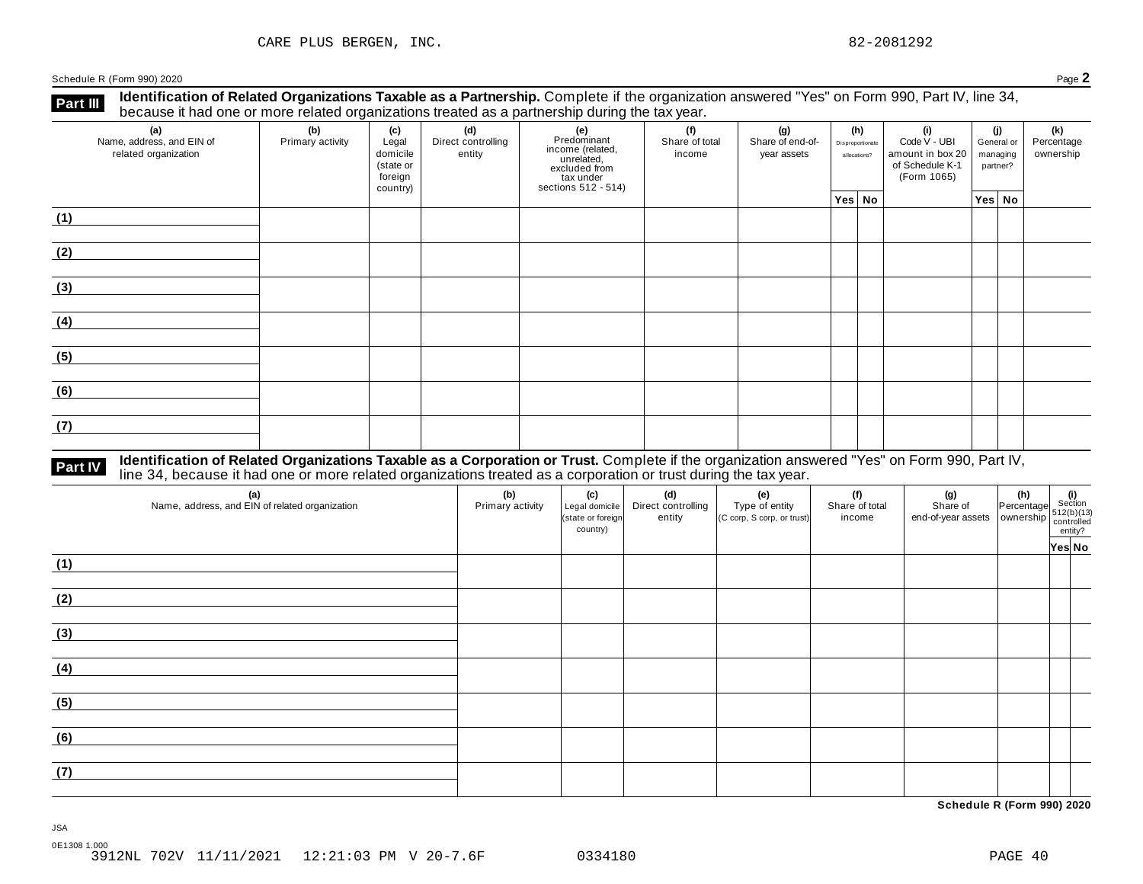**Identification of Related Organizations Taxable as a Partnership.** Complete if the organization answered "Yes" on Form 990, Part IV, line 34, **because it had one or more related organizations Taxable as a Partnership.** Complete if the organization of Related organizations treated as a partnership during the tax year.

| (a)<br>Name, address, and EIN of<br>related organization | ັ<br>(b)<br>Primary activity | (c)<br>Legal<br>domicile<br>(state or<br>foreign<br>country) | .<br>(d)<br>Direct controlling<br>entity | ັ<br>(e)<br>Predominant<br>Frecomman<br>income (related,<br>unrelated,<br>sccluded from<br>sections 512 - 514) | (f)<br>Share of total<br>income | (g)<br>Share of end-of-<br>year assets | (h)<br>Disproportionate<br>allocations? | (i)<br>Code V - UBI<br>amount in box 20<br>of Schedule K-1<br>(Form 1065) | (j)<br>General or<br>managing<br>partner? | (k)<br>Percentage<br>ownership |
|----------------------------------------------------------|------------------------------|--------------------------------------------------------------|------------------------------------------|----------------------------------------------------------------------------------------------------------------|---------------------------------|----------------------------------------|-----------------------------------------|---------------------------------------------------------------------------|-------------------------------------------|--------------------------------|
|                                                          |                              |                                                              |                                          |                                                                                                                |                                 |                                        | Yes No                                  |                                                                           | Yes No                                    |                                |
| (1)                                                      |                              |                                                              |                                          |                                                                                                                |                                 |                                        |                                         |                                                                           |                                           |                                |
| (2)                                                      |                              |                                                              |                                          |                                                                                                                |                                 |                                        |                                         |                                                                           |                                           |                                |
| (3)                                                      |                              |                                                              |                                          |                                                                                                                |                                 |                                        |                                         |                                                                           |                                           |                                |
| (4)                                                      |                              |                                                              |                                          |                                                                                                                |                                 |                                        |                                         |                                                                           |                                           |                                |
| (5)                                                      |                              |                                                              |                                          |                                                                                                                |                                 |                                        |                                         |                                                                           |                                           |                                |
| (6)                                                      |                              |                                                              |                                          |                                                                                                                |                                 |                                        |                                         |                                                                           |                                           |                                |
| (7)                                                      |                              |                                                              |                                          |                                                                                                                |                                 |                                        |                                         |                                                                           |                                           |                                |

# **Part IV** Identification of Related Organizations Taxable as a Corporation or Trust. Complete if the organization answered "Yes" on Form 990, Part IV,<br>line 34, because it had one or more related organizations treated as a

| (a)<br>Name, address, and EIN of related organization | (b)<br>Primary activity | (c)<br>Legal domicile<br>(state or foreign<br>country) | (d)<br>Direct controlling<br>entity | (e)<br>Type of entity<br>(C corp, S corp, or trust) | (f)<br>Share of total<br>income | (g) (h) $\frac{1}{2}$ (i) $\frac{1}{2}$ (i) $\frac{1}{2}$ (i) $\frac{1}{2}$ (i) $\frac{1}{2}$ (b)(13) $\frac{1}{2}$ end-of-year assets ownership $\frac{1}{2}$ (c)(b)(13) $\frac{1}{2}$ (c)(r)(13) $\frac{1}{2}$ (c)(r)(r) |        |
|-------------------------------------------------------|-------------------------|--------------------------------------------------------|-------------------------------------|-----------------------------------------------------|---------------------------------|----------------------------------------------------------------------------------------------------------------------------------------------------------------------------------------------------------------------------|--------|
| (1)                                                   |                         |                                                        |                                     |                                                     |                                 |                                                                                                                                                                                                                            | Yes No |
| (2)                                                   |                         |                                                        |                                     |                                                     |                                 |                                                                                                                                                                                                                            |        |
| (3)                                                   |                         |                                                        |                                     |                                                     |                                 |                                                                                                                                                                                                                            |        |
| (4)                                                   |                         |                                                        |                                     |                                                     |                                 |                                                                                                                                                                                                                            |        |
| (5)                                                   |                         |                                                        |                                     |                                                     |                                 |                                                                                                                                                                                                                            |        |
| (6)                                                   |                         |                                                        |                                     |                                                     |                                 |                                                                                                                                                                                                                            |        |
| (7)                                                   |                         |                                                        |                                     |                                                     |                                 |                                                                                                                                                                                                                            |        |

**Schedule R (Form 990) 2020**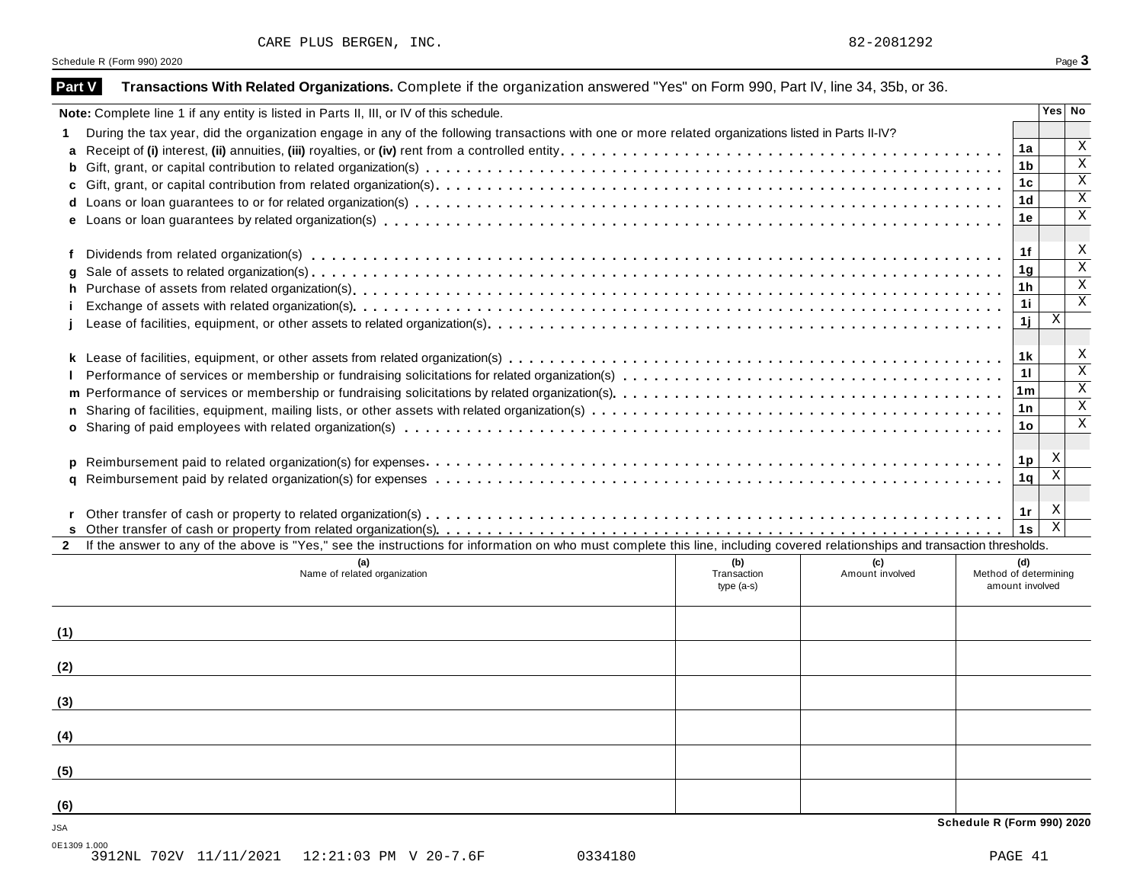| CARE PLUS BERGEN, |  | INC |  |
|-------------------|--|-----|--|
|-------------------|--|-----|--|

| <b>Part V</b>           | Transactions With Related Organizations. Complete if the organization answered "Yes" on Form 990, Part IV, line 34, 35b, or 36.                                              |             |                        |                            |                |                                                    |
|-------------------------|------------------------------------------------------------------------------------------------------------------------------------------------------------------------------|-------------|------------------------|----------------------------|----------------|----------------------------------------------------|
|                         | Note: Complete line 1 if any entity is listed in Parts II, III, or IV of this schedule.                                                                                      |             |                        |                            |                | Yes   No                                           |
|                         | During the tax year, did the organization engage in any of the following transactions with one or more related organizations listed in Parts II-IV?                          |             |                        |                            |                |                                                    |
|                         |                                                                                                                                                                              |             |                        |                            | 1a             | X                                                  |
| b                       |                                                                                                                                                                              |             |                        |                            | 1 <sub>b</sub> | $\overline{\mathbf{x}}$                            |
| C                       |                                                                                                                                                                              |             |                        |                            | 1 <sub>c</sub> | $\overline{\mathbf{x}}$                            |
|                         |                                                                                                                                                                              |             |                        |                            | 1 <sub>d</sub> | $\overline{\mathbf{x}}$                            |
|                         |                                                                                                                                                                              |             |                        |                            | 1e             | $\overline{\mathbf{x}}$                            |
|                         |                                                                                                                                                                              |             |                        |                            |                |                                                    |
| f                       |                                                                                                                                                                              |             |                        |                            | 1f             | X                                                  |
| g                       |                                                                                                                                                                              |             |                        |                            | 1 <sub>g</sub> | $\overline{\mathbf{x}}$                            |
| h                       |                                                                                                                                                                              |             |                        |                            | 1 <sub>h</sub> | $\overline{\mathbf{x}}$                            |
|                         |                                                                                                                                                                              |             |                        |                            | 11             | $\overline{\mathbf{x}}$                            |
|                         |                                                                                                                                                                              |             |                        |                            | 1j             | Χ                                                  |
|                         |                                                                                                                                                                              |             |                        |                            |                |                                                    |
|                         |                                                                                                                                                                              |             |                        |                            | 1 <sub>k</sub> | X<br>$\overline{\mathbf{x}}$                       |
|                         |                                                                                                                                                                              |             |                        |                            | 11             |                                                    |
|                         |                                                                                                                                                                              |             |                        |                            | 1m             | $\overline{\mathbf{x}}$                            |
| n.                      |                                                                                                                                                                              |             |                        |                            | 1n             | $\overline{\mathbf{x}}$<br>$\overline{\mathbf{x}}$ |
|                         |                                                                                                                                                                              |             |                        |                            | 1o             |                                                    |
|                         |                                                                                                                                                                              |             |                        |                            |                |                                                    |
| p                       |                                                                                                                                                                              |             |                        |                            | 1p             | X<br>$\mathbf X$                                   |
| q                       |                                                                                                                                                                              |             |                        |                            | 1q             |                                                    |
|                         |                                                                                                                                                                              |             |                        |                            |                |                                                    |
|                         |                                                                                                                                                                              |             |                        |                            | 1r             | X<br>$\overline{\mathbf{x}}$                       |
|                         | If the answer to any of the above is "Yes," see the instructions for information on who must complete this line, including covered relationships and transaction thresholds. |             |                        |                            | 1s             |                                                    |
|                         |                                                                                                                                                                              | (b)         |                        |                            |                |                                                    |
|                         | (a)<br>Name of related organization                                                                                                                                          | Transaction | (c)<br>Amount involved | Method of determining      | (d)            |                                                    |
|                         |                                                                                                                                                                              | $type(a-s)$ |                        | amount involved            |                |                                                    |
|                         |                                                                                                                                                                              |             |                        |                            |                |                                                    |
| (1)                     |                                                                                                                                                                              |             |                        |                            |                |                                                    |
|                         |                                                                                                                                                                              |             |                        |                            |                |                                                    |
| (2)                     |                                                                                                                                                                              |             |                        |                            |                |                                                    |
|                         |                                                                                                                                                                              |             |                        |                            |                |                                                    |
| (3)                     |                                                                                                                                                                              |             |                        |                            |                |                                                    |
|                         |                                                                                                                                                                              |             |                        |                            |                |                                                    |
| (4)                     |                                                                                                                                                                              |             |                        |                            |                |                                                    |
|                         |                                                                                                                                                                              |             |                        |                            |                |                                                    |
| (5)                     |                                                                                                                                                                              |             |                        |                            |                |                                                    |
|                         |                                                                                                                                                                              |             |                        |                            |                |                                                    |
| (6)                     |                                                                                                                                                                              |             |                        |                            |                |                                                    |
|                         |                                                                                                                                                                              |             |                        | Schedule R (Form 990) 2020 |                |                                                    |
| <b>JSA</b><br>0F1300100 |                                                                                                                                                                              |             |                        |                            |                |                                                    |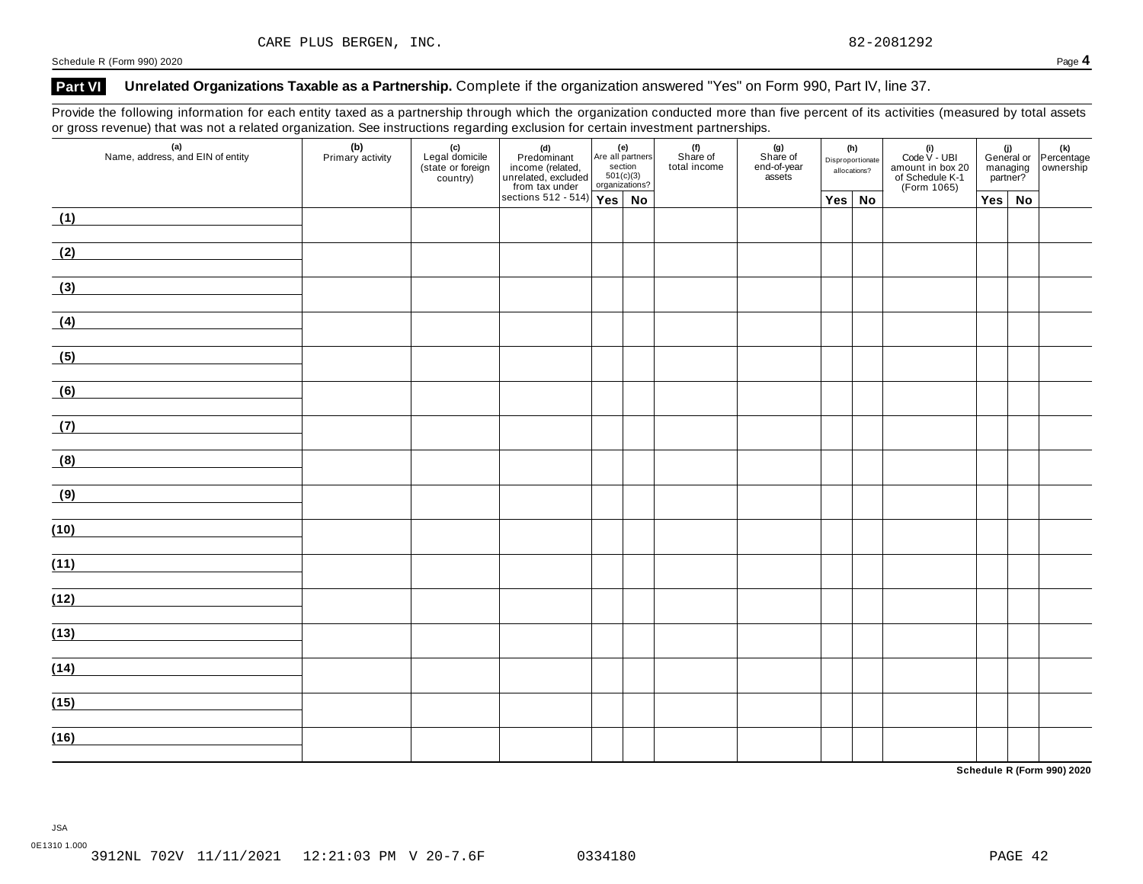## **Part VI Unrelated Organizations Taxable as a Partnership.** Complete if the organization answered "Yes" on Form 990, Part IV, line 37.

Provide the following information for each entity taxed as a partnership through which the organization conducted more than five percent of its activities (measured by total assets or gross revenue) that was not a related organization. See instructions regarding exclusion for certain investment partnerships.

| (i)<br>General or Percentage<br>managing ownership<br>partner? |               | (i)<br>Code V - UBI<br>amount in box 20<br>of Schedule K-1<br>(Form 1065) | (h)<br>Disproportionate | allocations?  | $(g)$<br>Share of<br>end-of-year<br>assets | .<br>(f)<br>Share of<br>total income |  | (d)<br>Predominant<br>income (related, Are all partners<br>unrelated, excluded 501(c)(3)<br>from tax under organizations?<br>sections 512 - 514)<br>Yes No | - ت<br>(c)<br>Legal domicile<br>(state or foreign<br>country) | (b)<br>Primary activity | $\mathbf{v}$<br>$\sim$ $\sim$ $\sim$<br>$\frac{1}{\sqrt{2}}$<br>(a)<br>Name, address, and EIN of entity |
|----------------------------------------------------------------|---------------|---------------------------------------------------------------------------|-------------------------|---------------|--------------------------------------------|--------------------------------------|--|------------------------------------------------------------------------------------------------------------------------------------------------------------|---------------------------------------------------------------|-------------------------|---------------------------------------------------------------------------------------------------------|
|                                                                | $Yes \mid No$ |                                                                           |                         | $Yes \mid No$ |                                            |                                      |  |                                                                                                                                                            |                                                               |                         |                                                                                                         |
|                                                                |               |                                                                           |                         |               |                                            |                                      |  |                                                                                                                                                            |                                                               |                         | (1)                                                                                                     |
|                                                                |               |                                                                           |                         |               |                                            |                                      |  |                                                                                                                                                            |                                                               |                         | (2)                                                                                                     |
|                                                                |               |                                                                           |                         |               |                                            |                                      |  |                                                                                                                                                            |                                                               |                         | (3)                                                                                                     |
|                                                                |               |                                                                           |                         |               |                                            |                                      |  |                                                                                                                                                            |                                                               |                         | (4)                                                                                                     |
|                                                                |               |                                                                           |                         |               |                                            |                                      |  |                                                                                                                                                            |                                                               |                         | (5)                                                                                                     |
|                                                                |               |                                                                           |                         |               |                                            |                                      |  |                                                                                                                                                            |                                                               |                         | (6)                                                                                                     |
|                                                                |               |                                                                           |                         |               |                                            |                                      |  |                                                                                                                                                            |                                                               |                         | (7)                                                                                                     |
|                                                                |               |                                                                           |                         |               |                                            |                                      |  |                                                                                                                                                            |                                                               |                         | (8)                                                                                                     |
|                                                                |               |                                                                           |                         |               |                                            |                                      |  |                                                                                                                                                            |                                                               |                         | (9)                                                                                                     |
|                                                                |               |                                                                           |                         |               |                                            |                                      |  |                                                                                                                                                            |                                                               |                         | (10)                                                                                                    |
|                                                                |               |                                                                           |                         |               |                                            |                                      |  |                                                                                                                                                            |                                                               |                         | (11)                                                                                                    |
|                                                                |               |                                                                           |                         |               |                                            |                                      |  |                                                                                                                                                            |                                                               |                         | (12)                                                                                                    |
|                                                                |               |                                                                           |                         |               |                                            |                                      |  |                                                                                                                                                            |                                                               |                         | (13)                                                                                                    |
|                                                                |               |                                                                           |                         |               |                                            |                                      |  |                                                                                                                                                            |                                                               |                         |                                                                                                         |
|                                                                |               |                                                                           |                         |               |                                            |                                      |  |                                                                                                                                                            |                                                               |                         |                                                                                                         |
|                                                                |               |                                                                           |                         |               |                                            |                                      |  |                                                                                                                                                            |                                                               |                         |                                                                                                         |
|                                                                |               |                                                                           |                         |               |                                            |                                      |  |                                                                                                                                                            |                                                               |                         | (14)<br>(15)<br>(16)                                                                                    |

**Schedule R (Form 990) 2020**

JSA